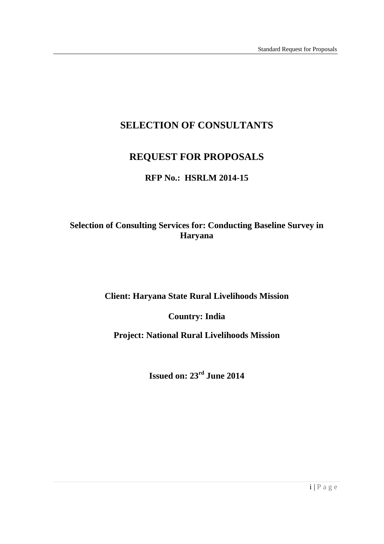# **SELECTION OF CONSULTANTS**

# **REQUEST FOR PROPOSALS**

### **RFP No.: HSRLM 2014-15**

## **Selection of Consulting Services for: Conducting Baseline Survey in Haryana**

### **Client: Haryana State Rural Livelihoods Mission**

 **Country: India** 

 **Project: National Rural Livelihoods Mission** 

 **Issued on: 23rd June 2014**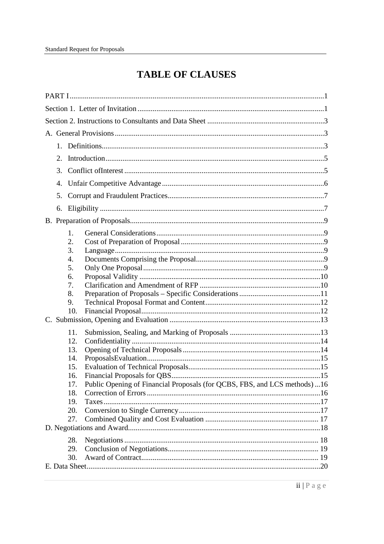# **TABLE OF CLAUSES**

| $2_{\cdot}$                                                                       |  |
|-----------------------------------------------------------------------------------|--|
| 3.                                                                                |  |
| 4.                                                                                |  |
| 5.                                                                                |  |
| 6.                                                                                |  |
|                                                                                   |  |
| 1.                                                                                |  |
| 2.                                                                                |  |
| 3.                                                                                |  |
| 4.<br>5.                                                                          |  |
| 6.                                                                                |  |
| 7.                                                                                |  |
| 8.                                                                                |  |
| 9.                                                                                |  |
| 10.                                                                               |  |
|                                                                                   |  |
| 11.                                                                               |  |
| 12.                                                                               |  |
| 13.                                                                               |  |
| 14.                                                                               |  |
| 15.                                                                               |  |
| 16.                                                                               |  |
| Public Opening of Financial Proposals (for QCBS, FBS, and LCS methods)  16<br>17. |  |
| 18.                                                                               |  |
| 19.                                                                               |  |
| 20.                                                                               |  |
| 27.                                                                               |  |
|                                                                                   |  |
| 28.                                                                               |  |
| 29.                                                                               |  |
| 30.                                                                               |  |
|                                                                                   |  |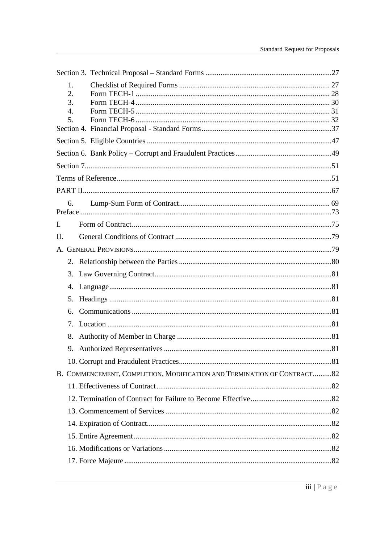|                | 1.<br>2.<br>3.<br>$\overline{4}$ .<br>5. |                                                                         |  |
|----------------|------------------------------------------|-------------------------------------------------------------------------|--|
|                |                                          |                                                                         |  |
|                |                                          |                                                                         |  |
|                |                                          |                                                                         |  |
|                |                                          |                                                                         |  |
|                |                                          |                                                                         |  |
|                |                                          |                                                                         |  |
|                | б.                                       |                                                                         |  |
| $\mathbf{I}$ . |                                          |                                                                         |  |
| II.            |                                          |                                                                         |  |
|                |                                          |                                                                         |  |
|                |                                          |                                                                         |  |
|                |                                          |                                                                         |  |
|                | 3.                                       |                                                                         |  |
|                | 4.                                       |                                                                         |  |
|                | 5.                                       |                                                                         |  |
|                | 6.                                       |                                                                         |  |
|                | 7.                                       |                                                                         |  |
|                | 8.                                       |                                                                         |  |
|                | 9.                                       |                                                                         |  |
|                |                                          |                                                                         |  |
|                |                                          | B. COMMENCEMENT, COMPLETION, MODIFICATION AND TERMINATION OF CONTRACT82 |  |
|                |                                          |                                                                         |  |
|                |                                          |                                                                         |  |
|                |                                          |                                                                         |  |
|                |                                          |                                                                         |  |
|                |                                          |                                                                         |  |
|                |                                          |                                                                         |  |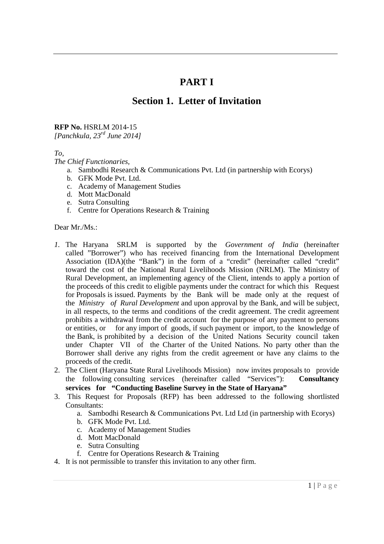# **PART I**

# **Section 1. Letter of Invitation**

#### **RFP No.** HSRLM 2014-15

 *[Panchkula, 23rd June 2014]* 

*To,* 

 *The Chief Functionaries,* 

- a. Sambodhi Research & Communications Pvt. Ltd (in partnership with Ecorys)
- b. GFK Mode Pvt. Ltd.
- c. Academy of Management Studies
- d. Mott MacDonald
- e. Sutra Consulting
- f. Centre for Operations Research & Training

Dear Mr./Ms.:

- *1.* The Haryana SRLM is supported by the *Government of India* (hereinafter called "Borrower") who has received financing from the International Development Association (IDA)(the "Bank") in the form of a "credit" (hereinafter called "credit" toward the cost of the National Rural Livelihoods Mission (NRLM). The Ministry of Rural Development, an implementing agency of the Client, intends to apply a portion of the proceeds of this credit to eligible payments under the contract for which this Request for Proposals is issued. Payments by the Bank will be made only at the request of the *Ministry of Rural Development* and upon approval by the Bank, and will be subject, in all respects, to the terms and conditions of the credit agreement. The credit agreement prohibits a withdrawal from the credit account for the purpose of any payment to persons or entities, or the Bank, is prohibited by a decision of the United Nations Security council taken under Chapter VII of the Charter of the United Nations. No party other than the Borrower shall derive any rights from the credit agreement or have any claims to the proceeds of the credit*.*  for any import of goods, if such payment or import, to the knowledge of
- 2. The Client (Haryana State Rural Livelihoods Mission) now invites proposals to provide the following consulting services (hereinafter called "Services"): **Consultancy services for "Conducting Baseline Survey in the State of Haryana"**
- 3. This Request for Proposals (RFP) has been addressed to the following shortlisted Consultants:
	- Consultants: a. Sambodhi Research & Communications Pvt. Ltd Ltd (in partnership with Ecorys)
		- b. GFK Mode Pvt. Ltd.
		- c. Academy of Management Studies
		- d. Mott MacDonald
		- e. Sutra Consulting
		- f. Centre for Operations Research & Training
- 4. It is not permissible to transfer this invitation to any other firm.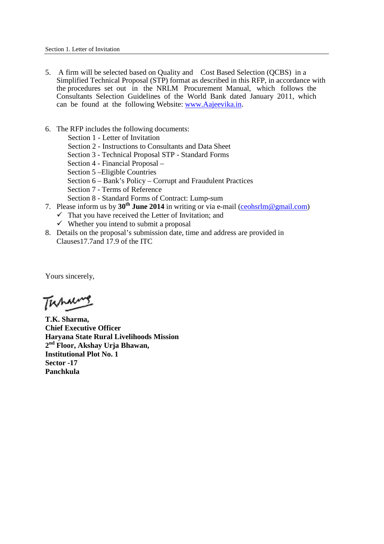- 5. A firm will be selected based on Quality and Cost Based Selection (QCBS) in a Simplified Technical Proposal (STP) format as described in this RFP, in accordance with the procedures set out in the NRLM Procurement Manual, which follows the Consultants Selection Guidelines of the World Bank dated January 2011, which can be found at the following Website: <www.Aajeevika.in>.
- 6. The RFP includes the following documents:
	- Section 1 Letter of Invitation
	- Section 2 Instructions to Consultants and Data Sheet
	- Section 3 Technical Proposal STP Standard Forms
	- Section 4 Financial Proposal –
	- Section 5 –Eligible Countries
	- Section 6 Bank's Policy Corrupt and Fraudulent Practices
	- Section 7 Terms of Reference
	- Section 8 Standard Forms of Contract: Lump-sum
- 7. Please inform us by **30th June 2014** in writing or via e-mail ([ceohsrlm@gmail.com](mailto:ceohsrlm@gmail.com))
	- $\checkmark$  That you have received the Letter of Invitation; and
	- $\checkmark$  Whether you intend to submit a proposal
- 8. Details on the proposal's submission date, time and address are provided in Clauses17.7and 17.9 of the ITC

Yours sincerely,

Tuhan

 **T.K. Sharma, Chief Executive Officer Haryana State Rural Livelihoods Mission 2nd Floor, Akshay Urja Bhawan, Institutional Plot No. 1 Sector -17 Panchkula**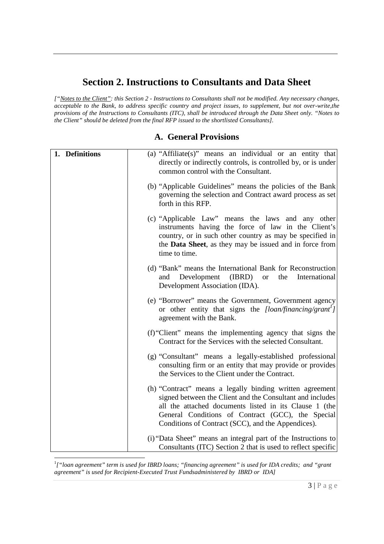# **Section 2. Instructions to Consultants and Data Sheet**

["Notes to the Client": this Section 2 - Instructions to Consultants shall not be modified. Any necessary changes,  *acceptable to the Bank, to address specific country and project issues, to supplement, but not over-write,the provisions of the Instructions to Consultants (ITC), shall be introduced through the Data Sheet only. "Notes to the Client" should be deleted from the final RFP issued to the shortlisted Consultants].* 

| 1. Definitions | (a) "Affiliate(s)" means an individual or an entity that<br>directly or indirectly controls, is controlled by, or is under                                                                                                                                                                 |
|----------------|--------------------------------------------------------------------------------------------------------------------------------------------------------------------------------------------------------------------------------------------------------------------------------------------|
|                | common control with the Consultant.<br>(b) "Applicable Guidelines" means the policies of the Bank<br>governing the selection and Contract award process as set<br>forth in this RFP.                                                                                                       |
|                | (c) "Applicable Law" means the laws and any other<br>instruments having the force of law in the Client's<br>country, or in such other country as may be specified in<br>the <b>Data Sheet</b> , as they may be issued and in force from<br>time to time.                                   |
|                | (d) "Bank" means the International Bank for Reconstruction<br>Development<br>(IBRD)<br>the<br>International<br>and<br><b>or</b><br>Development Association (IDA).                                                                                                                          |
|                | (e) "Borrower" means the Government, Government agency<br>or other entity that signs the [loan/financing/grant <sup>1</sup> ]<br>agreement with the Bank.                                                                                                                                  |
|                | (f) "Client" means the implementing agency that signs the<br>Contract for the Services with the selected Consultant.                                                                                                                                                                       |
|                | (g) "Consultant" means a legally-established professional<br>consulting firm or an entity that may provide or provides<br>the Services to the Client under the Contract.                                                                                                                   |
|                | (h) "Contract" means a legally binding written agreement<br>signed between the Client and the Consultant and includes<br>all the attached documents listed in its Clause 1 (the<br>General Conditions of Contract (GCC), the Special<br>Conditions of Contract (SCC), and the Appendices). |
|                | (i) "Data Sheet" means an integral part of the Instructions to<br>Consultants (ITC) Section 2 that is used to reflect specific                                                                                                                                                             |

### **A. General Provisions**

 $\overline{a}$  *agreement" is used for Recipient-Executed Trust Fundsadministered by IBRD or IDA]*  <sup>1</sup>["loan agreement" term is used for IBRD loans; "financing agreement" is used for IDA credits; and "grant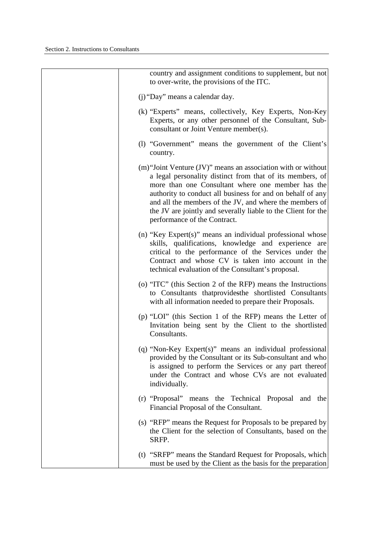| country and assignment conditions to supplement, but not<br>to over-write, the provisions of the ITC.                                                                                                                                                                                                                                                                                                     |
|-----------------------------------------------------------------------------------------------------------------------------------------------------------------------------------------------------------------------------------------------------------------------------------------------------------------------------------------------------------------------------------------------------------|
| (j) "Day" means a calendar day.                                                                                                                                                                                                                                                                                                                                                                           |
| (k) "Experts" means, collectively, Key Experts, Non-Key<br>Experts, or any other personnel of the Consultant, Sub-<br>consultant or Joint Venture member(s).                                                                                                                                                                                                                                              |
| (1) "Government" means the government of the Client's<br>country.                                                                                                                                                                                                                                                                                                                                         |
| (m) "Joint Venture (JV)" means an association with or without<br>a legal personality distinct from that of its members, of<br>more than one Consultant where one member has the<br>authority to conduct all business for and on behalf of any<br>and all the members of the JV, and where the members of<br>the JV are jointly and severally liable to the Client for the<br>performance of the Contract. |
| (n) "Key Expert(s)" means an individual professional whose<br>skills, qualifications, knowledge and experience are<br>critical to the performance of the Services under the<br>Contract and whose CV is taken into account in the<br>technical evaluation of the Consultant's proposal.                                                                                                                   |
| (o) "ITC" (this Section 2 of the RFP) means the Instructions<br>to Consultants thatprovidesthe shortlisted Consultants<br>with all information needed to prepare their Proposals.                                                                                                                                                                                                                         |
| (p) "LOI" (this Section 1 of the RFP) means the Letter of<br>Invitation being sent by the Client to the shortlisted<br>Consultants.                                                                                                                                                                                                                                                                       |
| $(q)$ "Non-Key Expert(s)" means an individual professional<br>provided by the Consultant or its Sub-consultant and who<br>is assigned to perform the Services or any part thereof<br>under the Contract and whose CVs are not evaluated<br>individually.                                                                                                                                                  |
| (r) "Proposal" means the Technical Proposal and the<br>Financial Proposal of the Consultant.                                                                                                                                                                                                                                                                                                              |
| (s) "RFP" means the Request for Proposals to be prepared by<br>the Client for the selection of Consultants, based on the<br>SRFP.                                                                                                                                                                                                                                                                         |
| (t) "SRFP" means the Standard Request for Proposals, which<br>must be used by the Client as the basis for the preparation                                                                                                                                                                                                                                                                                 |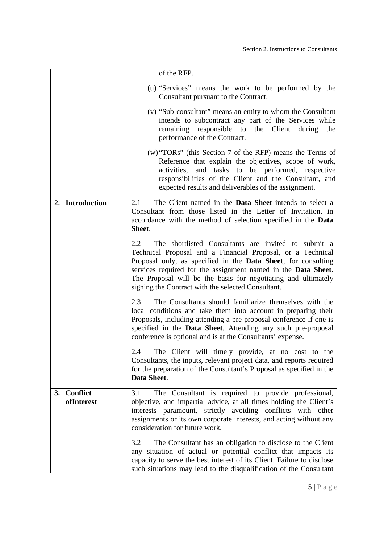|                                     | of the RFP.                                                                                                                                                                                                                                                                                                                                                                                |
|-------------------------------------|--------------------------------------------------------------------------------------------------------------------------------------------------------------------------------------------------------------------------------------------------------------------------------------------------------------------------------------------------------------------------------------------|
|                                     | (u) "Services" means the work to be performed by the<br>Consultant pursuant to the Contract.                                                                                                                                                                                                                                                                                               |
|                                     | (v) "Sub-consultant" means an entity to whom the Consultant<br>intends to subcontract any part of the Services while<br>responsible to<br>remaining<br>the Client<br>during<br>the<br>performance of the Contract.                                                                                                                                                                         |
|                                     | $(w)$ "TORs" (this Section 7 of the RFP) means the Terms of<br>Reference that explain the objectives, scope of work,<br>activities, and tasks to be performed, respective<br>responsibilities of the Client and the Consultant, and<br>expected results and deliverables of the assignment.                                                                                                |
| 2. Introduction                     | The Client named in the <b>Data Sheet</b> intends to select a<br>2.1<br>Consultant from those listed in the Letter of Invitation, in<br>accordance with the method of selection specified in the <b>Data</b><br>Sheet.                                                                                                                                                                     |
|                                     | 2.2<br>The shortlisted Consultants are invited to submit a<br>Technical Proposal and a Financial Proposal, or a Technical<br>Proposal only, as specified in the <b>Data Sheet</b> , for consulting<br>services required for the assignment named in the Data Sheet.<br>The Proposal will be the basis for negotiating and ultimately<br>signing the Contract with the selected Consultant. |
|                                     | 2.3<br>The Consultants should familiarize themselves with the<br>local conditions and take them into account in preparing their<br>Proposals, including attending a pre-proposal conference if one is<br>specified in the Data Sheet. Attending any such pre-proposal<br>conference is optional and is at the Consultants' expense.                                                        |
|                                     | 2.4<br>The Client will timely provide, at no cost to the<br>Consultants, the inputs, relevant project data, and reports required<br>for the preparation of the Consultant's Proposal as specified in the<br>Data Sheet.                                                                                                                                                                    |
| <b>Conflict</b><br>3.<br>ofInterest | The Consultant is required to provide professional,<br>3.1<br>objective, and impartial advice, at all times holding the Client's<br>interests paramount, strictly avoiding conflicts with other<br>assignments or its own corporate interests, and acting without any<br>consideration for future work.                                                                                    |
|                                     | 3.2<br>The Consultant has an obligation to disclose to the Client<br>any situation of actual or potential conflict that impacts its<br>capacity to serve the best interest of its Client. Failure to disclose<br>such situations may lead to the disqualification of the Consultant                                                                                                        |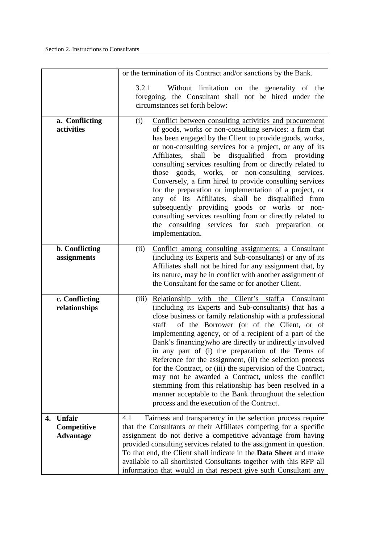|                                                 | or the termination of its Contract and/or sanctions by the Bank.                                                                                                                                                                                                                                                                                                                                                                                                                                                                                                                                                                                                                                                                                                                       |
|-------------------------------------------------|----------------------------------------------------------------------------------------------------------------------------------------------------------------------------------------------------------------------------------------------------------------------------------------------------------------------------------------------------------------------------------------------------------------------------------------------------------------------------------------------------------------------------------------------------------------------------------------------------------------------------------------------------------------------------------------------------------------------------------------------------------------------------------------|
|                                                 | Without limitation on the generality of the<br>3.2.1<br>foregoing, the Consultant shall not be hired under the<br>circumstances set forth below:                                                                                                                                                                                                                                                                                                                                                                                                                                                                                                                                                                                                                                       |
| a. Conflicting<br>activities                    | Conflict between consulting activities and procurement<br>(i)<br>of goods, works or non-consulting services: a firm that<br>has been engaged by the Client to provide goods, works,<br>or non-consulting services for a project, or any of its<br>shall be disqualified from providing<br>Affiliates,<br>consulting services resulting from or directly related to<br>goods, works, or non-consulting services.<br>those<br>Conversely, a firm hired to provide consulting services<br>for the preparation or implementation of a project, or<br>any of its Affiliates, shall be disqualified from<br>subsequently providing goods or works or non-<br>consulting services resulting from or directly related to<br>the consulting services for such preparation or<br>implementation. |
| <b>b.</b> Conflicting<br>assignments            | (ii)<br>Conflict among consulting assignments: a Consultant<br>(including its Experts and Sub-consultants) or any of its<br>Affiliates shall not be hired for any assignment that, by<br>its nature, may be in conflict with another assignment of<br>the Consultant for the same or for another Client.                                                                                                                                                                                                                                                                                                                                                                                                                                                                               |
| c. Conflicting<br>relationships                 | Relationship with the Client's staff: a Consultant<br>(iii)<br>(including its Experts and Sub-consultants) that has a<br>close business or family relationship with a professional<br>of the Borrower (or of the Client, or of<br>staff<br>implementing agency, or of a recipient of a part of the<br>Bank's financing) who are directly or indirectly involved<br>in any part of (i) the preparation of the Terms of<br>Reference for the assignment, (ii) the selection process<br>for the Contract, or (iii) the supervision of the Contract,<br>may not be awarded a Contract, unless the conflict<br>stemming from this relationship has been resolved in a<br>manner acceptable to the Bank throughout the selection<br>process and the execution of the Contract.               |
| Unfair<br>4.<br>Competitive<br><b>Advantage</b> | Fairness and transparency in the selection process require<br>4.1<br>that the Consultants or their Affiliates competing for a specific<br>assignment do not derive a competitive advantage from having<br>provided consulting services related to the assignment in question.<br>To that end, the Client shall indicate in the <b>Data Sheet</b> and make<br>available to all shortlisted Consultants together with this RFP all<br>information that would in that respect give such Consultant any                                                                                                                                                                                                                                                                                    |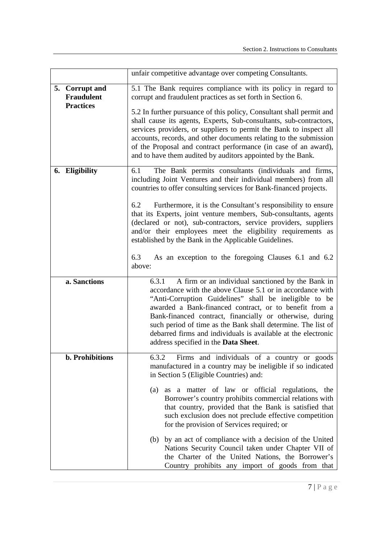|                                     | unfair competitive advantage over competing Consultants.                                                                                                                                                                                                                                                                                                                                                                                                                          |
|-------------------------------------|-----------------------------------------------------------------------------------------------------------------------------------------------------------------------------------------------------------------------------------------------------------------------------------------------------------------------------------------------------------------------------------------------------------------------------------------------------------------------------------|
| 5. Corrupt and<br><b>Fraudulent</b> | 5.1 The Bank requires compliance with its policy in regard to<br>corrupt and fraudulent practices as set forth in Section 6.                                                                                                                                                                                                                                                                                                                                                      |
| <b>Practices</b>                    | 5.2 In further pursuance of this policy, Consultant shall permit and<br>shall cause its agents, Experts, Sub-consultants, sub-contractors,<br>services providers, or suppliers to permit the Bank to inspect all<br>accounts, records, and other documents relating to the submission<br>of the Proposal and contract performance (in case of an award),<br>and to have them audited by auditors appointed by the Bank.                                                           |
| 6. Eligibility                      | The Bank permits consultants (individuals and firms,<br>6.1<br>including Joint Ventures and their individual members) from all<br>countries to offer consulting services for Bank-financed projects.                                                                                                                                                                                                                                                                              |
|                                     | Furthermore, it is the Consultant's responsibility to ensure<br>6.2<br>that its Experts, joint venture members, Sub-consultants, agents<br>(declared or not), sub-contractors, service providers, suppliers<br>and/or their employees meet the eligibility requirements as<br>established by the Bank in the Applicable Guidelines.                                                                                                                                               |
|                                     | 6.3<br>As an exception to the foregoing Clauses 6.1 and 6.2<br>above:                                                                                                                                                                                                                                                                                                                                                                                                             |
| a. Sanctions                        | A firm or an individual sanctioned by the Bank in<br>6.3.1<br>accordance with the above Clause 5.1 or in accordance with<br>"Anti-Corruption Guidelines" shall be ineligible to be<br>awarded a Bank-financed contract, or to benefit from a<br>Bank-financed contract, financially or otherwise, during<br>such period of time as the Bank shall determine. The list of<br>debarred firms and individuals is available at the electronic<br>address specified in the Data Sheet. |
| <b>b.</b> Prohibitions              | 6.3.2 Firms and individuals of a country or goods<br>manufactured in a country may be ineligible if so indicated<br>in Section 5 (Eligible Countries) and:                                                                                                                                                                                                                                                                                                                        |
|                                     | (a) as a matter of law or official regulations, the<br>Borrower's country prohibits commercial relations with<br>that country, provided that the Bank is satisfied that<br>such exclusion does not preclude effective competition<br>for the provision of Services required; or                                                                                                                                                                                                   |
|                                     | (b) by an act of compliance with a decision of the United<br>Nations Security Council taken under Chapter VII of<br>the Charter of the United Nations, the Borrower's<br>Country prohibits any import of goods from that                                                                                                                                                                                                                                                          |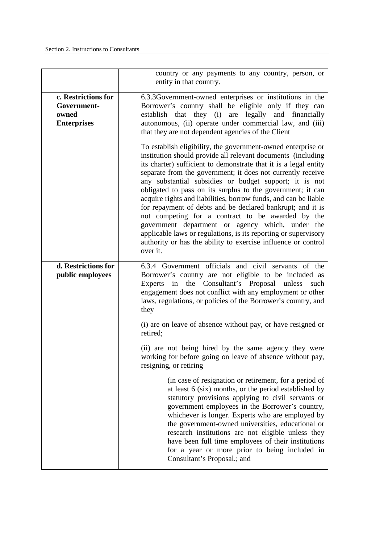|                                                                   | country or any payments to any country, person, or<br>entity in that country.                                                                                                                                                                                                                                                                                                                                                                                                                                                                                                                                                                                                                                                                                                     |
|-------------------------------------------------------------------|-----------------------------------------------------------------------------------------------------------------------------------------------------------------------------------------------------------------------------------------------------------------------------------------------------------------------------------------------------------------------------------------------------------------------------------------------------------------------------------------------------------------------------------------------------------------------------------------------------------------------------------------------------------------------------------------------------------------------------------------------------------------------------------|
| c. Restrictions for<br>Government-<br>owned<br><b>Enterprises</b> | 6.3.3 Government-owned enterprises or institutions in the<br>Borrower's country shall be eligible only if they can<br>establish that they (i) are legally and financially<br>autonomous, (ii) operate under commercial law, and (iii)<br>that they are not dependent agencies of the Client                                                                                                                                                                                                                                                                                                                                                                                                                                                                                       |
|                                                                   | To establish eligibility, the government-owned enterprise or<br>institution should provide all relevant documents (including<br>its charter) sufficient to demonstrate that it is a legal entity<br>separate from the government; it does not currently receive<br>any substantial subsidies or budget support; it is not<br>obligated to pass on its surplus to the government; it can<br>acquire rights and liabilities, borrow funds, and can be liable<br>for repayment of debts and be declared bankrupt; and it is<br>not competing for a contract to be awarded by the<br>government department or agency which, under the<br>applicable laws or regulations, is its reporting or supervisory<br>authority or has the ability to exercise influence or control<br>over it. |
| d. Restrictions for<br>public employees                           | 6.3.4 Government officials and civil servants of the<br>Borrower's country are not eligible to be included as<br>the Consultant's Proposal unless<br>Experts in<br>such<br>engagement does not conflict with any employment or other<br>laws, regulations, or policies of the Borrower's country, and<br>they                                                                                                                                                                                                                                                                                                                                                                                                                                                                     |
|                                                                   | (i) are on leave of absence without pay, or have resigned or<br>retired;                                                                                                                                                                                                                                                                                                                                                                                                                                                                                                                                                                                                                                                                                                          |
|                                                                   | (ii) are not being hired by the same agency they were<br>working for before going on leave of absence without pay,<br>resigning, or retiring                                                                                                                                                                                                                                                                                                                                                                                                                                                                                                                                                                                                                                      |
|                                                                   | (in case of resignation or retirement, for a period of<br>at least 6 (six) months, or the period established by<br>statutory provisions applying to civil servants or<br>government employees in the Borrower's country,<br>whichever is longer. Experts who are employed by<br>the government-owned universities, educational or<br>research institutions are not eligible unless they<br>have been full time employees of their institutions<br>for a year or more prior to being included in<br>Consultant's Proposal.; and                                                                                                                                                                                                                                                    |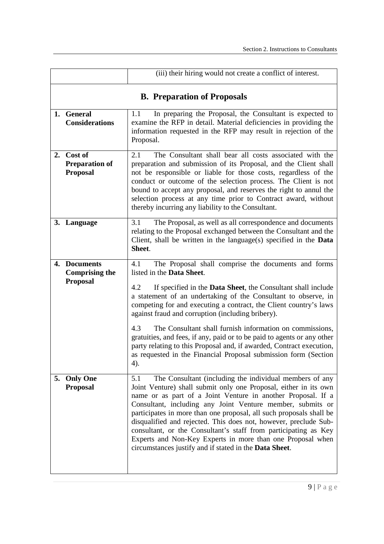|                                                        | (iii) their hiring would not create a conflict of interest.                                                                                                                                                                                                                                                                                                                                                                                                                                                                                                                                                                                                                |  |
|--------------------------------------------------------|----------------------------------------------------------------------------------------------------------------------------------------------------------------------------------------------------------------------------------------------------------------------------------------------------------------------------------------------------------------------------------------------------------------------------------------------------------------------------------------------------------------------------------------------------------------------------------------------------------------------------------------------------------------------------|--|
| <b>B.</b> Preparation of Proposals                     |                                                                                                                                                                                                                                                                                                                                                                                                                                                                                                                                                                                                                                                                            |  |
| 1. General<br><b>Considerations</b>                    | In preparing the Proposal, the Consultant is expected to<br>1.1<br>examine the RFP in detail. Material deficiencies in providing the<br>information requested in the RFP may result in rejection of the<br>Proposal.                                                                                                                                                                                                                                                                                                                                                                                                                                                       |  |
| 2. Cost of<br><b>Preparation of</b><br><b>Proposal</b> | The Consultant shall bear all costs associated with the<br>2.1<br>preparation and submission of its Proposal, and the Client shall<br>not be responsible or liable for those costs, regardless of the<br>conduct or outcome of the selection process. The Client is not<br>bound to accept any proposal, and reserves the right to annul the<br>selection process at any time prior to Contract award, without<br>thereby incurring any liability to the Consultant.                                                                                                                                                                                                       |  |
| 3. Language                                            | The Proposal, as well as all correspondence and documents<br>3.1<br>relating to the Proposal exchanged between the Consultant and the<br>Client, shall be written in the language(s) specified in the <b>Data</b><br>Sheet.                                                                                                                                                                                                                                                                                                                                                                                                                                                |  |
| 4. Documents<br><b>Comprising the</b><br>Proposal      | The Proposal shall comprise the documents and forms<br>4.1<br>listed in the <b>Data Sheet</b> .<br>4.2<br>If specified in the <b>Data Sheet</b> , the Consultant shall include<br>a statement of an undertaking of the Consultant to observe, in<br>competing for and executing a contract, the Client country's laws<br>against fraud and corruption (including bribery).<br>4.3<br>The Consultant shall furnish information on commissions,<br>gratuities, and fees, if any, paid or to be paid to agents or any other<br>party relating to this Proposal and, if awarded, Contract execution,<br>as requested in the Financial Proposal submission form (Section<br>4). |  |
| 5. Only One<br><b>Proposal</b>                         | The Consultant (including the individual members of any<br>5.1<br>Joint Venture) shall submit only one Proposal, either in its own<br>name or as part of a Joint Venture in another Proposal. If a<br>Consultant, including any Joint Venture member, submits or<br>participates in more than one proposal, all such proposals shall be<br>disqualified and rejected. This does not, however, preclude Sub-<br>consultant, or the Consultant's staff from participating as Key<br>Experts and Non-Key Experts in more than one Proposal when<br>circumstances justify and if stated in the Data Sheet.                                                                     |  |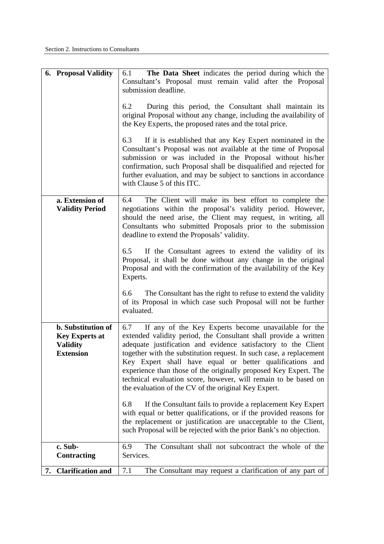| <b>6. Proposal Validity</b>                                                               | The Data Sheet indicates the period during which the<br>6.1<br>Consultant's Proposal must remain valid after the Proposal<br>submission deadline.                                                                                                                                                                                                                                                                                                                                                                                   |
|-------------------------------------------------------------------------------------------|-------------------------------------------------------------------------------------------------------------------------------------------------------------------------------------------------------------------------------------------------------------------------------------------------------------------------------------------------------------------------------------------------------------------------------------------------------------------------------------------------------------------------------------|
|                                                                                           | During this period, the Consultant shall maintain its<br>6.2<br>original Proposal without any change, including the availability of<br>the Key Experts, the proposed rates and the total price.                                                                                                                                                                                                                                                                                                                                     |
|                                                                                           | If it is established that any Key Expert nominated in the<br>6.3<br>Consultant's Proposal was not available at the time of Proposal<br>submission or was included in the Proposal without his/her<br>confirmation, such Proposal shall be disqualified and rejected for<br>further evaluation, and may be subject to sanctions in accordance<br>with Clause 5 of this ITC.                                                                                                                                                          |
| a. Extension of<br><b>Validity Period</b>                                                 | The Client will make its best effort to complete the<br>6.4<br>negotiations within the proposal's validity period. However,<br>should the need arise, the Client may request, in writing, all<br>Consultants who submitted Proposals prior to the submission<br>deadline to extend the Proposals' validity.                                                                                                                                                                                                                         |
|                                                                                           | If the Consultant agrees to extend the validity of its<br>6.5<br>Proposal, it shall be done without any change in the original<br>Proposal and with the confirmation of the availability of the Key<br>Experts.                                                                                                                                                                                                                                                                                                                     |
|                                                                                           | The Consultant has the right to refuse to extend the validity<br>6.6<br>of its Proposal in which case such Proposal will not be further<br>evaluated.                                                                                                                                                                                                                                                                                                                                                                               |
| <b>b.</b> Substitution of<br><b>Key Experts at</b><br><b>Validity</b><br><b>Extension</b> | If any of the Key Experts become unavailable for the<br>6.7<br>extended validity period, the Consultant shall provide a written<br>adequate justification and evidence satisfactory to the Client<br>together with the substitution request. In such case, a replacement<br>Key Expert shall have equal or better qualifications and<br>experience than those of the originally proposed Key Expert. The<br>technical evaluation score, however, will remain to be based on<br>the evaluation of the CV of the original Key Expert. |
|                                                                                           | If the Consultant fails to provide a replacement Key Expert<br>6.8<br>with equal or better qualifications, or if the provided reasons for<br>the replacement or justification are unacceptable to the Client,<br>such Proposal will be rejected with the prior Bank's no objection.                                                                                                                                                                                                                                                 |
| c. Sub-<br><b>Contracting</b>                                                             | The Consultant shall not subcontract the whole of the<br>6.9<br>Services.                                                                                                                                                                                                                                                                                                                                                                                                                                                           |
| <b>Clarification and</b><br>7.                                                            | The Consultant may request a clarification of any part of<br>7.1                                                                                                                                                                                                                                                                                                                                                                                                                                                                    |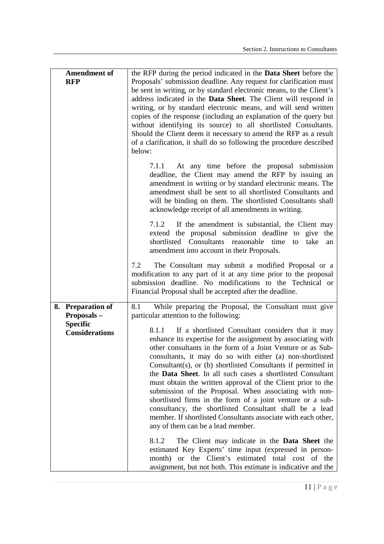| <b>Amendment of</b>                                                         | the RFP during the period indicated in the <b>Data Sheet</b> before the                                                                                                                                                                                                                                                                                                                                                                                                                                                                                                                                                                                                                                                                                                                                                                                    |
|-----------------------------------------------------------------------------|------------------------------------------------------------------------------------------------------------------------------------------------------------------------------------------------------------------------------------------------------------------------------------------------------------------------------------------------------------------------------------------------------------------------------------------------------------------------------------------------------------------------------------------------------------------------------------------------------------------------------------------------------------------------------------------------------------------------------------------------------------------------------------------------------------------------------------------------------------|
| <b>RFP</b>                                                                  | Proposals' submission deadline. Any request for clarification must<br>be sent in writing, or by standard electronic means, to the Client's<br>address indicated in the Data Sheet. The Client will respond in<br>writing, or by standard electronic means, and will send written<br>copies of the response (including an explanation of the query but<br>without identifying its source) to all shortlisted Consultants.<br>Should the Client deem it necessary to amend the RFP as a result<br>of a clarification, it shall do so following the procedure described<br>below:                                                                                                                                                                                                                                                                             |
|                                                                             | At any time before the proposal submission<br>7.1.1<br>deadline, the Client may amend the RFP by issuing an<br>amendment in writing or by standard electronic means. The<br>amendment shall be sent to all shortlisted Consultants and<br>will be binding on them. The shortlisted Consultants shall<br>acknowledge receipt of all amendments in writing.                                                                                                                                                                                                                                                                                                                                                                                                                                                                                                  |
|                                                                             | 7.1.2 If the amendment is substantial, the Client may<br>extend the proposal submission deadline to give the<br>shortlisted Consultants reasonable time<br>take<br>to<br>an<br>amendment into account in their Proposals.                                                                                                                                                                                                                                                                                                                                                                                                                                                                                                                                                                                                                                  |
|                                                                             | The Consultant may submit a modified Proposal or a<br>7.2<br>modification to any part of it at any time prior to the proposal<br>submission deadline. No modifications to the Technical or<br>Financial Proposal shall be accepted after the deadline.                                                                                                                                                                                                                                                                                                                                                                                                                                                                                                                                                                                                     |
| 8. Preparation of<br>Proposals-<br><b>Specific</b><br><b>Considerations</b> | While preparing the Proposal, the Consultant must give<br>8.1<br>particular attention to the following:<br>If a shortlisted Consultant considers that it may<br>8.1.1<br>enhance its expertise for the assignment by associating with<br>other consultants in the form of a Joint Venture or as Sub-<br>consultants, it may do so with either (a) non-shortlisted<br>Consultant(s), or $(b)$ shortlisted Consultants if permitted in<br>the Data Sheet. In all such cases a shortlisted Consultant<br>must obtain the written approval of the Client prior to the<br>submission of the Proposal. When associating with non-<br>shortlisted firms in the form of a joint venture or a sub-<br>consultancy, the shortlisted Consultant shall be a lead<br>member. If shortlisted Consultants associate with each other,<br>any of them can be a lead member. |
|                                                                             | The Client may indicate in the <b>Data Sheet</b> the<br>8.1.2<br>estimated Key Experts' time input (expressed in person-<br>or the Client's estimated total cost of the<br>month)<br>assignment, but not both. This estimate is indicative and the                                                                                                                                                                                                                                                                                                                                                                                                                                                                                                                                                                                                         |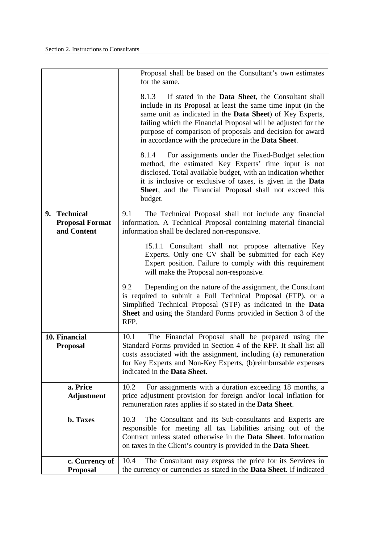|                                                       | Proposal shall be based on the Consultant's own estimates<br>for the same.                                                                                                                                                                                                                                                                                                                           |
|-------------------------------------------------------|------------------------------------------------------------------------------------------------------------------------------------------------------------------------------------------------------------------------------------------------------------------------------------------------------------------------------------------------------------------------------------------------------|
|                                                       | If stated in the <b>Data Sheet</b> , the Consultant shall<br>8.1.3<br>include in its Proposal at least the same time input (in the<br>same unit as indicated in the <b>Data Sheet</b> ) of Key Experts,<br>failing which the Financial Proposal will be adjusted for the<br>purpose of comparison of proposals and decision for award<br>in accordance with the procedure in the <b>Data Sheet</b> . |
|                                                       | For assignments under the Fixed-Budget selection<br>8.1.4<br>method, the estimated Key Experts' time input is not<br>disclosed. Total available budget, with an indication whether<br>it is inclusive or exclusive of taxes, is given in the Data<br>Sheet, and the Financial Proposal shall not exceed this<br>budget.                                                                              |
| 9. Technical<br><b>Proposal Format</b><br>and Content | The Technical Proposal shall not include any financial<br>9.1<br>information. A Technical Proposal containing material financial<br>information shall be declared non-responsive.                                                                                                                                                                                                                    |
|                                                       | 15.1.1 Consultant shall not propose alternative Key<br>Experts. Only one CV shall be submitted for each Key<br>Expert position. Failure to comply with this requirement<br>will make the Proposal non-responsive.                                                                                                                                                                                    |
|                                                       | 9.2<br>Depending on the nature of the assignment, the Consultant<br>is required to submit a Full Technical Proposal (FTP), or a<br>Simplified Technical Proposal (STP) as indicated in the Data<br>Sheet and using the Standard Forms provided in Section 3 of the<br>RFP.                                                                                                                           |
| 10. Financial<br><b>Proposal</b>                      | The Financial Proposal shall be prepared using the<br>10.1<br>Standard Forms provided in Section 4 of the RFP. It shall list all<br>costs associated with the assignment, including (a) remuneration<br>for Key Experts and Non-Key Experts, (b)reimbursable expenses<br>indicated in the Data Sheet.                                                                                                |
| a. Price<br><b>Adjustment</b>                         | For assignments with a duration exceeding 18 months, a<br>10.2<br>price adjustment provision for foreign and/or local inflation for<br>remuneration rates applies if so stated in the Data Sheet.                                                                                                                                                                                                    |
| b. Taxes                                              | The Consultant and its Sub-consultants and Experts are<br>10.3<br>responsible for meeting all tax liabilities arising out of the<br>Contract unless stated otherwise in the Data Sheet. Information<br>on taxes in the Client's country is provided in the <b>Data Sheet</b> .                                                                                                                       |
| c. Currency of<br><b>Proposal</b>                     | The Consultant may express the price for its Services in<br>10.4<br>the currency or currencies as stated in the Data Sheet. If indicated                                                                                                                                                                                                                                                             |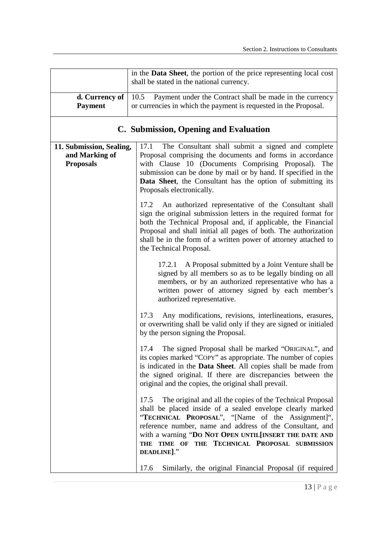|                                                                | in the Data Sheet, the portion of the price representing local cost<br>shall be stated in the national currency.                                                                                                                                                                                                                                                                     |
|----------------------------------------------------------------|--------------------------------------------------------------------------------------------------------------------------------------------------------------------------------------------------------------------------------------------------------------------------------------------------------------------------------------------------------------------------------------|
| d. Currency of<br><b>Payment</b>                               | 10.5<br>Payment under the Contract shall be made in the currency<br>or currencies in which the payment is requested in the Proposal.                                                                                                                                                                                                                                                 |
|                                                                | C. Submission, Opening and Evaluation                                                                                                                                                                                                                                                                                                                                                |
| 11. Submission, Sealing,<br>and Marking of<br><b>Proposals</b> | The Consultant shall submit a signed and complete<br>17.1<br>Proposal comprising the documents and forms in accordance<br>with Clause 10 (Documents Comprising Proposal). The<br>submission can be done by mail or by hand. If specified in the<br>Data Sheet, the Consultant has the option of submitting its<br>Proposals electronically.                                          |
|                                                                | An authorized representative of the Consultant shall<br>17.2<br>sign the original submission letters in the required format for<br>both the Technical Proposal and, if applicable, the Financial<br>Proposal and shall initial all pages of both. The authorization<br>shall be in the form of a written power of attorney attached to<br>the Technical Proposal.                    |
|                                                                | 17.2.1 A Proposal submitted by a Joint Venture shall be<br>signed by all members so as to be legally binding on all<br>members, or by an authorized representative who has a<br>written power of attorney signed by each member's<br>authorized representative.                                                                                                                      |
|                                                                | Any modifications, revisions, interlineations, erasures,<br>17.3<br>or overwriting shall be valid only if they are signed or initialed<br>by the person signing the Proposal.                                                                                                                                                                                                        |
|                                                                | 17.4 The signed Proposal shall be marked "ORIGINAL", and<br>its copies marked "COPY" as appropriate. The number of copies<br>is indicated in the <b>Data Sheet</b> . All copies shall be made from<br>the signed original. If there are discrepancies between the<br>original and the copies, the original shall prevail.                                                            |
|                                                                | 17.5 The original and all the copies of the Technical Proposal<br>shall be placed inside of a sealed envelope clearly marked<br>"TECHNICAL PROPOSAL", "[Name of the Assignment]",<br>reference number, name and address of the Consultant, and<br>with a warning "DO NOT OPEN UNTIL[INSERT THE DATE AND<br>THE TECHNICAL PROPOSAL SUBMISSION<br>TIME OF<br><b>THE</b><br>DEADLINE]." |
|                                                                | 17.6<br>Similarly, the original Financial Proposal (if required                                                                                                                                                                                                                                                                                                                      |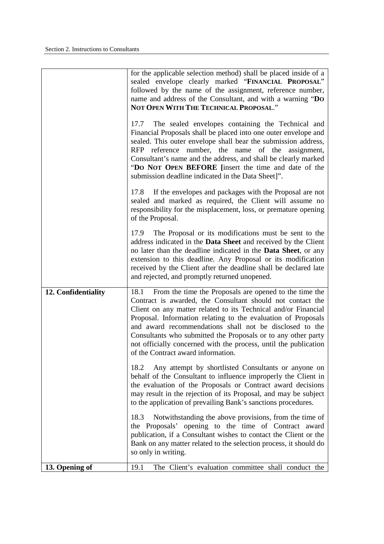|                     | for the applicable selection method) shall be placed inside of a<br>sealed envelope clearly marked "FINANCIAL PROPOSAL"<br>followed by the name of the assignment, reference number,<br>name and address of the Consultant, and with a warning "DO<br>NOT OPEN WITH THE TECHNICAL PROPOSAL."<br>17.7 The sealed envelopes containing the Technical and<br>Financial Proposals shall be placed into one outer envelope and<br>sealed. This outer envelope shall bear the submission address,<br>RFP reference number, the name of the assignment,<br>Consultant's name and the address, and shall be clearly marked<br>"DO NOT OPEN BEFORE [insert the time and date of the<br>submission deadline indicated in the Data Sheet]".<br>17.8 If the envelopes and packages with the Proposal are not<br>sealed and marked as required, the Client will assume no |
|---------------------|--------------------------------------------------------------------------------------------------------------------------------------------------------------------------------------------------------------------------------------------------------------------------------------------------------------------------------------------------------------------------------------------------------------------------------------------------------------------------------------------------------------------------------------------------------------------------------------------------------------------------------------------------------------------------------------------------------------------------------------------------------------------------------------------------------------------------------------------------------------|
|                     | responsibility for the misplacement, loss, or premature opening<br>of the Proposal.<br>17.9 The Proposal or its modifications must be sent to the<br>address indicated in the Data Sheet and received by the Client<br>no later than the deadline indicated in the Data Sheet, or any<br>extension to this deadline. Any Proposal or its modification<br>received by the Client after the deadline shall be declared late<br>and rejected, and promptly returned unopened.                                                                                                                                                                                                                                                                                                                                                                                   |
| 12. Confidentiality | From the time the Proposals are opened to the time the<br>18.1<br>Contract is awarded, the Consultant should not contact the<br>Client on any matter related to its Technical and/or Financial<br>Proposal. Information relating to the evaluation of Proposals<br>and award recommendations shall not be disclosed to the<br>Consultants who submitted the Proposals or to any other party<br>not officially concerned with the process, until the publication<br>of the Contract award information.                                                                                                                                                                                                                                                                                                                                                        |
|                     | Any attempt by shortlisted Consultants or anyone on<br>18.2<br>behalf of the Consultant to influence improperly the Client in<br>the evaluation of the Proposals or Contract award decisions<br>may result in the rejection of its Proposal, and may be subject<br>to the application of prevailing Bank's sanctions procedures.<br>Notwithstanding the above provisions, from the time of<br>18.3                                                                                                                                                                                                                                                                                                                                                                                                                                                           |
| 13. Opening of      | the Proposals' opening to the time of Contract award<br>publication, if a Consultant wishes to contact the Client or the<br>Bank on any matter related to the selection process, it should do<br>so only in writing.<br>The Client's evaluation committee shall conduct the<br>19.1                                                                                                                                                                                                                                                                                                                                                                                                                                                                                                                                                                          |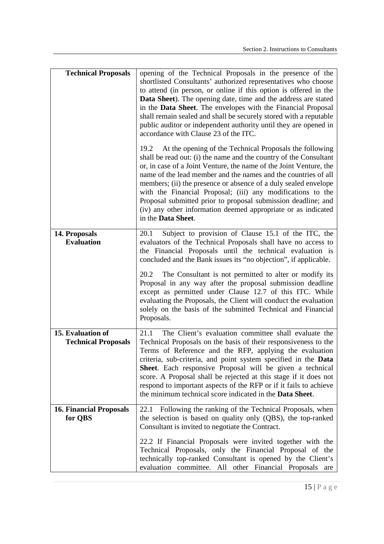| <b>Technical Proposals</b>                      | opening of the Technical Proposals in the presence of the<br>shortlisted Consultants' authorized representatives who choose<br>to attend (in person, or online if this option is offered in the<br>Data Sheet). The opening date, time and the address are stated<br>in the Data Sheet. The envelopes with the Financial Proposal<br>shall remain sealed and shall be securely stored with a reputable<br>public auditor or independent authority until they are opened in<br>accordance with Clause 23 of the ITC.<br>At the opening of the Technical Proposals the following<br>19.2<br>shall be read out: (i) the name and the country of the Consultant<br>or, in case of a Joint Venture, the name of the Joint Venture, the<br>name of the lead member and the names and the countries of all<br>members; (ii) the presence or absence of a duly sealed envelope<br>with the Financial Proposal; (iii) any modifications to the |
|-------------------------------------------------|---------------------------------------------------------------------------------------------------------------------------------------------------------------------------------------------------------------------------------------------------------------------------------------------------------------------------------------------------------------------------------------------------------------------------------------------------------------------------------------------------------------------------------------------------------------------------------------------------------------------------------------------------------------------------------------------------------------------------------------------------------------------------------------------------------------------------------------------------------------------------------------------------------------------------------------|
|                                                 | Proposal submitted prior to proposal submission deadline; and<br>(iv) any other information deemed appropriate or as indicated<br>in the Data Sheet.                                                                                                                                                                                                                                                                                                                                                                                                                                                                                                                                                                                                                                                                                                                                                                                  |
| 14. Proposals<br><b>Evaluation</b>              | Subject to provision of Clause 15.1 of the ITC, the<br>20.1<br>evaluators of the Technical Proposals shall have no access to<br>the Financial Proposals until the technical evaluation is<br>concluded and the Bank issues its "no objection", if applicable.<br>The Consultant is not permitted to alter or modify its<br>20.2<br>Proposal in any way after the proposal submission deadline<br>except as permitted under Clause 12.7 of this ITC. While<br>evaluating the Proposals, the Client will conduct the evaluation<br>solely on the basis of the submitted Technical and Financial<br>Proposals.                                                                                                                                                                                                                                                                                                                           |
| 15. Evaluation of<br><b>Technical Proposals</b> | The Client's evaluation committee shall evaluate the<br>21.1<br>Technical Proposals on the basis of their responsiveness to the<br>Terms of Reference and the RFP, applying the evaluation<br>criteria, sub-criteria, and point system specified in the Data<br>Sheet. Each responsive Proposal will be given a technical<br>score. A Proposal shall be rejected at this stage if it does not<br>respond to important aspects of the RFP or if it fails to achieve<br>the minimum technical score indicated in the <b>Data Sheet</b> .                                                                                                                                                                                                                                                                                                                                                                                                |
| <b>16. Financial Proposals</b><br>for QBS       | 22.1 Following the ranking of the Technical Proposals, when<br>the selection is based on quality only (QBS), the top-ranked<br>Consultant is invited to negotiate the Contract.                                                                                                                                                                                                                                                                                                                                                                                                                                                                                                                                                                                                                                                                                                                                                       |
|                                                 | 22.2 If Financial Proposals were invited together with the<br>Technical Proposals, only the Financial Proposal of the<br>technically top-ranked Consultant is opened by the Client's<br>evaluation committee. All other Financial Proposals are                                                                                                                                                                                                                                                                                                                                                                                                                                                                                                                                                                                                                                                                                       |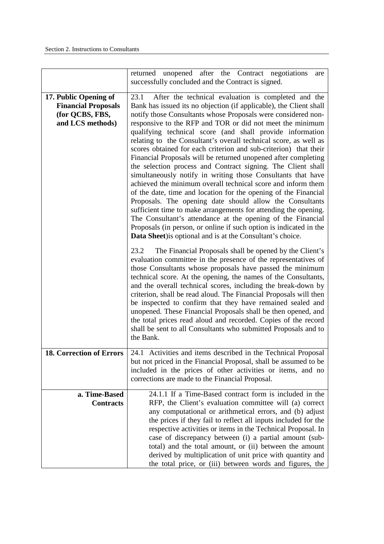|                                                                                            | returned unopened after the Contract negotiations<br>are<br>successfully concluded and the Contract is signed.                                                                                                                                                                                                                                                                                                                                                                                                                                                                                                                                                                                                                                                                                                                                                                                                                                                                                                                                                                                                                              |
|--------------------------------------------------------------------------------------------|---------------------------------------------------------------------------------------------------------------------------------------------------------------------------------------------------------------------------------------------------------------------------------------------------------------------------------------------------------------------------------------------------------------------------------------------------------------------------------------------------------------------------------------------------------------------------------------------------------------------------------------------------------------------------------------------------------------------------------------------------------------------------------------------------------------------------------------------------------------------------------------------------------------------------------------------------------------------------------------------------------------------------------------------------------------------------------------------------------------------------------------------|
| 17. Public Opening of<br><b>Financial Proposals</b><br>(for QCBS, FBS,<br>and LCS methods) | After the technical evaluation is completed and the<br>23.1<br>Bank has issued its no objection (if applicable), the Client shall<br>notify those Consultants whose Proposals were considered non-<br>responsive to the RFP and TOR or did not meet the minimum<br>qualifying technical score (and shall provide information<br>relating to the Consultant's overall technical score, as well as<br>scores obtained for each criterion and sub-criterion) that their<br>Financial Proposals will be returned unopened after completing<br>the selection process and Contract signing. The Client shall<br>simultaneously notify in writing those Consultants that have<br>achieved the minimum overall technical score and inform them<br>of the date, time and location for the opening of the Financial<br>Proposals. The opening date should allow the Consultants<br>sufficient time to make arrangements for attending the opening.<br>The Consultant's attendance at the opening of the Financial<br>Proposals (in person, or online if such option is indicated in the<br>Data Sheet) is optional and is at the Consultant's choice. |
|                                                                                            | The Financial Proposals shall be opened by the Client's<br>23.2<br>evaluation committee in the presence of the representatives of<br>those Consultants whose proposals have passed the minimum<br>technical score. At the opening, the names of the Consultants,<br>and the overall technical scores, including the break-down by<br>criterion, shall be read aloud. The Financial Proposals will then<br>be inspected to confirm that they have remained sealed and<br>unopened. These Financial Proposals shall be then opened, and<br>the total prices read aloud and recorded. Copies of the record<br>shall be sent to all Consultants who submitted Proposals and to<br>the Bank.                                                                                                                                                                                                                                                                                                                                                                                                                                                     |
| <b>18. Correction of Errors</b>                                                            | 24.1 Activities and items described in the Technical Proposal<br>but not priced in the Financial Proposal, shall be assumed to be<br>included in the prices of other activities or items, and no<br>corrections are made to the Financial Proposal.                                                                                                                                                                                                                                                                                                                                                                                                                                                                                                                                                                                                                                                                                                                                                                                                                                                                                         |
| a. Time-Based<br><b>Contracts</b>                                                          | 24.1.1 If a Time-Based contract form is included in the<br>RFP, the Client's evaluation committee will (a) correct<br>any computational or arithmetical errors, and (b) adjust<br>the prices if they fail to reflect all inputs included for the<br>respective activities or items in the Technical Proposal. In<br>case of discrepancy between (i) a partial amount (sub-<br>total) and the total amount, or (ii) between the amount<br>derived by multiplication of unit price with quantity and<br>the total price, or (iii) between words and figures, the                                                                                                                                                                                                                                                                                                                                                                                                                                                                                                                                                                              |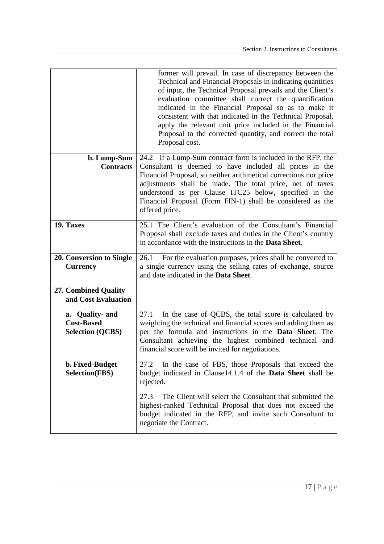|                                                    | former will prevail. In case of discrepancy between the<br>Technical and Financial Proposals in indicating quantities<br>of input, the Technical Proposal prevails and the Client's<br>evaluation committee shall correct the quantification<br>indicated in the Financial Proposal so as to make it<br>consistent with that indicated in the Technical Proposal,<br>apply the relevant unit price included in the Financial<br>Proposal to the corrected quantity, and correct the total<br>Proposal cost. |
|----------------------------------------------------|-------------------------------------------------------------------------------------------------------------------------------------------------------------------------------------------------------------------------------------------------------------------------------------------------------------------------------------------------------------------------------------------------------------------------------------------------------------------------------------------------------------|
| b. Lump-Sum                                        | 24.2 If a Lump-Sum contract form is included in the RFP, the                                                                                                                                                                                                                                                                                                                                                                                                                                                |
| <b>Contracts</b>                                   | Consultant is deemed to have included all prices in the                                                                                                                                                                                                                                                                                                                                                                                                                                                     |
|                                                    | Financial Proposal, so neither arithmetical corrections nor price<br>adjustments shall be made. The total price, net of taxes<br>understood as per Clause ITC25 below, specified in the<br>Financial Proposal (Form FIN-1) shall be considered as the<br>offered price.                                                                                                                                                                                                                                     |
| 19. Taxes                                          | 25.1 The Client's evaluation of the Consultant's Financial<br>Proposal shall exclude taxes and duties in the Client's country<br>in accordance with the instructions in the <b>Data Sheet</b> .                                                                                                                                                                                                                                                                                                             |
| 20. Conversion to Single                           | For the evaluation purposes, prices shall be converted to<br>26.1                                                                                                                                                                                                                                                                                                                                                                                                                                           |
| <b>Currency</b>                                    | a single currency using the selling rates of exchange, source<br>and date indicated in the Data Sheet.                                                                                                                                                                                                                                                                                                                                                                                                      |
| <b>27. Combined Quality</b><br>and Cost Evaluation |                                                                                                                                                                                                                                                                                                                                                                                                                                                                                                             |
| a. Quality- and                                    | In the case of QCBS, the total score is calculated by<br>27.1                                                                                                                                                                                                                                                                                                                                                                                                                                               |
| <b>Cost-Based</b>                                  | weighting the technical and financial scores and adding them as                                                                                                                                                                                                                                                                                                                                                                                                                                             |
| <b>Selection (QCBS)</b>                            | per the formula and instructions in the Data Sheet. The<br>Consultant achieving the highest combined technical and<br>financial score will be invited for negotiations.                                                                                                                                                                                                                                                                                                                                     |
| b. Fixed-Budget                                    | In the case of FBS, those Proposals that exceed the<br>27.2                                                                                                                                                                                                                                                                                                                                                                                                                                                 |
| <b>Selection(FBS)</b>                              | budget indicated in Clause14.1.4 of the Data Sheet shall be<br>rejected.                                                                                                                                                                                                                                                                                                                                                                                                                                    |
|                                                    | The Client will select the Consultant that submitted the<br>27.3<br>highest-ranked Technical Proposal that does not exceed the<br>budget indicated in the RFP, and invite such Consultant to<br>negotiate the Contract.                                                                                                                                                                                                                                                                                     |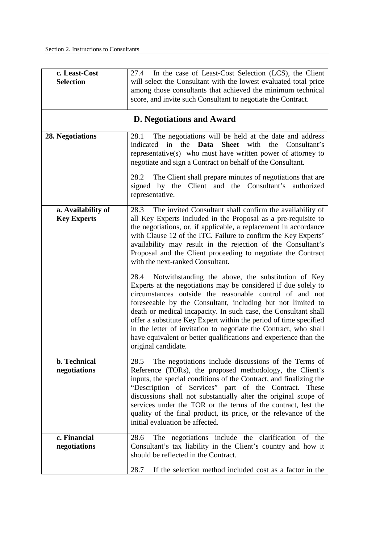| c. Least-Cost<br><b>Selection</b>        | 27.4 In the case of Least-Cost Selection (LCS), the Client<br>will select the Consultant with the lowest evaluated total price<br>among those consultants that achieved the minimum technical<br>score, and invite such Consultant to negotiate the Contract.                                                                                                                                                                                                                                                                                                                                                                                                                                                                                                                                                                                                                                                                                                                                              |
|------------------------------------------|------------------------------------------------------------------------------------------------------------------------------------------------------------------------------------------------------------------------------------------------------------------------------------------------------------------------------------------------------------------------------------------------------------------------------------------------------------------------------------------------------------------------------------------------------------------------------------------------------------------------------------------------------------------------------------------------------------------------------------------------------------------------------------------------------------------------------------------------------------------------------------------------------------------------------------------------------------------------------------------------------------|
|                                          | <b>D.</b> Negotiations and Award                                                                                                                                                                                                                                                                                                                                                                                                                                                                                                                                                                                                                                                                                                                                                                                                                                                                                                                                                                           |
| 28. Negotiations                         | The negotiations will be held at the date and address<br>28.1<br>indicated<br>in<br>the<br>Data<br>Sheet with<br>the<br>Consultant's<br>representative(s) who must have written power of attorney to<br>negotiate and sign a Contract on behalf of the Consultant.                                                                                                                                                                                                                                                                                                                                                                                                                                                                                                                                                                                                                                                                                                                                         |
|                                          | The Client shall prepare minutes of negotiations that are<br>28.2<br>signed by the Client and the Consultant's authorized<br>representative.                                                                                                                                                                                                                                                                                                                                                                                                                                                                                                                                                                                                                                                                                                                                                                                                                                                               |
| a. Availability of<br><b>Key Experts</b> | 28.3 The invited Consultant shall confirm the availability of<br>all Key Experts included in the Proposal as a pre-requisite to<br>the negotiations, or, if applicable, a replacement in accordance<br>with Clause 12 of the ITC. Failure to confirm the Key Experts'<br>availability may result in the rejection of the Consultant's<br>Proposal and the Client proceeding to negotiate the Contract<br>with the next-ranked Consultant.<br>Notwithstanding the above, the substitution of Key<br>28.4<br>Experts at the negotiations may be considered if due solely to<br>circumstances outside the reasonable control of and not<br>foreseeable by the Consultant, including but not limited to<br>death or medical incapacity. In such case, the Consultant shall<br>offer a substitute Key Expert within the period of time specified<br>in the letter of invitation to negotiate the Contract, who shall<br>have equivalent or better qualifications and experience than the<br>original candidate. |
| <b>b.</b> Technical<br>negotiations      | The negotiations include discussions of the Terms of<br>28.5<br>Reference (TORs), the proposed methodology, the Client's<br>inputs, the special conditions of the Contract, and finalizing the<br>"Description of Services" part of the Contract. These<br>discussions shall not substantially alter the original scope of<br>services under the TOR or the terms of the contract, lest the<br>quality of the final product, its price, or the relevance of the<br>initial evaluation be affected.                                                                                                                                                                                                                                                                                                                                                                                                                                                                                                         |
| c. Financial<br>negotiations             | The negotiations include the clarification of the<br>28.6<br>Consultant's tax liability in the Client's country and how it<br>should be reflected in the Contract.<br>If the selection method included cost as a factor in the<br>28.7                                                                                                                                                                                                                                                                                                                                                                                                                                                                                                                                                                                                                                                                                                                                                                     |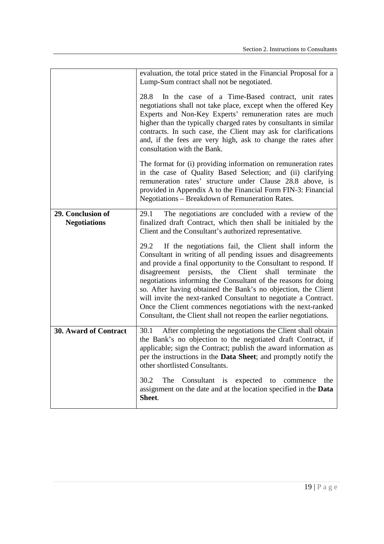|                                          | evaluation, the total price stated in the Financial Proposal for a<br>Lump-Sum contract shall not be negotiated.                                                                                                                                                                                                                                                                                                                                                                                                                                                                                   |
|------------------------------------------|----------------------------------------------------------------------------------------------------------------------------------------------------------------------------------------------------------------------------------------------------------------------------------------------------------------------------------------------------------------------------------------------------------------------------------------------------------------------------------------------------------------------------------------------------------------------------------------------------|
|                                          | In the case of a Time-Based contract, unit rates<br>28.8<br>negotiations shall not take place, except when the offered Key<br>Experts and Non-Key Experts' remuneration rates are much<br>higher than the typically charged rates by consultants in similar<br>contracts. In such case, the Client may ask for clarifications<br>and, if the fees are very high, ask to change the rates after<br>consultation with the Bank.                                                                                                                                                                      |
|                                          | The format for (i) providing information on remuneration rates<br>in the case of Quality Based Selection; and (ii) clarifying<br>remuneration rates' structure under Clause 28.8 above, is<br>provided in Appendix A to the Financial Form FIN-3: Financial<br>Negotiations - Breakdown of Remuneration Rates.                                                                                                                                                                                                                                                                                     |
| 29. Conclusion of<br><b>Negotiations</b> | The negotiations are concluded with a review of the<br>29.1<br>finalized draft Contract, which then shall be initialed by the<br>Client and the Consultant's authorized representative.                                                                                                                                                                                                                                                                                                                                                                                                            |
|                                          | 29.2 If the negotiations fail, the Client shall inform the<br>Consultant in writing of all pending issues and disagreements<br>and provide a final opportunity to the Consultant to respond. If<br>disagreement persists, the Client shall terminate the<br>negotiations informing the Consultant of the reasons for doing<br>so. After having obtained the Bank's no objection, the Client<br>will invite the next-ranked Consultant to negotiate a Contract.<br>Once the Client commences negotiations with the next-ranked<br>Consultant, the Client shall not reopen the earlier negotiations. |
| <b>30. Award of Contract</b>             | After completing the negotiations the Client shall obtain<br>30.1<br>the Bank's no objection to the negotiated draft Contract, if<br>applicable; sign the Contract; publish the award information as<br>per the instructions in the Data Sheet; and promptly notify the<br>other shortlisted Consultants.                                                                                                                                                                                                                                                                                          |
|                                          | 30.2<br>The<br>Consultant is<br>expected to<br>the<br>commence<br>assignment on the date and at the location specified in the Data<br>Sheet.                                                                                                                                                                                                                                                                                                                                                                                                                                                       |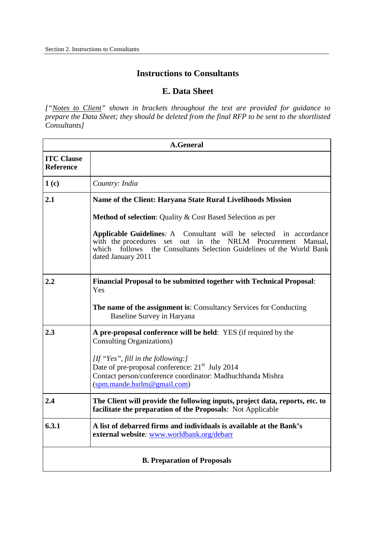### **Instructions to Consultants**

### **E. Data Sheet**

["Notes to Client" shown in brackets throughout the text are provided for guidance to  *prepare the Data Sheet; they should be deleted from the final RFP to be sent to the shortlisted Consultants]* 

|                                       | <b>A.General</b>                                                                                                                                                                                                                                      |  |
|---------------------------------------|-------------------------------------------------------------------------------------------------------------------------------------------------------------------------------------------------------------------------------------------------------|--|
| <b>ITC Clause</b><br><b>Reference</b> |                                                                                                                                                                                                                                                       |  |
| 1(c)                                  | Country: India                                                                                                                                                                                                                                        |  |
| 2.1                                   | Name of the Client: Haryana State Rural Livelihoods Mission                                                                                                                                                                                           |  |
|                                       | Method of selection: Quality & Cost Based Selection as per                                                                                                                                                                                            |  |
|                                       | <b>Applicable Guidelines: A</b><br>Consultant will be selected in accordance<br>set out in the NRLM Procurement<br>with the procedures<br>Manual,<br>the Consultants Selection Guidelines of the World Bank<br>which<br>follows<br>dated January 2011 |  |
| 2.2                                   | <b>Financial Proposal to be submitted together with Technical Proposal:</b><br>Yes                                                                                                                                                                    |  |
|                                       | The name of the assignment is: Consultancy Services for Conducting<br>Baseline Survey in Haryana                                                                                                                                                      |  |
| 2.3                                   | A pre-proposal conference will be held: YES (if required by the<br><b>Consulting Organizations</b> )                                                                                                                                                  |  |
|                                       | [If "Yes", fill in the following:]<br>Date of pre-proposal conference: 21 <sup>st</sup> July 2014<br>Contact person/conference coordinator: Madhuchhanda Mishra<br>(spm.mande.hsrlm@gmail.com)                                                        |  |
| 2.4                                   | The Client will provide the following inputs, project data, reports, etc. to<br>facilitate the preparation of the Proposals: Not Applicable                                                                                                           |  |
| 6.3.1                                 | A list of debarred firms and individuals is available at the Bank's<br>external website: www.worldbank.org/debarr                                                                                                                                     |  |
| <b>B. Preparation of Proposals</b>    |                                                                                                                                                                                                                                                       |  |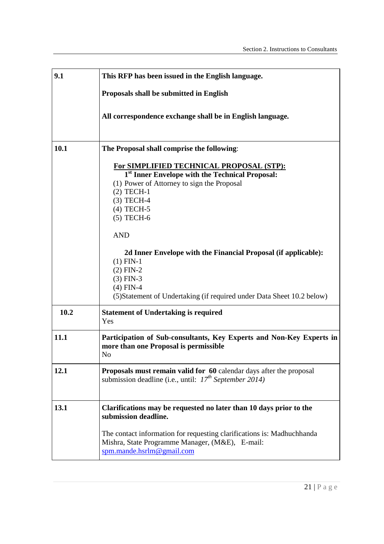| 9.1  | This RFP has been issued in the English language.                                                                                                                                                                                                                                                                                                                                                                               |
|------|---------------------------------------------------------------------------------------------------------------------------------------------------------------------------------------------------------------------------------------------------------------------------------------------------------------------------------------------------------------------------------------------------------------------------------|
|      | Proposals shall be submitted in English                                                                                                                                                                                                                                                                                                                                                                                         |
|      | All correspondence exchange shall be in English language.                                                                                                                                                                                                                                                                                                                                                                       |
| 10.1 | The Proposal shall comprise the following:                                                                                                                                                                                                                                                                                                                                                                                      |
|      | For SIMPLIFIED TECHNICAL PROPOSAL (STP):<br>1st Inner Envelope with the Technical Proposal:<br>(1) Power of Attorney to sign the Proposal<br>$(2)$ TECH-1<br>$(3)$ TECH-4<br>$(4)$ TECH-5<br>$(5)$ TECH-6<br><b>AND</b><br>2d Inner Envelope with the Financial Proposal (if applicable):<br>$(1)$ FIN-1<br>$(2)$ FIN-2<br>$(3)$ FIN-3<br>$(4)$ FIN-4<br>(5) Statement of Undertaking (if required under Data Sheet 10.2 below) |
| 10.2 | <b>Statement of Undertaking is required</b><br>Yes                                                                                                                                                                                                                                                                                                                                                                              |
| 11.1 | Participation of Sub-consultants, Key Experts and Non-Key Experts in<br>more than one Proposal is permissible<br>No                                                                                                                                                                                                                                                                                                             |
| 12.1 | <b>Proposals must remain valid for 60 calendar days after the proposal</b><br>submission deadline (i.e., until: $17th$ September 2014)                                                                                                                                                                                                                                                                                          |
| 13.1 | Clarifications may be requested no later than 10 days prior to the<br>submission deadline.<br>The contact information for requesting clarifications is: Madhuchhanda<br>Mishra, State Programme Manager, (M&E), E-mail:<br>spm.mande.hsrlm@gmail.com                                                                                                                                                                            |
|      | $21$   P a g e                                                                                                                                                                                                                                                                                                                                                                                                                  |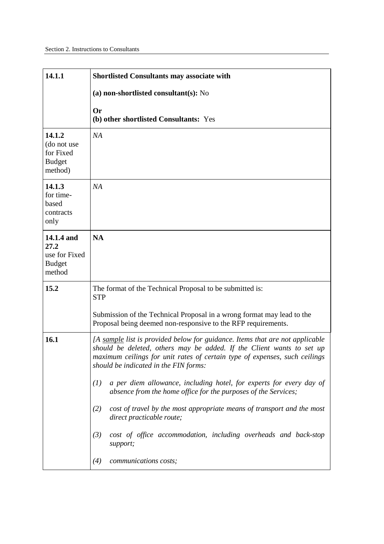| 14.1.1                                                         | <b>Shortlisted Consultants may associate with</b>                                                                                                                                                                                                                                                                                                                                                                                                                                                                                                                                                                                |
|----------------------------------------------------------------|----------------------------------------------------------------------------------------------------------------------------------------------------------------------------------------------------------------------------------------------------------------------------------------------------------------------------------------------------------------------------------------------------------------------------------------------------------------------------------------------------------------------------------------------------------------------------------------------------------------------------------|
|                                                                | (a) non-shortlisted consultant(s): No                                                                                                                                                                                                                                                                                                                                                                                                                                                                                                                                                                                            |
|                                                                | <b>Or</b><br>(b) other shortlisted Consultants: Yes                                                                                                                                                                                                                                                                                                                                                                                                                                                                                                                                                                              |
| 14.1.2<br>(do not use<br>for Fixed<br><b>Budget</b><br>method) | NA                                                                                                                                                                                                                                                                                                                                                                                                                                                                                                                                                                                                                               |
| 14.1.3<br>for time-<br>based<br>contracts<br>only              | NA                                                                                                                                                                                                                                                                                                                                                                                                                                                                                                                                                                                                                               |
| 14.1.4 and<br>27.2<br>use for Fixed<br><b>Budget</b><br>method | <b>NA</b>                                                                                                                                                                                                                                                                                                                                                                                                                                                                                                                                                                                                                        |
| 15.2                                                           | The format of the Technical Proposal to be submitted is:<br><b>STP</b><br>Submission of the Technical Proposal in a wrong format may lead to the<br>Proposal being deemed non-responsive to the RFP requirements.                                                                                                                                                                                                                                                                                                                                                                                                                |
| 16.1                                                           | [A sample list is provided below for guidance. Items that are not applicable<br>should be deleted, others may be added. If the Client wants to set up<br>maximum ceilings for unit rates of certain type of expenses, such ceilings<br>should be indicated in the FIN forms:<br>a per diem allowance, including hotel, for experts for every day of<br>(1)<br>absence from the home office for the purposes of the Services;<br>cost of travel by the most appropriate means of transport and the most<br>(2)<br>direct practicable route;<br>cost of office accommodation, including overheads and back-stop<br>(3)<br>support; |
|                                                                | communications costs;<br>(4)                                                                                                                                                                                                                                                                                                                                                                                                                                                                                                                                                                                                     |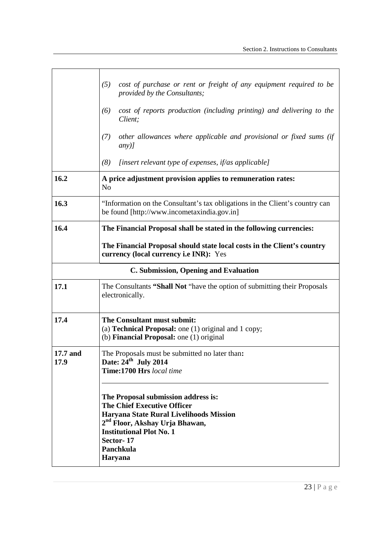|                  | cost of purchase or rent or freight of any equipment required to be<br>(5)<br>provided by the Consultants;<br>cost of reports production (including printing) and delivering to the<br>(6)<br>Client;<br>other allowances where applicable and provisional or fixed sums (if<br>(7)<br>$any)$ ]<br>(8)<br>[insert relevant type of expenses, if/as applicable] |  |  |  |  |
|------------------|----------------------------------------------------------------------------------------------------------------------------------------------------------------------------------------------------------------------------------------------------------------------------------------------------------------------------------------------------------------|--|--|--|--|
| 16.2             | A price adjustment provision applies to remuneration rates:<br>N <sub>0</sub>                                                                                                                                                                                                                                                                                  |  |  |  |  |
| 16.3             | "Information on the Consultant's tax obligations in the Client's country can<br>be found [http://www.incometaxindia.gov.in]                                                                                                                                                                                                                                    |  |  |  |  |
| 16.4             | The Financial Proposal shall be stated in the following currencies:<br>The Financial Proposal should state local costs in the Client's country<br>currency (local currency <i>i.e INR</i> ): Yes                                                                                                                                                               |  |  |  |  |
|                  | C. Submission, Opening and Evaluation                                                                                                                                                                                                                                                                                                                          |  |  |  |  |
| 17.1             | The Consultants "Shall Not "have the option of submitting their Proposals"<br>electronically.                                                                                                                                                                                                                                                                  |  |  |  |  |
| 17.4             | The Consultant must submit:<br>(a) <b>Technical Proposal:</b> one $(1)$ original and $1$ copy;<br>(b) <b>Financial Proposal:</b> one $(1)$ original                                                                                                                                                                                                            |  |  |  |  |
| 17.7 and<br>17.9 | The Proposals must be submitted no later than:<br>Date: 24" July 2014<br><b>Time:1700 Hrs</b> local time                                                                                                                                                                                                                                                       |  |  |  |  |
|                  | The Proposal submission address is:<br><b>The Chief Executive Officer</b><br>Haryana State Rural Livelihoods Mission<br>2 <sup>nd</sup> Floor, Akshay Urja Bhawan,<br><b>Institutional Plot No. 1</b><br>Sector-17<br>Panchkula<br>Haryana                                                                                                                     |  |  |  |  |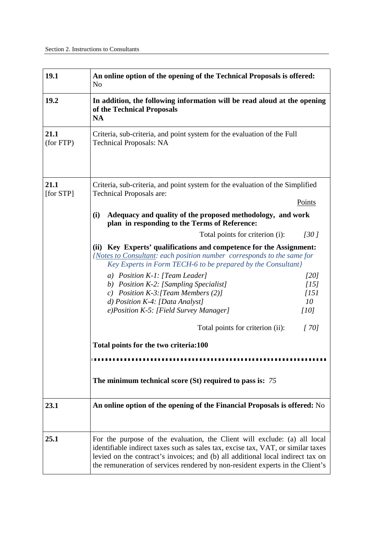| 19.1              | An online option of the opening of the Technical Proposals is offered:<br>N <sub>o</sub>                                                                                                                                                                                                                                          |                                                 |  |  |
|-------------------|-----------------------------------------------------------------------------------------------------------------------------------------------------------------------------------------------------------------------------------------------------------------------------------------------------------------------------------|-------------------------------------------------|--|--|
| 19.2              | In addition, the following information will be read aloud at the opening<br>of the Technical Proposals<br>NA                                                                                                                                                                                                                      |                                                 |  |  |
| 21.1<br>(for FTP) | Criteria, sub-criteria, and point system for the evaluation of the Full<br><b>Technical Proposals: NA</b>                                                                                                                                                                                                                         |                                                 |  |  |
| 21.1<br>[for STP] | Criteria, sub-criteria, and point system for the evaluation of the Simplified<br>Technical Proposals are:<br>Points                                                                                                                                                                                                               |                                                 |  |  |
|                   | Adequacy and quality of the proposed methodology, and work<br>(i)<br>plan in responding to the Terms of Reference:                                                                                                                                                                                                                |                                                 |  |  |
|                   | Total points for criterion (i):                                                                                                                                                                                                                                                                                                   | 1301                                            |  |  |
|                   | Key Experts' qualifications and competence for the Assignment:<br>(ii)<br>{Notes to Consultant: each position number corresponds to the same for<br>Key Experts in Form TECH-6 to be prepared by the Consultant}                                                                                                                  |                                                 |  |  |
|                   | a) Position K-1: [Team Leader]<br>b) Position K-2: [Sampling Specialist]<br>c) Position $K-3$ : [Team Members (2)]<br>d) Position $K-4$ : [Data Analyst]<br>e)Position K-5: [Field Survey Manager]                                                                                                                                | [20]<br>[15]<br>$\overline{1151}$<br>10<br>[10] |  |  |
|                   | Total points for criterion (ii):                                                                                                                                                                                                                                                                                                  | [70]                                            |  |  |
|                   | Total points for the two criteria:100                                                                                                                                                                                                                                                                                             |                                                 |  |  |
|                   |                                                                                                                                                                                                                                                                                                                                   |                                                 |  |  |
|                   | The minimum technical score $(St)$ required to pass is: 75                                                                                                                                                                                                                                                                        |                                                 |  |  |
| 23.1              | An online option of the opening of the Financial Proposals is offered: No                                                                                                                                                                                                                                                         |                                                 |  |  |
| 25.1              | For the purpose of the evaluation, the Client will exclude: (a) all local<br>identifiable indirect taxes such as sales tax, excise tax, VAT, or similar taxes<br>levied on the contract's invoices; and (b) all additional local indirect tax on<br>the remuneration of services rendered by non-resident experts in the Client's |                                                 |  |  |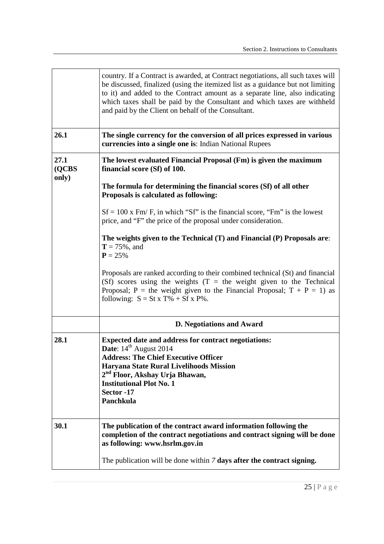|                        | country. If a Contract is awarded, at Contract negotiations, all such taxes will<br>be discussed, finalized (using the itemized list as a guidance but not limiting<br>to it) and added to the Contract amount as a separate line, also indicating<br>which taxes shall be paid by the Consultant and which taxes are withheld<br>and paid by the Client on behalf of the Consultant. |  |  |  |  |
|------------------------|---------------------------------------------------------------------------------------------------------------------------------------------------------------------------------------------------------------------------------------------------------------------------------------------------------------------------------------------------------------------------------------|--|--|--|--|
| 26.1                   | The single currency for the conversion of all prices expressed in various<br>currencies into a single one is: Indian National Rupees                                                                                                                                                                                                                                                  |  |  |  |  |
| 27.1<br>(QCBS<br>only) | The lowest evaluated Financial Proposal (Fm) is given the maximum<br>financial score (Sf) of 100.                                                                                                                                                                                                                                                                                     |  |  |  |  |
|                        | The formula for determining the financial scores (Sf) of all other<br>Proposals is calculated as following:                                                                                                                                                                                                                                                                           |  |  |  |  |
|                        | $Sf = 100$ x Fm/F, in which "Sf" is the financial score, "Fm" is the lowest<br>price, and "F" the price of the proposal under consideration.                                                                                                                                                                                                                                          |  |  |  |  |
|                        | The weights given to the Technical (T) and Financial (P) Proposals are:<br>$T = 75\%$ , and<br>$P = 25%$                                                                                                                                                                                                                                                                              |  |  |  |  |
|                        | Proposals are ranked according to their combined technical (St) and financial<br>(Sf) scores using the weights $(T =$ the weight given to the Technical<br>Proposal; P = the weight given to the Financial Proposal; $T + P = 1$ ) as<br>following: $S = St x T\% + Sf x P\%.$                                                                                                        |  |  |  |  |
|                        | <b>D. Negotiations and Award</b>                                                                                                                                                                                                                                                                                                                                                      |  |  |  |  |
| 28.1                   | <b>Expected date and address for contract negotiations:</b><br>Date: 14 <sup>th</sup> August 2014<br><b>Address: The Chief Executive Officer</b><br>Haryana State Rural Livelihoods Mission<br>2 <sup>nd</sup> Floor, Akshay Urja Bhawan,<br><b>Institutional Plot No. 1</b><br>Sector -17<br>Panchkula                                                                               |  |  |  |  |
| 30.1                   | The publication of the contract award information following the<br>completion of the contract negotiations and contract signing will be done<br>as following: www.hsrlm.gov.in                                                                                                                                                                                                        |  |  |  |  |
|                        | The publication will be done within $7$ days after the contract signing.                                                                                                                                                                                                                                                                                                              |  |  |  |  |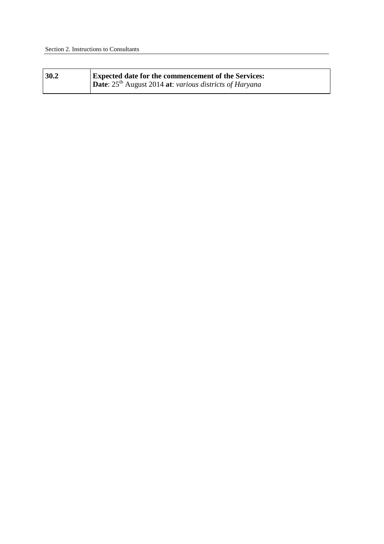| 30.2 | <b>Expected date for the commencement of the Services:</b>          |
|------|---------------------------------------------------------------------|
|      | Date: 25 <sup>th</sup> August 2014 at: various districts of Haryana |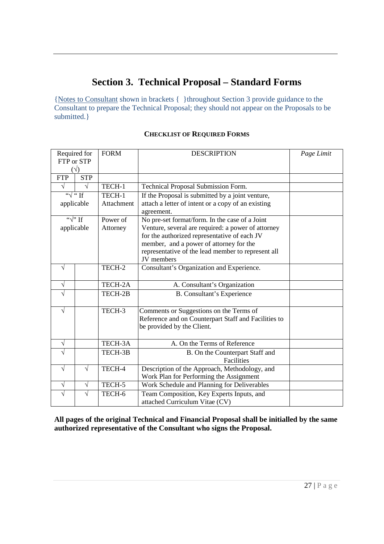# **Section 3. Technical Proposal – Standard Forms**

 {Notes to Consultant shown in brackets { }throughout Section 3 provide guidance to the Consultant to prepare the Technical Proposal; they should not appear on the Proposals to be submitted.}

| Required for<br>FTP or STP |               | <b>FORM</b> | <b>DESCRIPTION</b>                                               | Page Limit |
|----------------------------|---------------|-------------|------------------------------------------------------------------|------------|
| ั√)                        |               |             |                                                                  |            |
| <b>FTP</b>                 | <b>STP</b>    |             |                                                                  |            |
| $\sqrt{ }$                 | V             | TECH-1      | Technical Proposal Submission Form.                              |            |
|                            | $\sqrt{u}$ if | TECH-1      | If the Proposal is submitted by a joint venture,                 |            |
| applicable                 |               | Attachment  | attach a letter of intent or a copy of an existing<br>agreement. |            |
| $\overline{\cdots}$ if     |               | Power of    | No pre-set format/form. In the case of a Joint                   |            |
| applicable                 |               | Attorney    | Venture, several are required: a power of attorney               |            |
|                            |               |             | for the authorized representative of each JV                     |            |
|                            |               |             | member, and a power of attorney for the                          |            |
|                            |               |             | representative of the lead member to represent all               |            |
|                            |               |             | JV members                                                       |            |
| V                          |               | TECH-2      | Consultant's Organization and Experience.                        |            |
| $\sqrt{}$                  |               | TECH-2A     | A. Consultant's Organization                                     |            |
|                            |               | TECH-2B     | B. Consultant's Experience                                       |            |
| V                          |               | TECH-3      | Comments or Suggestions on the Terms of                          |            |
|                            |               |             | Reference and on Counterpart Staff and Facilities to             |            |
|                            |               |             | be provided by the Client.                                       |            |
| $\sqrt{}$                  |               | TECH-3A     | A. On the Terms of Reference                                     |            |
| V                          |               | TECH-3B     | B. On the Counterpart Staff and                                  |            |
|                            |               |             | Facilities                                                       |            |
| V                          | V             | TECH-4      | Description of the Approach, Methodology, and                    |            |
|                            |               |             | Work Plan for Performing the Assignment                          |            |
| $\sqrt{}$                  | V             | TECH-5      | Work Schedule and Planning for Deliverables                      |            |
| V                          |               | TECH-6      | Team Composition, Key Experts Inputs, and                        |            |
|                            |               |             | attached Curriculum Vitae (CV)                                   |            |

#### **CHECKLIST OF REQUIRED FORMS**

 **All pages of the original Technical and Financial Proposal shall be initialled by the same authorized representative of the Consultant who signs the Proposal.**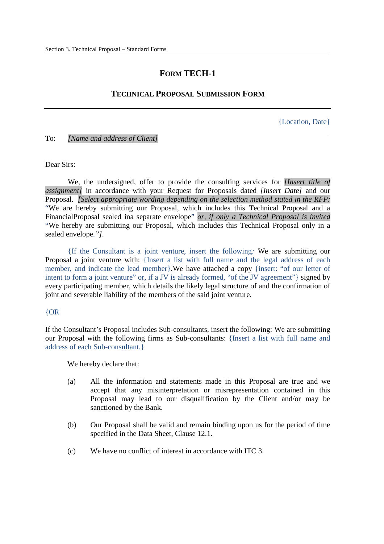### **FORM TECH-1**

#### **TECHNICAL PROPOSAL SUBMISSION FORM**

{Location, Date}

 To: *[Name and address of Client]* 

Dear Sirs:

 We, the undersigned, offer to provide the consulting services for *[Insert title of assignment]* in accordance with your Request for Proposals dated *[Insert Date]* and our Proposal. *[Select appropriate wording depending on the selection method stated in the RFP:*  "We are hereby submitting our Proposal, which includes this Technical Proposal and a FinancialProposal sealed ina separate envelope" *or, if only a Technical Proposal is invited*  "We hereby are submitting our Proposal, which includes this Technical Proposal only in a sealed envelope.*"].* 

 {If the Consultant is a joint venture, insert the following*:* We are submitting our Proposal a joint venture with: {Insert a list with full name and the legal address of each member, and indicate the lead member}. We have attached a copy {insert: "of our letter of intent to form a joint venture" or, if a JV is already formed, "of the JV agreement"} signed by every participating member, which details the likely legal structure of and the confirmation of joint and severable liability of the members of the said joint venture.

#### {OR

 If the Consultant's Proposal includes Sub-consultants, insert the following: We are submitting our Proposal with the following firms as Sub-consultants: {Insert a list with full name and address of each Sub-consultant.}

We hereby declare that:

- $(a)$  accept that any misinterpretation or misrepresentation contained in this Proposal may lead to our disqualification by the Client and/or may be sanctioned by the Bank. All the information and statements made in this Proposal are true and we
- $(b)$  specified in the Data Sheet, Clause 12.1. Our Proposal shall be valid and remain binding upon us for the period of time
- $(c)$ We have no conflict of interest in accordance with ITC 3.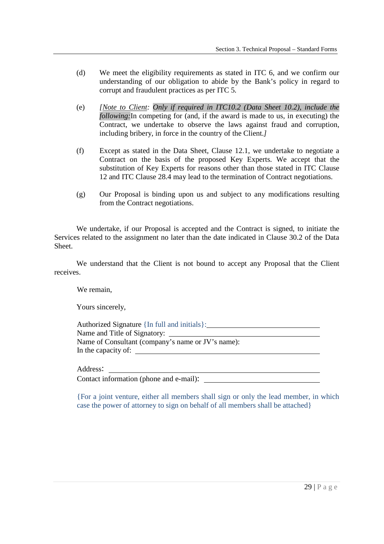- $(d)$  understanding of our obligation to abide by the Bank's policy in regard to corrupt and fraudulent practices as per ITC 5*.*  We meet the eligibility requirements as stated in ITC 6, and we confirm our
- $(e)$  *following:*In competing for (and, if the award is made to us, in executing) the Contract, we undertake to observe the laws against fraud and corruption, including bribery, in force in the country of the Client.*]*  (Note to Client: Only if required in ITC10.2 (Data Sheet 10.2), include the
- $(f)$  Contract on the basis of the proposed Key Experts. We accept that the substitution of Key Experts for reasons other than those stated in ITC Clause 12 and ITC Clause 28.4 may lead to the termination of Contract negotiations. Except as stated in the Data Sheet, Clause 12.1, we undertake to negotiate a
- $(g)$  from the Contract negotiations. Our Proposal is binding upon us and subject to any modifications resulting

 We undertake, if our Proposal is accepted and the Contract is signed, to initiate the Services related to the assignment no later than the date indicated in Clause 30.2 of the Data Sheet.

 We understand that the Client is not bound to accept any Proposal that the Client receives.

We remain,

Yours sincerely,

 Authorized Signature {In full and initials}: Name and Title of Signatory: Name of Consultant (company's name or JV's name): In the capacity of:

Address:

Address:<br>Contact information (phone and e-mail):

 {For a joint venture, either all members shall sign or only the lead member, in which case the power of attorney to sign on behalf of all members shall be attached}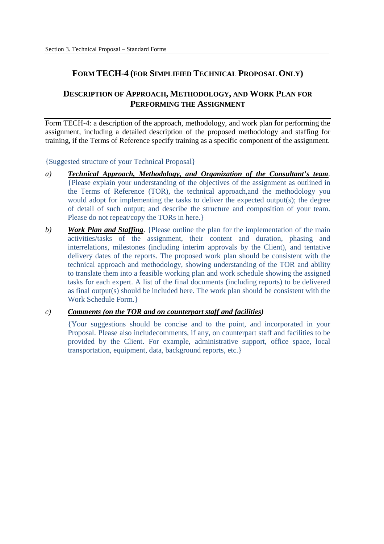### **FORM TECH-4 (FOR SIMPLIFIED TECHNICAL PROPOSAL ONLY)**

### **DESCRIPTION OF APPROACH, METHODOLOGY, AND WORK PLAN FOR PERFORMING THE ASSIGNMENT**

 Form TECH-4: a description of the approach, methodology, and work plan for performing the assignment, including a detailed description of the proposed methodology and staffing for training, if the Terms of Reference specify training as a specific component of the assignment.

{Suggested structure of your Technical Proposal}

- $\alpha$ ) {Please explain your understanding of the objectives of the assignment as outlined in the Terms of Reference (TOR), the technical approach,and the methodology you would adopt for implementing the tasks to deliver the expected output(s); the degree of detail of such output; and describe the structure and composition of your team. Please do not repeat/copy the TORs in here.} *Technical Approach, Methodology, and Organization of the Consultant's team.*
- *b*) activities/tasks of the assignment, their content and duration, phasing and interrelations, milestones (including interim approvals by the Client), and tentative delivery dates of the reports. The proposed work plan should be consistent with the technical approach and methodology, showing understanding of the TOR and ability to translate them into a feasible working plan and work schedule showing the assigned tasks for each expert. A list of the final documents (including reports) to be delivered as final output(s) should be included here. The work plan should be consistent with the Work Schedule Form.} *Work Plan and Staffing.* {Please outline the plan for the implementation of the main

#### *c) Comments (on the TOR and on counterpart staff and facilities)*

 {Your suggestions should be concise and to the point, and incorporated in your Proposal. Please also includecomments, if any, on counterpart staff and facilities to be provided by the Client. For example, administrative support, office space, local transportation, equipment, data, background reports, etc.}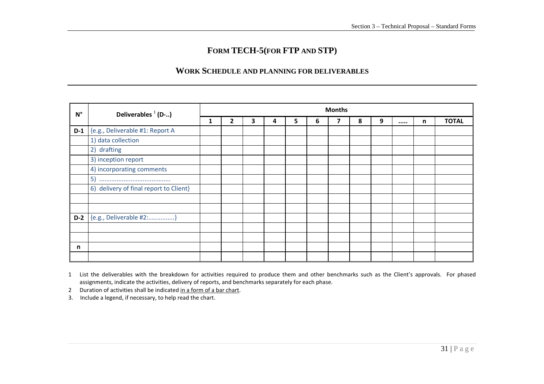# **FORM TECH-5(FOR FTP AND STP)**

### **WORK SCHEDULE AND PLANNING FOR DELIVERABLES**

| $N^{\circ}$ | Deliverables $(1)$ (D-)                |   | <b>Months</b> |   |   |    |   |  |   |   |       |              |
|-------------|----------------------------------------|---|---------------|---|---|----|---|--|---|---|-------|--------------|
|             |                                        | 1 | 2             | 3 | 4 | 5. | 6 |  | 8 | 9 | <br>n | <b>TOTAL</b> |
| $D-1$       | {e.g., Deliverable #1: Report A        |   |               |   |   |    |   |  |   |   |       |              |
|             | 1) data collection                     |   |               |   |   |    |   |  |   |   |       |              |
|             | 2) drafting                            |   |               |   |   |    |   |  |   |   |       |              |
|             | 3) inception report                    |   |               |   |   |    |   |  |   |   |       |              |
|             | 4) incorporating comments              |   |               |   |   |    |   |  |   |   |       |              |
|             |                                        |   |               |   |   |    |   |  |   |   |       |              |
|             | 6) delivery of final report to Client} |   |               |   |   |    |   |  |   |   |       |              |
|             |                                        |   |               |   |   |    |   |  |   |   |       |              |
|             |                                        |   |               |   |   |    |   |  |   |   |       |              |
| $D-2$       | {e.g., Deliverable #2:}                |   |               |   |   |    |   |  |   |   |       |              |
|             |                                        |   |               |   |   |    |   |  |   |   |       |              |
|             |                                        |   |               |   |   |    |   |  |   |   |       |              |
| n           |                                        |   |               |   |   |    |   |  |   |   |       |              |
|             |                                        |   |               |   |   |    |   |  |   |   |       |              |

1 List the deliverables with the breakdown for activities required to produce them and other benchmarks such as the Client's approvals. For phased assignments, indicate the activities, delivery of reports, and benchmarks separately for each phase.

2 Duration of activities shall be indicated in <sup>a</sup> form of <sup>a</sup> bar chart.

3. Include <sup>a</sup> legend, if necessary, to help read the chart.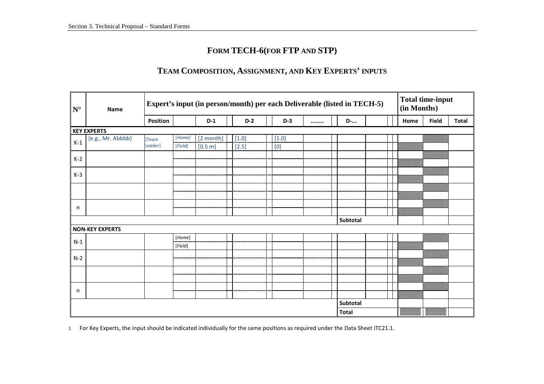# **FORM TECH-6(FOR FTP AND STP)**

# **TEAM COMPOSITION, ASSIGNMENT, AND KEY EXPERTS' INPUTS**

| $N^{\circ}$ | Name                   | Expert's input (in person/month) per each Deliverable (listed in TECH-5) |         |           |         |                                                                                                                                                                                                                                                                                                                                                                                                                                                                                                                                                                                                                                                                                                                                                       |  |              |  | (in Months) | <b>Total time-input</b> |              |
|-------------|------------------------|--------------------------------------------------------------------------|---------|-----------|---------|-------------------------------------------------------------------------------------------------------------------------------------------------------------------------------------------------------------------------------------------------------------------------------------------------------------------------------------------------------------------------------------------------------------------------------------------------------------------------------------------------------------------------------------------------------------------------------------------------------------------------------------------------------------------------------------------------------------------------------------------------------|--|--------------|--|-------------|-------------------------|--------------|
|             |                        | Position                                                                 |         | $D-1$     | $D-2$   | $D-3$                                                                                                                                                                                                                                                                                                                                                                                                                                                                                                                                                                                                                                                                                                                                                 |  | <b>D</b> -   |  | Home        | <b>Field</b>            | <b>Total</b> |
|             | <b>KEY EXPERTS</b>     |                                                                          |         |           |         |                                                                                                                                                                                                                                                                                                                                                                                                                                                                                                                                                                                                                                                                                                                                                       |  |              |  |             |                         |              |
| $K-1$       | {e.g., Mr. Abbbb}      | [Team                                                                    | [Home]  | [2 month] | $[1.0]$ | $[1.0]$                                                                                                                                                                                                                                                                                                                                                                                                                                                                                                                                                                                                                                                                                                                                               |  |              |  |             |                         |              |
|             |                        | Leader]                                                                  | [Field] | [0.5 m]   | $[2.5]$ | $[0] % \begin{center} % \includegraphics[width=\linewidth]{imagesSupplemental_3.png} % \end{center} % \caption { % Our method is used for the method. % Note that the \emph{exponent} is used for the method. % Note that the \emph{exponent} is used for the method. % Note that the \emph{exponent} is used for the method. % Note that the \emph{exponent} is used for the method. % Note that the \emph{exponent} is used for the method. % Note that the \emph{exportector} is used for the method. % Note that the \emph{exportector} is used for the method. % Note that the \emph{exportector} is used for the method. % Note that the \emph{exportector} is used for the method. % Note that the \emph{exportector} is used for the method.$ |  |              |  |             |                         |              |
| $K-2$       |                        |                                                                          |         |           |         |                                                                                                                                                                                                                                                                                                                                                                                                                                                                                                                                                                                                                                                                                                                                                       |  |              |  |             |                         |              |
|             |                        |                                                                          |         |           |         |                                                                                                                                                                                                                                                                                                                                                                                                                                                                                                                                                                                                                                                                                                                                                       |  |              |  |             |                         |              |
| $K-3$       |                        |                                                                          |         |           |         |                                                                                                                                                                                                                                                                                                                                                                                                                                                                                                                                                                                                                                                                                                                                                       |  |              |  |             |                         |              |
|             |                        |                                                                          |         |           |         |                                                                                                                                                                                                                                                                                                                                                                                                                                                                                                                                                                                                                                                                                                                                                       |  |              |  |             |                         |              |
|             |                        |                                                                          |         |           |         |                                                                                                                                                                                                                                                                                                                                                                                                                                                                                                                                                                                                                                                                                                                                                       |  |              |  |             |                         |              |
|             |                        |                                                                          |         |           |         |                                                                                                                                                                                                                                                                                                                                                                                                                                                                                                                                                                                                                                                                                                                                                       |  |              |  |             |                         |              |
| n           |                        |                                                                          |         |           |         |                                                                                                                                                                                                                                                                                                                                                                                                                                                                                                                                                                                                                                                                                                                                                       |  |              |  |             | ▩                       |              |
|             |                        |                                                                          |         |           |         |                                                                                                                                                                                                                                                                                                                                                                                                                                                                                                                                                                                                                                                                                                                                                       |  |              |  |             |                         |              |
|             |                        |                                                                          |         |           |         |                                                                                                                                                                                                                                                                                                                                                                                                                                                                                                                                                                                                                                                                                                                                                       |  | Subtotal     |  |             |                         |              |
|             | <b>NON-KEY EXPERTS</b> |                                                                          |         |           |         |                                                                                                                                                                                                                                                                                                                                                                                                                                                                                                                                                                                                                                                                                                                                                       |  |              |  |             |                         |              |
| $N-1$       |                        |                                                                          | [Home]  |           |         |                                                                                                                                                                                                                                                                                                                                                                                                                                                                                                                                                                                                                                                                                                                                                       |  |              |  |             |                         |              |
|             |                        |                                                                          | [Field] |           |         |                                                                                                                                                                                                                                                                                                                                                                                                                                                                                                                                                                                                                                                                                                                                                       |  |              |  |             |                         |              |
| $N-2$       |                        |                                                                          |         |           |         |                                                                                                                                                                                                                                                                                                                                                                                                                                                                                                                                                                                                                                                                                                                                                       |  |              |  |             |                         |              |
|             |                        |                                                                          |         |           |         |                                                                                                                                                                                                                                                                                                                                                                                                                                                                                                                                                                                                                                                                                                                                                       |  |              |  |             |                         |              |
|             |                        |                                                                          |         |           |         |                                                                                                                                                                                                                                                                                                                                                                                                                                                                                                                                                                                                                                                                                                                                                       |  |              |  |             | 888888                  |              |
|             |                        |                                                                          |         |           |         |                                                                                                                                                                                                                                                                                                                                                                                                                                                                                                                                                                                                                                                                                                                                                       |  |              |  |             |                         |              |
|             |                        |                                                                          |         |           |         |                                                                                                                                                                                                                                                                                                                                                                                                                                                                                                                                                                                                                                                                                                                                                       |  |              |  |             |                         |              |
| n           |                        |                                                                          |         |           |         |                                                                                                                                                                                                                                                                                                                                                                                                                                                                                                                                                                                                                                                                                                                                                       |  |              |  |             |                         |              |
|             |                        |                                                                          |         |           |         |                                                                                                                                                                                                                                                                                                                                                                                                                                                                                                                                                                                                                                                                                                                                                       |  | Subtotal     |  |             |                         |              |
|             |                        |                                                                          |         |           |         |                                                                                                                                                                                                                                                                                                                                                                                                                                                                                                                                                                                                                                                                                                                                                       |  | <b>Total</b> |  | ▓▓▓▓        |                         |              |

1 For Key Experts, the input should be indicated individually for the same positions as required under the Data Sheet ITC21.1.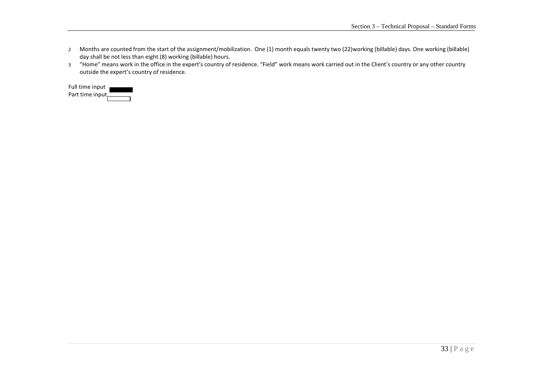- 2 Months are counted from the start of the assignment/mobilization. One (1) month equals twenty two (22)working (billable) days. One working (billable) day shall be not less than eight (8) working (billable) hours.
- <sup>3</sup>"Home" means work in the office in the expert's country of residence. "Field" work means work carried out in the Client's country or any other country outside the expert's country of residence.

| Full time input  |  |
|------------------|--|
| Part time input. |  |
|                  |  |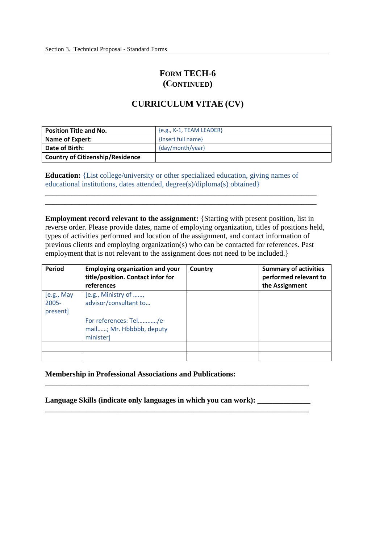# **FORM TECH-6 (CONTINUED)**

## **CURRICULUM VITAE (CV)**

| <b>Position Title and No.</b>           | ${e.g., K-1, TEAM LEADER}$ |
|-----------------------------------------|----------------------------|
| Name of Expert:                         | {Insert full name}         |
| Date of Birth:                          | {day/month/year}           |
| <b>Country of Citizenship/Residence</b> |                            |

 **Education:** {List college/university or other specialized education, giving names of educational institutions, dates attended, degree(s)/diploma(s) obtained}

**\_\_\_\_\_\_\_\_\_\_\_\_\_\_\_\_\_\_\_\_\_\_\_\_\_\_\_\_\_\_\_\_\_\_\_\_\_\_\_\_\_\_\_\_\_\_\_\_\_\_\_\_\_\_\_\_\_\_\_\_\_\_\_\_\_\_\_\_\_\_\_\_ \_\_\_\_\_\_\_\_\_\_\_\_\_\_\_\_\_\_\_\_\_\_\_\_\_\_\_\_\_\_\_\_\_\_\_\_\_\_\_\_\_\_\_\_\_\_\_\_\_\_\_\_\_\_\_\_\_\_\_\_\_\_\_\_\_\_\_\_\_\_\_\_** 

**Employment record relevant to the assignment:** {Starting with present position, list in reverse order. Please provide dates, name of employing organization, titles of positions held, types of activities performed and location of the assignment, and contact information of previous clients and employing organization(s) who can be contacted for references. Past employment that is not relevant to the assignment does not need to be included.}

| Period                              | <b>Employing organization and your</b><br>title/position. Contact infor for<br>references | Country | <b>Summary of activities</b><br>performed relevant to<br>the Assignment |
|-------------------------------------|-------------------------------------------------------------------------------------------|---------|-------------------------------------------------------------------------|
| [e.g., May]<br>$2005 -$<br>present] | [e.g., Ministry of ,<br>advisor/consultant to                                             |         |                                                                         |
|                                     | For references: Tel/e-<br>mail; Mr. Hbbbbb, deputy<br>minister]                           |         |                                                                         |
|                                     |                                                                                           |         |                                                                         |
|                                     |                                                                                           |         |                                                                         |

 **Membership in Professional Associations and Publications:** 

Language Skills (indicate only languages in which you can work): \_\_\_\_\_\_\_\_\_\_\_\_\_\_\_

**\_\_\_\_\_\_\_\_\_\_\_\_\_\_\_\_\_\_\_\_\_\_\_\_\_\_\_\_\_\_\_\_\_\_\_\_\_\_\_\_\_\_\_\_\_\_\_\_\_\_\_\_\_\_\_\_\_\_\_\_\_\_\_\_\_\_\_\_\_\_** 

**\_\_\_\_\_\_\_\_\_\_\_\_\_\_\_\_\_\_\_\_\_\_\_\_\_\_\_\_\_\_\_\_\_\_\_\_\_\_\_\_\_\_\_\_\_\_\_\_\_\_\_\_\_\_\_\_\_\_\_\_\_\_\_\_\_\_\_\_\_\_**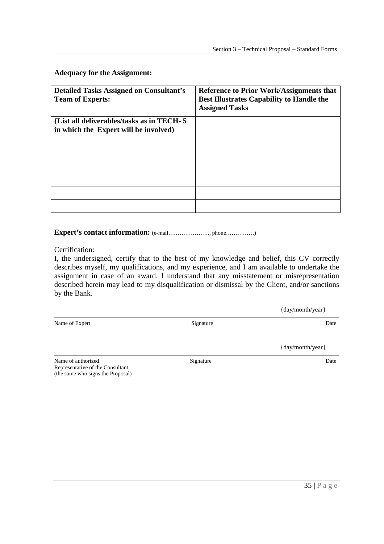**Adequacy for the Assignment:** 

| <b>Detailed Tasks Assigned on Consultant's</b><br><b>Team of Experts:</b>          | <b>Reference to Prior Work/Assignments that</b><br><b>Best Illustrates Capability to Handle the</b><br><b>Assigned Tasks</b> |
|------------------------------------------------------------------------------------|------------------------------------------------------------------------------------------------------------------------------|
| {List all deliverables/tasks as in TECH-5<br>in which the Expert will be involved) |                                                                                                                              |
|                                                                                    |                                                                                                                              |
|                                                                                    |                                                                                                                              |

 **Expert's contact information:** (e-mail…………………., phone……………)

Certification:

 I, the undersigned, certify that to the best of my knowledge and belief, this CV correctly describes myself, my qualifications, and my experience, and I am available to undertake the assignment in case of an award. I understand that any misstatement or misrepresentation described herein may lead to my disqualification or dismissal by the Client, and/or sanctions by the Bank.

|                    |           | {day/month/year} |
|--------------------|-----------|------------------|
| Name of Expert     | Signature | Date             |
|                    |           | {day/month/year} |
| Name of authorized | Signature | Date             |

 Name of authorized Representative of the Consultant (the same who signs the Proposal)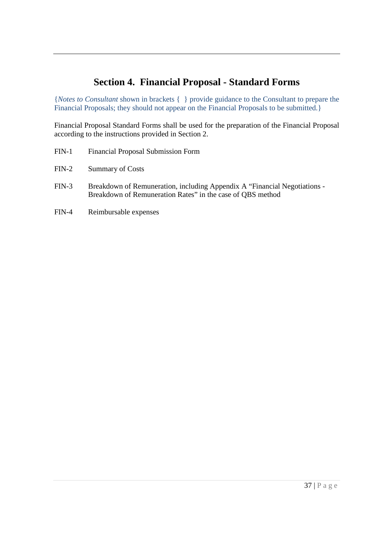# **Section 4. Financial Proposal - Standard Forms**

 {*Notes to Consultant* shown in brackets { } provide guidance to the Consultant to prepare the Financial Proposals; they should not appear on the Financial Proposals to be submitted.}

 Financial Proposal Standard Forms shall be used for the preparation of the Financial Proposal according to the instructions provided in Section 2.

- FIN-1 Financial Proposal Submission Form
- FIN-2 Summary of Costs
- FIN-3 Breakdown of Remuneration, including Appendix A "Financial Negotiations Breakdown of Remuneration Rates" in the case of QBS method
- FIN-4 Reimbursable expenses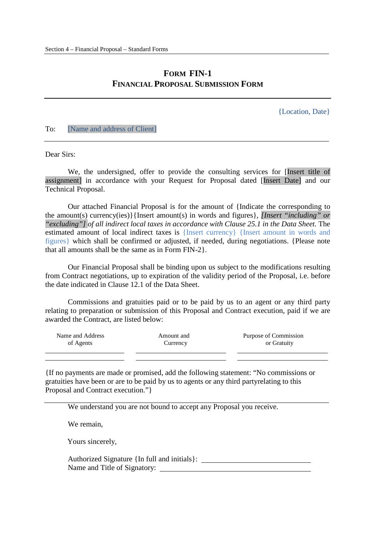# **FORM FIN-1 FINANCIAL PROPOSAL SUBMISSION FORM**

{Location, Date}

#### To: [Name and address of Client]

Dear Sirs:

 assignment] in accordance with your Request for Proposal dated [Insert Date] and our Technical Proposal. We, the undersigned, offer to provide the consulting services for [Insert title of

 Our attached Financial Proposal is for the amount of {Indicate the corresponding to the amount(s) currency(ies)}{Insert amount(s) in words and figures}, *[Insert "including" or*  "excluding"] of all indirect local taxes in accordance with Clause 25.1 in the Data Sheet. The estimated amount of local indirect taxes is {Insert currency} {Insert amount in words and figures} which shall be confirmed or adjusted, if needed, during negotiations. {Please note that all amounts shall be the same as in Form FIN-2}.

 from Contract negotiations, up to expiration of the validity period of the Proposal, i.e. before the date indicated in Clause 12.1 of the Data Sheet. Our Financial Proposal shall be binding upon us subject to the modifications resulting

 Commissions and gratuities paid or to be paid by us to an agent or any third party relating to preparation or submission of this Proposal and Contract execution, paid if we are awarded the Contract, are listed below:

| Name and Address | Amount and | Purpose of Commission |
|------------------|------------|-----------------------|
| of Agents        | Currency   | or Gratuity           |
|                  |            |                       |

 {If no payments are made or promised, add the following statement: "No commissions or gratuities have been or are to be paid by us to agents or any third partyrelating to this Proposal and Contract execution."}

We understand you are not bound to accept any Proposal you receive.

We remain,

Yours sincerely,

 Authorized Signature {In full and initials}: Name and Title of Signatory: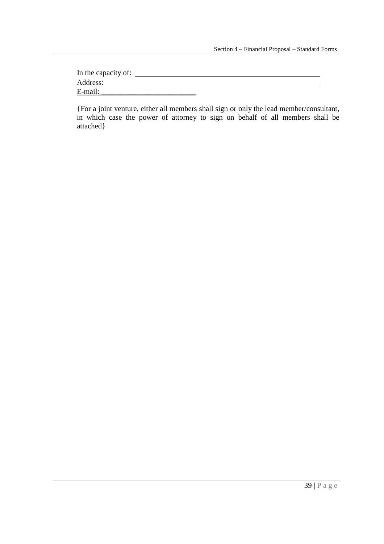| In the capacity of: |  |  |
|---------------------|--|--|
| Address:            |  |  |
| E-mail:             |  |  |

{For a joint venture, either all members shall sign or only the lead member/consultant, in which case the power of attorney to sign on behalf of all members shall be attached}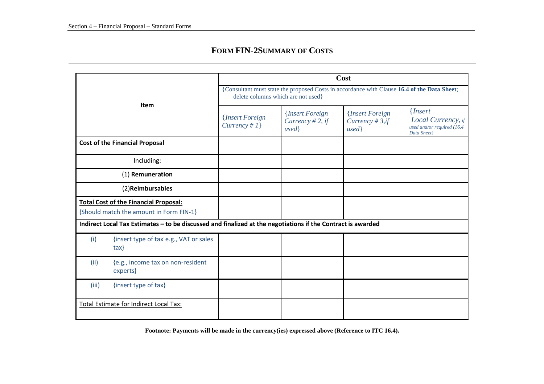## **FORM FIN-2SUMMARY OF COSTS**

| <b>Item</b>                   |                                                                                                             | Cost<br>{Consultant must state the proposed Costs in accordance with Clause 16.4 of the Data Sheet;<br>delete columns which are not used} |  |  |  |  |  |  |  |
|-------------------------------|-------------------------------------------------------------------------------------------------------------|-------------------------------------------------------------------------------------------------------------------------------------------|--|--|--|--|--|--|--|
|                               |                                                                                                             |                                                                                                                                           |  |  |  |  |  |  |  |
|                               | <b>Cost of the Financial Proposal</b>                                                                       |                                                                                                                                           |  |  |  |  |  |  |  |
|                               | Including:                                                                                                  |                                                                                                                                           |  |  |  |  |  |  |  |
|                               | (1) Remuneration                                                                                            |                                                                                                                                           |  |  |  |  |  |  |  |
|                               | (2) Reimbursables                                                                                           |                                                                                                                                           |  |  |  |  |  |  |  |
|                               | <b>Total Cost of the Financial Proposal:</b><br>{Should match the amount in Form FIN-1}                     |                                                                                                                                           |  |  |  |  |  |  |  |
|                               | Indirect Local Tax Estimates - to be discussed and finalized at the negotiations if the Contract is awarded |                                                                                                                                           |  |  |  |  |  |  |  |
| (i)                           | {insert type of tax e.g., VAT or sales<br>$\{$ ax $\}$                                                      |                                                                                                                                           |  |  |  |  |  |  |  |
| (ii)                          | {e.g., income tax on non-resident<br>experts}                                                               |                                                                                                                                           |  |  |  |  |  |  |  |
| {insert type of tax}<br>(iii) |                                                                                                             |                                                                                                                                           |  |  |  |  |  |  |  |
|                               | Total Estimate for Indirect Local Tax:                                                                      |                                                                                                                                           |  |  |  |  |  |  |  |

**Footnote: Payments will be made in the currency(ies) expressed above (Reference to ITC 16.4).**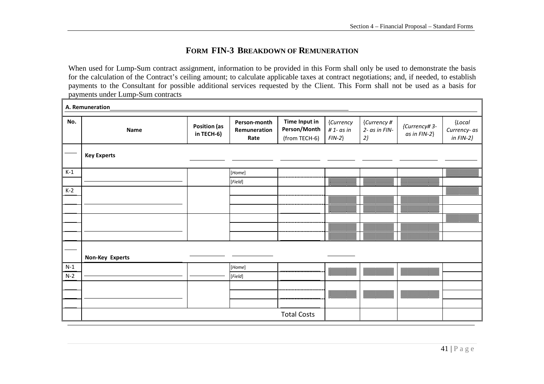## **FORM FIN-3 BREAKDOWN OF REMUNERATION**

When used for Lump-Sum contract assignment, information to be provided in this Form shall only be used to demonstrate the basis for the calculation of the Contract's ceiling amount; to calculate applicable taxes at contract negotiations; and, if needed, to establish payments to the Consultant for possible additional services requested by the Client. This Form shall not be used as a basis for payments under Lump-Sum contracts

|       | A. Remuneration    |                                   |                                                                                                                                                                                                                                                                            |                                                       |                                       |                                                                                                                                                                                                                                          |                                                                                                                                                                                                                                                                                                                                                                             |                                        |
|-------|--------------------|-----------------------------------|----------------------------------------------------------------------------------------------------------------------------------------------------------------------------------------------------------------------------------------------------------------------------|-------------------------------------------------------|---------------------------------------|------------------------------------------------------------------------------------------------------------------------------------------------------------------------------------------------------------------------------------------|-----------------------------------------------------------------------------------------------------------------------------------------------------------------------------------------------------------------------------------------------------------------------------------------------------------------------------------------------------------------------------|----------------------------------------|
| No.   | Name               | <b>Position (as</b><br>in TECH-6) | Person-month<br>Remuneration<br>Rate                                                                                                                                                                                                                                       | <b>Time Input in</b><br>Person/Month<br>(from TECH-6) | {Currency<br>$# 1 - as in$<br>$FIN-2$ | {Currency #<br>2- as in FIN-<br>$2\}$                                                                                                                                                                                                    | {Currency# 3-<br>as in FIN-2}                                                                                                                                                                                                                                                                                                                                               | {Local<br>Currency- as<br>in $FIN-2$ } |
|       | <b>Key Experts</b> |                                   |                                                                                                                                                                                                                                                                            |                                                       |                                       |                                                                                                                                                                                                                                          |                                                                                                                                                                                                                                                                                                                                                                             |                                        |
| $K-1$ |                    |                                   | [Home]                                                                                                                                                                                                                                                                     |                                                       |                                       |                                                                                                                                                                                                                                          |                                                                                                                                                                                                                                                                                                                                                                             | 爨                                      |
|       |                    |                                   | [Field]                                                                                                                                                                                                                                                                    |                                                       | 爨                                     |                                                                                                                                                                                                                                          |                                                                                                                                                                                                                                                                                                                                                                             |                                        |
| $K-2$ |                    |                                   |                                                                                                                                                                                                                                                                            |                                                       |                                       |                                                                                                                                                                                                                                          |                                                                                                                                                                                                                                                                                                                                                                             | <u> William William </u>               |
|       |                    |                                   |                                                                                                                                                                                                                                                                            |                                                       |                                       |                                                                                                                                                                                                                                          |                                                                                                                                                                                                                                                                                                                                                                             |                                        |
|       |                    |                                   |                                                                                                                                                                                                                                                                            |                                                       | ▓▓                                    |                                                                                                                                                                                                                                          |                                                                                                                                                                                                                                                                                                                                                                             |                                        |
|       |                    |                                   |                                                                                                                                                                                                                                                                            |                                                       |                                       |                                                                                                                                                                                                                                          |                                                                                                                                                                                                                                                                                                                                                                             |                                        |
|       |                    |                                   |                                                                                                                                                                                                                                                                            |                                                       | 88888                                 | ▓<br>88888                                                                                                                                                                                                                               | <b>The Contract of the Contract of the Contract of The Contract of The Contract of The Contract of The Contract o</b><br><b>Maritim</b>                                                                                                                                                                                                                                     |                                        |
|       |                    |                                   |                                                                                                                                                                                                                                                                            |                                                       |                                       |                                                                                                                                                                                                                                          |                                                                                                                                                                                                                                                                                                                                                                             |                                        |
|       | Non-Key Experts    |                                   |                                                                                                                                                                                                                                                                            |                                                       |                                       |                                                                                                                                                                                                                                          |                                                                                                                                                                                                                                                                                                                                                                             |                                        |
| $N-1$ |                    |                                   | [Home]                                                                                                                                                                                                                                                                     |                                                       |                                       | ▓▓▓▓▓▓                                                                                                                                                                                                                                   | $\begin{picture}(20,10) \put(0,0){\vector(1,0){10}} \put(10,0){\vector(1,0){10}} \put(10,0){\vector(1,0){10}} \put(10,0){\vector(1,0){10}} \put(10,0){\vector(1,0){10}} \put(10,0){\vector(1,0){10}} \put(10,0){\vector(1,0){10}} \put(10,0){\vector(1,0){10}} \put(10,0){\vector(1,0){10}} \put(10,0){\vector(1,0){10}} \put(10,0){\vector(1,0){10}} \put(10,0){\vector(1$ |                                        |
| $N-2$ |                    |                                   | $[Field]% \centering \subfloat[\centering]{{\includegraphics[scale=0.2]{img10.png} }}% \qquad \subfloat[\centering]{{\includegraphics[scale=0.2]{img10.png} }}% \caption{The 3D maps of the estimators in our classification example (panel left).}% \label{fig:3D maps}%$ |                                                       |                                       |                                                                                                                                                                                                                                          |                                                                                                                                                                                                                                                                                                                                                                             |                                        |
|       |                    |                                   |                                                                                                                                                                                                                                                                            |                                                       |                                       |                                                                                                                                                                                                                                          |                                                                                                                                                                                                                                                                                                                                                                             |                                        |
|       |                    |                                   |                                                                                                                                                                                                                                                                            |                                                       | ▓▓▓▓▓▓                                | <b>1999 - 1999 - 1999 - 1999 - 1999 - 1999 - 1999</b><br>1999 - 1999 - 1999 - 1999 - 1999 - 1999 - 1999 - 1999 - 1999 - 1999 - 1999 - 1999 - 1999 - 1999 - 1999 - 1999<br>1990 - 1990 - 1990 - 1990 - 1990 - 1990 - 1990 - 1990 - 1990 - | $\begin{picture}(20,10) \put(0,0){\vector(1,0){10}} \put(10,0){\vector(1,0){10}} \put(10,0){\vector(1,0){10}} \put(10,0){\vector(1,0){10}} \put(10,0){\vector(1,0){10}} \put(10,0){\vector(1,0){10}} \put(10,0){\vector(1,0){10}} \put(10,0){\vector(1,0){10}} \put(10,0){\vector(1,0){10}} \put(10,0){\vector(1,0){10}} \put(10,0){\vector(1,0){10}} \put(10,0){\vector(1$ |                                        |
|       |                    |                                   |                                                                                                                                                                                                                                                                            |                                                       |                                       |                                                                                                                                                                                                                                          |                                                                                                                                                                                                                                                                                                                                                                             |                                        |
|       |                    |                                   |                                                                                                                                                                                                                                                                            | <b>Total Costs</b>                                    |                                       |                                                                                                                                                                                                                                          |                                                                                                                                                                                                                                                                                                                                                                             |                                        |

┑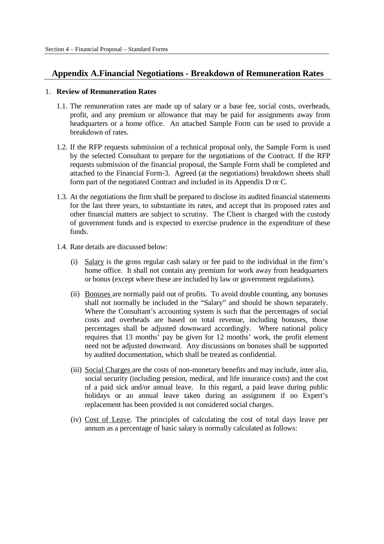# **Appendix A.Financial Negotiations - Breakdown of Remuneration Rates**

#### 1. **Review of Remuneration Rates**

- 1.1. The remuneration rates are made up of salary or a base fee, social costs, overheads, profit, and any premium or allowance that may be paid for assignments away from headquarters or a home office. An attached Sample Form can be used to provide a breakdown of rates.
- 1.2. If the RFP requests submission of a technical proposal only, the Sample Form is used by the selected Consultant to prepare for the negotiations of the Contract. If the RFP requests submission of the financial proposal, the Sample Form shall be completed and attached to the Financial Form-3. Agreed (at the negotiations) breakdown sheets shall form part of the negotiated Contract and included in its Appendix D or C.
- 1.3. At the negotiations the firm shall be prepared to disclose its audited financial statements for the last three years, to substantiate its rates, and accept that its proposed rates and other financial matters are subject to scrutiny. The Client is charged with the custody of government funds and is expected to exercise prudence in the expenditure of these funds.
- funds.<br>1.4. Rate details are discussed below:
	- (i) Salary is the gross regular cash salary or fee paid to the individual in the firm's home office. It shall not contain any premium for work away from headquarters or bonus (except where these are included by law or government regulations).
	- (ii) Bonuses are normally paid out of profits. To avoid double counting, any bonuses shall not normally be included in the "Salary" and should be shown separately. Where the Consultant's accounting system is such that the percentages of social costs and overheads are based on total revenue, including bonuses, those percentages shall be adjusted downward accordingly. Where national policy requires that 13 months' pay be given for 12 months' work, the profit element need not be adjusted downward. Any discussions on bonuses shall be supported by audited documentation, which shall be treated as confidential.
	- (iii) Social Charges are the costs of non-monetary benefits and may include, inter alia, social security (including pension, medical, and life insurance costs) and the cost of a paid sick and/or annual leave. In this regard, a paid leave during public holidays or an annual leave taken during an assignment if no Expert's replacement has been provided is not considered social charges.
	- (iv) Cost of Leave. The principles of calculating the cost of total days leave per annum as a percentage of basic salary is normally calculated as follows: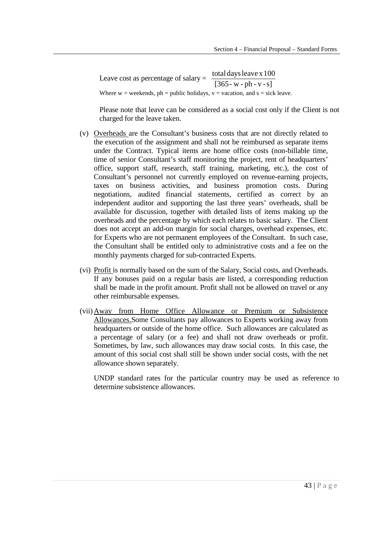Leave cost as percentage of salary =  $\frac{\text{total days leaves }100}{[365 - \text{w - ph - v - s}]}$ Where  $w =$  weekends,  $ph =$  public holidays,  $v =$  vacation, and  $s =$  sick leave.

 Please note that leave can be considered as a social cost only if the Client is not charged for the leave taken.

- (v) Overheads are the Consultant's business costs that are not directly related to the execution of the assignment and shall not be reimbursed as separate items under the Contract. Typical items are home office costs (non-billable time, time of senior Consultant's staff monitoring the project, rent of headquarters' office, support staff, research, staff training, marketing, etc.), the cost of Consultant's personnel not currently employed on revenue-earning projects, taxes on business activities, and business promotion costs. During negotiations, audited financial statements, certified as correct by an independent auditor and supporting the last three years' overheads, shall be available for discussion, together with detailed lists of items making up the overheads and the percentage by which each relates to basic salary. The Client does not accept an add-on margin for social charges, overhead expenses, etc. for Experts who are not permanent employees of the Consultant. In such case, the Consultant shall be entitled only to administrative costs and a fee on the monthly payments charged for sub-contracted Experts.
- (vi) Profit is normally based on the sum of the Salary, Social costs, and Overheads. If any bonuses paid on a regular basis are listed, a corresponding reduction shall be made in the profit amount. Profit shall not be allowed on travel or any other reimbursable expenses.
- (vii) Away from Home Office Allowance or Premium or Subsistence Allowances. Some Consultants pay allowances to Experts working away from headquarters or outside of the home office. Such allowances are calculated as a percentage of salary (or a fee) and shall not draw overheads or profit. Sometimes, by law, such allowances may draw social costs. In this case, the amount of this social cost shall still be shown under social costs, with the net allowance shown separately.

 determine subsistence allowances. UNDP standard rates for the particular country may be used as reference to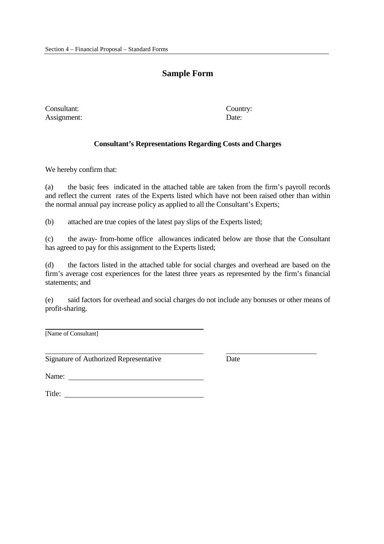# **Sample Form**

Consultant: Country: Assignment: Date:

## **Consultant's Representations Regarding Costs and Charges**

We hereby confirm that:

 $(a)$  and reflect the current rates of the Experts listed which have not been raised other than within the normal annual pay increase policy as applied to all the Consultant's Experts; the basic fees indicated in the attached table are taken from the firm's payroll records

 $(b)$ attached are true copies of the latest pay slips of the Experts listed;

 $(c)$  has agreed to pay for this assignment to the Experts listed; (c) the away- from-home office allowances indicated below are those that the Consultant

 $(d)$  firm's average cost experiences for the latest three years as represented by the firm's financial statements; and the factors listed in the attached table for social charges and overhead are based on the

 $(e)$ said factors for overhead and social charges do not include any bonuses or other means of profit-sharing.

[Name of Consultant]

Signature of Authorized Representative Date

Name:

Name:<br>Title: \_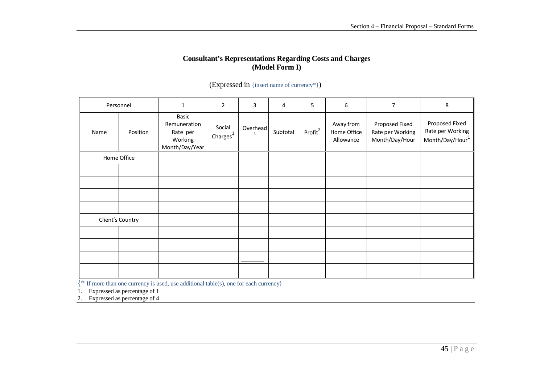## **Consultant's Representations Regarding Costs and Charges (Model Form I)**

| Personnel |                  | $\mathbf{1}$                                                   | $\overline{2}$         | 3                        | 4        | 5                   | $\boldsymbol{6}$                      | 7                                                    | 8                                                     |
|-----------|------------------|----------------------------------------------------------------|------------------------|--------------------------|----------|---------------------|---------------------------------------|------------------------------------------------------|-------------------------------------------------------|
| Name      | Position         | Basic<br>Remuneration<br>Rate per<br>Working<br>Month/Day/Year | Social<br>Charges $^1$ | Overhead<br>$\mathbf{1}$ | Subtotal | Profit <sup>2</sup> | Away from<br>Home Office<br>Allowance | Proposed Fixed<br>Rate per Working<br>Month/Day/Hour | Proposed Fixed<br>Rate per Working<br>Month/Day/Hour1 |
|           | Home Office      |                                                                |                        |                          |          |                     |                                       |                                                      |                                                       |
|           |                  |                                                                |                        |                          |          |                     |                                       |                                                      |                                                       |
|           |                  |                                                                |                        |                          |          |                     |                                       |                                                      |                                                       |
|           |                  |                                                                |                        |                          |          |                     |                                       |                                                      |                                                       |
|           |                  |                                                                |                        |                          |          |                     |                                       |                                                      |                                                       |
|           | Client's Country |                                                                |                        |                          |          |                     |                                       |                                                      |                                                       |
|           |                  |                                                                |                        |                          |          |                     |                                       |                                                      |                                                       |
|           |                  |                                                                |                        |                          |          |                     |                                       |                                                      |                                                       |
|           |                  |                                                                |                        |                          |          |                     |                                       |                                                      |                                                       |
|           |                  |                                                                |                        |                          |          |                     |                                       |                                                      |                                                       |

## (Expressed in {insert name of currency\*})

{\* If more than one currency is used, use additional table(s), one for each currency}

1. Expressed as percentage of 1

2. Expressed as percentage of 4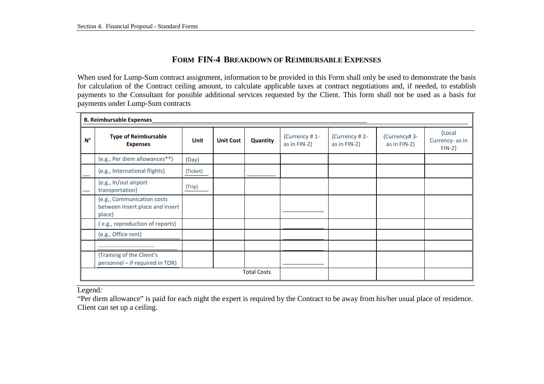# **FORM FIN-4 BREAKDOWN OF REIMBURSABLE EXPENSES**

When used for Lump-Sum contract assignment, information to be provided in this Form shall only be used to demonstrate the basis for calculation of the Contract ceiling amount, to calculate applicable taxes at contract negotiations and, if needed, to establish payments to the Consultant for possible additional services requested by the Client. This form shall not be used as a basis for payments under Lump-Sum contracts

|             | <b>B. Reimbursable Expenses</b>                                         |             |                  |          |                                  |                                  |                                  |                                        |
|-------------|-------------------------------------------------------------------------|-------------|------------------|----------|----------------------------------|----------------------------------|----------------------------------|----------------------------------------|
| $N^{\circ}$ | <b>Type of Reimbursable</b><br><b>Expenses</b>                          | <b>Unit</b> | <b>Unit Cost</b> | Quantity | {Currency #1-<br>as in $FIN-2$ } | {Currency #2-<br>as in $FIN-2$ } | {Currency# 3-<br>as in $FIN-2$ } | {Local<br>Currency- as in<br>$FIN-2$ } |
|             | {e.g., Per diem allowances**}                                           | $\{Day\}$   |                  |          |                                  |                                  |                                  |                                        |
|             | {e.g., International flights}                                           | {Ticket}    |                  |          |                                  |                                  |                                  |                                        |
|             | {e.g., In/out airport<br>transportation}                                | $\{Tip\}$   |                  |          |                                  |                                  |                                  |                                        |
|             | {e.g., Communication costs<br>between Insert place and Insert<br>place} |             |                  |          |                                  |                                  |                                  |                                        |
|             | {e.g., reproduction of reports}                                         |             |                  |          |                                  |                                  |                                  |                                        |
|             | {e.g., Office rent}                                                     |             |                  |          |                                  |                                  |                                  |                                        |
|             |                                                                         |             |                  |          |                                  |                                  |                                  |                                        |
|             | {Training of the Client's<br>personnel - if required in TOR}            |             |                  |          |                                  |                                  |                                  |                                        |
|             | <b>Total Costs</b>                                                      |             |                  |          |                                  |                                  |                                  |                                        |

Legend*:* 

"Per diem allowance" is paid for each night the expert is required by the Contract to be away from his/her usual place of residence. Client can set up a ceiling.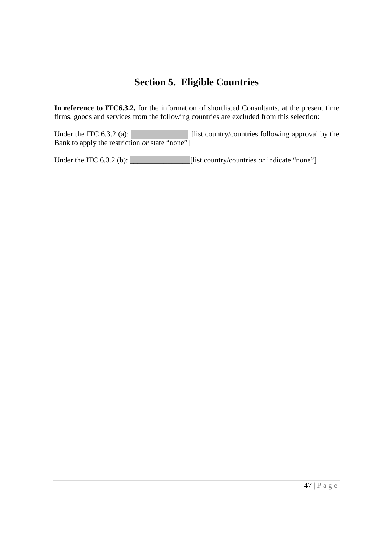# **Section 5. Eligible Countries**

 **In reference to ITC6.3.2,** for the information of shortlisted Consultants, at the present time firms, goods and services from the following countries are excluded from this selection:

Under the ITC 6.3.2 (a):  $\Box$  Bank to apply the restriction *or* state "none"]  $\blacksquare$  [list country/countries following approval by the

Under the ITC  $6.3.2$  (b):  $\Box$  [list country/countries *or* indicate "none"]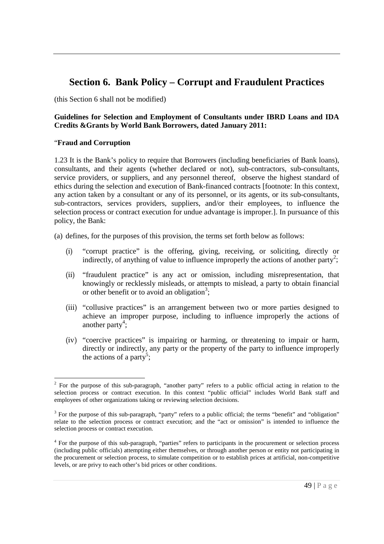# **Section 6. Bank Policy – Corrupt and Fraudulent Practices**

(this Section 6 shall not be modified)

## **Guidelines for Selection and Employment of Consultants under IBRD Loans and IDA Credits &Grants by World Bank Borrowers, dated January 2011:**

## "**Fraud and Corruption**

 1.23 It is the Bank's policy to require that Borrowers (including beneficiaries of Bank loans), consultants, and their agents (whether declared or not), sub-contractors, sub-consultants, service providers, or suppliers, and any personnel thereof, observe the highest standard of ethics during the selection and execution of Bank-financed contracts [footnote: In this context, any action taken by a consultant or any of its personnel, or its agents, or its sub-consultants, sub-contractors, services providers, suppliers, and/or their employees, to influence the selection process or contract execution for undue advantage is improper.]. In pursuance of this policy, the Bank:

(a) defines, for the purposes of this provision, the terms set forth below as follows:

- (i) "corrupt practice" is the offering, giving, receiving, or soliciting, directly or indirectly, of anything of value to influence improperly the actions of another party<sup>2</sup>;
- (ii) "fraudulent practice" is any act or omission, including misrepresentation, that knowingly or recklessly misleads, or attempts to mislead, a party to obtain financial or other benefit or to avoid an obligation<sup>3</sup>;
- (iii) "collusive practices" is an arrangement between two or more parties designed to achieve an improper purpose, including to influence improperly the actions of another party<sup>4</sup>;
- (iv) "coercive practices" is impairing or harming, or threatening to impair or harm, directly or indirectly, any party or the property of the party to influence improperly the actions of a party<sup>5</sup>;

l  $2^2$  For the purpose of this sub-paragraph, "another party" refers to a public official acting in relation to the selection process or contract execution. In this context "public official" includes World Bank staff and employees of other organizations taking or reviewing selection decisions.

 $3$  For the purpose of this sub-paragraph, "party" refers to a public official; the terms "benefit" and "obligation" relate to the selection process or contract execution; and the "act or omission" is intended to influence the selection process or contract execution.

<sup>&</sup>lt;sup>4</sup> For the purpose of this sub-paragraph, "parties" refers to participants in the procurement or selection process (including public officials) attempting either themselves, or through another person or entity not participating in the procurement or selection process, to simulate competition or to establish prices at artificial, non-competitive levels, or are privy to each other's bid prices or other conditions.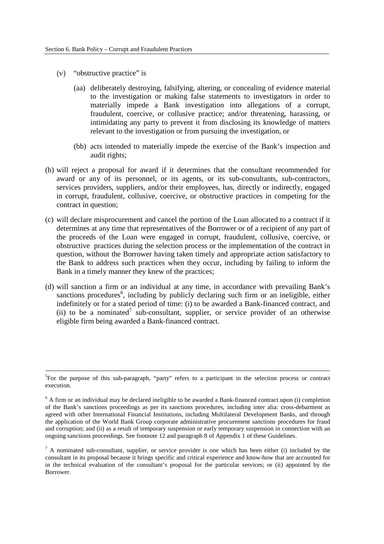(v) "obstructive practice" is

-

- (aa) deliberately destroying, falsifying, altering, or concealing of evidence material to the investigation or making false statements to investigators in order to materially impede a Bank investigation into allegations of a corrupt, fraudulent, coercive, or collusive practice; and/or threatening, harassing, or intimidating any party to prevent it from disclosing its knowledge of matters relevant to the investigation or from pursuing the investigation, or
- (bb) acts intended to materially impede the exercise of the Bank's inspection and audit rights;
- (b) will reject a proposal for award if it determines that the consultant recommended for award or any of its personnel, or its agents, or its sub-consultants, sub-contractors, services providers, suppliers, and/or their employees, has, directly or indirectly, engaged in corrupt, fraudulent, collusive, coercive, or obstructive practices in competing for the contract in question;
- (c) will declare misprocurement and cancel the portion of the Loan allocated to a contract if it determines at any time that representatives of the Borrower or of a recipient of any part of the proceeds of the Loan were engaged in corrupt, fraudulent, collusive, coercive, or obstructive practices during the selection process or the implementation of the contract in question, without the Borrower having taken timely and appropriate action satisfactory to the Bank to address such practices when they occur, including by failing to inform the Bank in a timely manner they knew of the practices;
- (d) will sanction a firm or an individual at any time, in accordance with prevailing Bank's sanctions procedures<sup>6</sup>, including by publicly declaring such firm or an ineligible, either indefinitely or for a stated period of time: (i) to be awarded a Bank-financed contract, and (ii) to be a nominated<sup>7</sup> sub-consultant, supplier, or service provider of an otherwise eligible firm being awarded a Bank-financed contract.

<sup>&</sup>lt;sup>5</sup>For the purpose of this sub-paragraph, "party" refers to a participant in the selection process or contract execution.

 $6$  A firm or an individual may be declared ineligible to be awarded a Bank-financed contract upon (i) completion of the Bank's sanctions proceedings as per its sanctions procedures, including inter alia: cross-debarment as agreed with other International Financial Institutions, including Multilateral Development Banks, and through the application of the World Bank Group corporate administrative procurement sanctions procedures for fraud and corruption; and (ii) as a result of temporary suspension or early temporary suspension in connection with an ongoing sanctions proceedings. See footnote 12 and paragraph 8 of Appendix 1 of these Guidelines.

 $7$  A nominated sub-consultant, supplier, or service provider is one which has been either (i) included by the consultant in its proposal because it brings specific and critical experience and know-how that are accounted for in the technical evaluation of the consultant's proposal for the particular services; or (ii) appointed by the Borrower.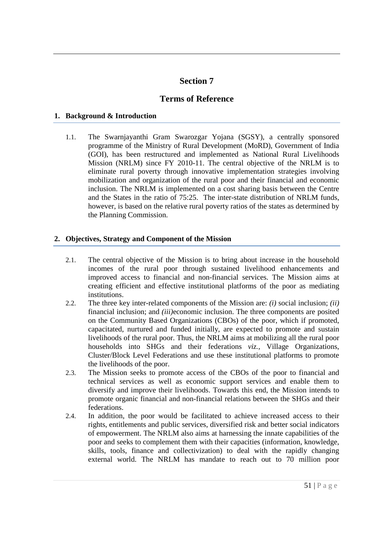# **Section 7**

# **Terms of Reference**

## **1. Background & Introduction**

 1.1. The Swarnjayanthi Gram Swarozgar Yojana (SGSY), a centrally sponsored programme of the Ministry of Rural Development (MoRD), Government of India (GOI), has been restructured and implemented as National Rural Livelihoods Mission (NRLM) since FY 2010-11. The central objective of the NRLM is to eliminate rural poverty through innovative implementation strategies involving mobilization and organization of the rural poor and their financial and economic inclusion. The NRLM is implemented on a cost sharing basis between the Centre and the States in the ratio of 75:25. The inter-state distribution of NRLM funds, however, is based on the relative rural poverty ratios of the states as determined by the Planning Commission.

# **2. Objectives, Strategy and Component of the Mission**

- 2.1. The central objective of the Mission is to bring about increase in the household incomes of the rural poor through sustained livelihood enhancements and improved access to financial and non-financial services. The Mission aims at creating efficient and effective institutional platforms of the poor as mediating institutions.
- 2.2. The three key inter-related components of the Mission are: *(i)* social inclusion; *(ii)*  financial inclusion; and *(iii)*economic inclusion. The three components are posited on the Community Based Organizations (CBOs) of the poor, which if promoted, capacitated, nurtured and funded initially, are expected to promote and sustain livelihoods of the rural poor. Thus, the NRLM aims at mobilizing all the rural poor households into SHGs and their federations *viz.,* Village Organizations, Cluster/Block Level Federations and use these institutional platforms to promote the livelihoods of the poor.
- 2.3. The Mission seeks to promote access of the CBOs of the poor to financial and technical services as well as economic support services and enable them to diversify and improve their livelihoods. Towards this end, the Mission intends to promote organic financial and non-financial relations between the SHGs and their federations
- federations. 2.4. In addition, the poor would be facilitated to achieve increased access to their rights, entitlements and public services, diversified risk and better social indicators of empowerment. The NRLM also aims at harnessing the innate capabilities of the poor and seeks to complement them with their capacities (information, knowledge, skills, tools, finance and collectivization) to deal with the rapidly changing external world. The NRLM has mandate to reach out to 70 million poor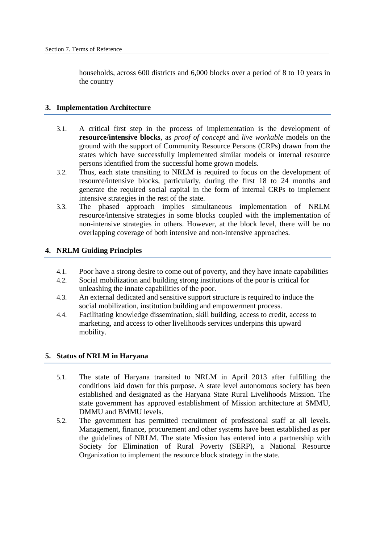households, across 600 districts and 6,000 blocks over a period of 8 to 10 years in the country

#### **3. Implementation Architecture**

- 3.1. A critical first step in the process of implementation is the development of **resource/intensive blocks**, as *proof of concept* and *live workable* models on the ground with the support of Community Resource Persons (CRPs) drawn from the states which have successfully implemented similar models or internal resource persons identified from the successful home grown models.
- 3.2. Thus, each state transiting to NRLM is required to focus on the development of resource/intensive blocks, particularly, during the first 18 to 24 months and generate the required social capital in the form of internal CRPs to implement intensive strategies in the rest of the state.
- 3.3. The phased approach implies simultaneous implementation of NRLM resource/intensive strategies in some blocks coupled with the implementation of non-intensive strategies in others. However, at the block level, there will be no overlapping coverage of both intensive and non-intensive approaches.

### **4. NRLM Guiding Principles**

- 4.1. Poor have a strong desire to come out of poverty, and they have innate capabilities
- 4.2. Social mobilization and building strong institutions of the poor is critical for unleashing the innate capabilities of the poor.
- 4.3. An external dedicated and sensitive support structure is required to induce the social mobilization, institution building and empowerment process.
- 4.4. Facilitating knowledge dissemination, skill building, access to credit, access to marketing, and access to other livelihoods services underpins this upward mobility.

#### **5. Status of NRLM in Haryana**

- 5.1. The state of Haryana transited to NRLM in April 2013 after fulfilling the conditions laid down for this purpose. A state level autonomous society has been established and designated as the Haryana State Rural Livelihoods Mission. The state government has approved establishment of Mission architecture at SMMU, DMMU and BMMU levels.
- 5.2. The government has permitted recruitment of professional staff at all levels. Management, finance, procurement and other systems have been established as per the guidelines of NRLM. The state Mission has entered into a partnership with Society for Elimination of Rural Poverty (SERP), a National Resource Organization to implement the resource block strategy in the state.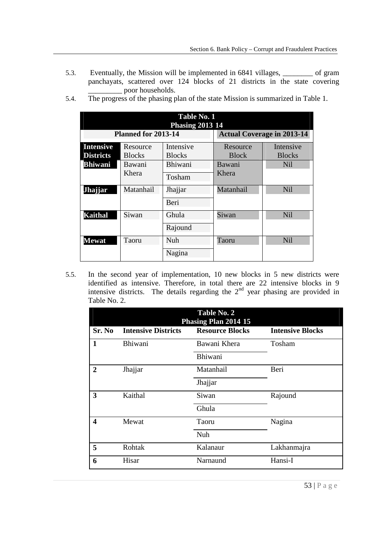- 5.3. Eventually, the Mission will be implemented in 6841 villages, \_\_\_\_\_\_\_\_ of gram panchayats, scattered over 124 blocks of 21 districts in the state covering \_\_\_\_\_\_\_\_\_ poor households.
	- **Table No. 1 Planned for 2013-14 Jhajjar | Matanhail | Jhajjar | Matanhail | Nil** Taoru **- Phasing 2013 14**  Actual Coverage in 2013-14 **Intensive Districts**  Resource Blocks Intensive **Blocks** Resource Block Intensive **Blocks Bhiwani** Bawani Khera Bhiwani Bawani Khera Nil Tosham Beri **Kaithal** Siwan Ghula Siwan Nil Rajound **Mewat** Taoru Nuh Taoru Nil Nagina
- 5.4. The progress of the phasing plan of the state Mission is summarized in Table 1.

 5.5. In the second year of implementation, 10 new blocks in 5 new districts were identified as intensive. Therefore, in total there are 22 intensive blocks in 9 intensive districts. The details regarding the  $2<sup>nd</sup>$  year phasing are provided in Table No. 2.

|              |                            | Table No. 2<br>Phasing Plan 2014 15 |                         |
|--------------|----------------------------|-------------------------------------|-------------------------|
| Sr. No       | <b>Intensive Districts</b> | <b>Resource Blocks</b>              | <b>Intensive Blocks</b> |
| $\mathbf{1}$ | Bhiwani                    | Bawani Khera                        | Tosham                  |
|              |                            | Bhiwani                             |                         |
| $\mathbf{2}$ | Jhajjar                    | Matanhail                           | Beri                    |
|              |                            | Jhajjar                             |                         |
| 3            | Kaithal                    | Siwan                               | Rajound                 |
|              |                            | Ghula                               |                         |
| 4            | Mewat                      | Taoru                               | Nagina                  |
|              |                            | Nuh                                 |                         |
| 5            | Rohtak                     | Kalanaur                            | Lakhanmajra             |
| 6            | Hisar                      | Narnaund                            | Hansi-I                 |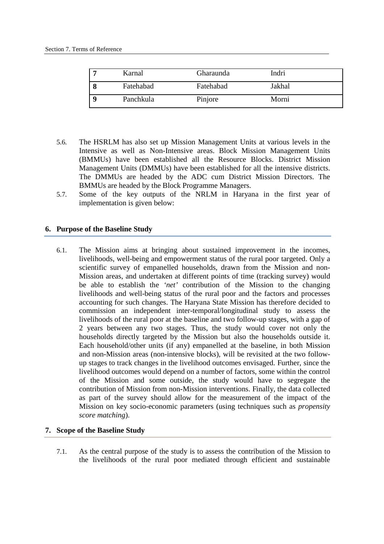| Karnal    | <b>Gharaunda</b> | Indri  |  |
|-----------|------------------|--------|--|
| Fatehabad | Fatehabad        | Jakhal |  |
| Panchkula | Pinjore          | Morni  |  |

- 5.6. The HSRLM has also set up Mission Management Units at various levels in the Intensive as well as Non-Intensive areas. Block Mission Management Units (BMMUs) have been established all the Resource Blocks. District Mission Management Units (DMMUs) have been established for all the intensive districts. The DMMUs are headed by the ADC cum District Mission Directors. The BMMUs are headed by the Block Programme Managers.
- 5.7. Some of the key outputs of the NRLM in Haryana in the first year of implementation is given below:

### **6. Purpose of the Baseline Study**

 6.1. The Mission aims at bringing about sustained improvement in the incomes, livelihoods, well-being and empowerment status of the rural poor targeted. Only a scientific survey of empanelled households, drawn from the Mission and non- Mission areas, and undertaken at different points of time (tracking survey) would be able to establish the *'net'* contribution of the Mission to the changing livelihoods and well-being status of the rural poor and the factors and processes accounting for such changes. The Haryana State Mission has therefore decided to commission an independent inter-temporal/longitudinal study to assess the livelihoods of the rural poor at the baseline and two follow-up stages, with a gap of 2 years between any two stages. Thus, the study would cover not only the households directly targeted by the Mission but also the households outside it. Each household/other units (if any) empanelled at the baseline, in both Mission and non-Mission areas (non-intensive blocks), will be revisited at the two follow- up stages to track changes in the livelihood outcomes envisaged. Further, since the livelihood outcomes would depend on a number of factors, some within the control of the Mission and some outside, the study would have to segregate the contribution of Mission from non-Mission interventions. Finally, the data collected as part of the survey should allow for the measurement of the impact of the Mission on key socio-economic parameters (using techniques such as *propensity score matching*).

### **7. Scope of the Baseline Study**

 7.1. As the central purpose of the study is to assess the contribution of the Mission to the livelihoods of the rural poor mediated through efficient and sustainable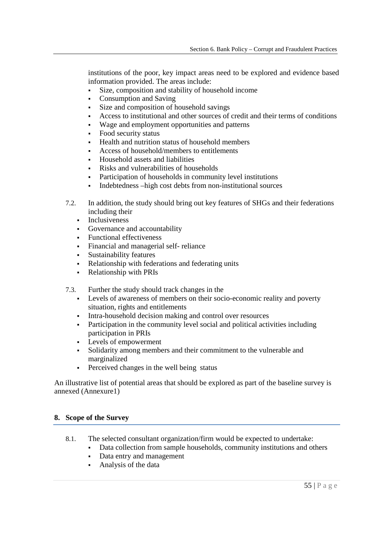institutions of the poor, key impact areas need to be explored and evidence based information provided. The areas include:

- Size, composition and stability of household income
- Consumption and Saving
- Size and composition of household savings
- Access to institutional and other sources of credit and their terms of conditions
- Wage and employment opportunities and patterns
- Food security status
- Health and nutrition status of household members
- Access of household/members to entitlements
- Household assets and liabilities
- Risks and vulnerabilities of households
- Participation of households in community level institutions
- Indebtedness –high cost debts from non-institutional sources
- 7.2. In addition, the study should bring out key features of SHGs and their federations including their
	- Inclusiveness
	- Governance and accountability
	- Functional effectiveness
	- Financial and managerial self- reliance
	- Sustainability features
	- Relationship with federations and federating units
	- Relationship with PRIs
- 7.3. Further the study should track changes in the
	- • Levels of awareness of members on their socio-economic reality and poverty situation, rights and entitlements
	- Intra-household decision making and control over resources
	- • Participation in the community level social and political activities including participation in PRIs
	- Levels of empowerment
	- • Solidarity among members and their commitment to the vulnerable and marginalized
	- Perceived changes in the well being status

 An illustrative list of potential areas that should be explored as part of the baseline survey is annexed (Annexure1)

### **8. Scope of the Survey**

- 8.1. The selected consultant organization/firm would be expected to undertake:
	- Data collection from sample households, community institutions and others
	- Data entry and management
	- Analysis of the data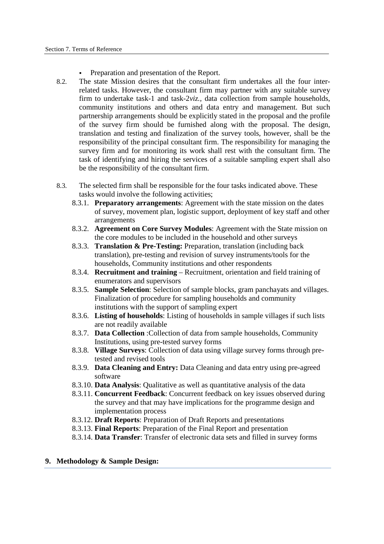- Preparation and presentation of the Report.
- 8.2. The state Mission desires that the consultant firm undertakes all the four inter- related tasks. However, the consultant firm may partner with any suitable survey firm to undertake task-1 and task-2*viz.,* data collection from sample households, community institutions and others and data entry and management. But such partnership arrangements should be explicitly stated in the proposal and the profile of the survey firm should be furnished along with the proposal. The design, translation and testing and finalization of the survey tools, however, shall be the responsibility of the principal consultant firm. The responsibility for managing the survey firm and for monitoring its work shall rest with the consultant firm. The task of identifying and hiring the services of a suitable sampling expert shall also be the responsibility of the consultant firm.
- 8.3. The selected firm shall be responsible for the four tasks indicated above. These tasks would involve the following activities;
	- 8.3.1. **Preparatory arrangements**: Agreement with the state mission on the dates of survey, movement plan, logistic support, deployment of key staff and other arrangements
	- 8.3.2. **Agreement on Core Survey Modules**: Agreement with the State mission on the core modules to be included in the household and other surveys
	- 8.3.3. **Translation & Pre-Testing:** Preparation, translation (including back translation), pre-testing and revision of survey instruments/tools for the households, Community institutions and other respondents
	- 8.3.4. **Recruitment and training**  Recruitment, orientation and field training of enumerators and supervisors
	- 8.3.5. **Sample Selection**: Selection of sample blocks, gram panchayats and villages. Finalization of procedure for sampling households and community institutions with the support of sampling expert
	- 8.3.6. **Listing of households**: Listing of households in sample villages if such lists are not readily available
	- 8.3.7. **Data Collection** :Collection of data from sample households, Community Institutions, using pre-tested survey forms
	- 8.3.8. **Village Surveys**: Collection of data using village survey forms through pre-tested and revised tools
	- 8.3.9. **Data Cleaning and Entry:** Data Cleaning and data entry using pre-agreed software
	- software 8.3.10. **Data Analysis**: Qualitative as well as quantitative analysis of the data
	- 8.3.11. **Concurrent Feedback**: Concurrent feedback on key issues observed during the survey and that may have implications for the programme design and implementation process
	- 8.3.12. **Draft Reports**: Preparation of Draft Reports and presentations
	- 8.3.13. **Final Reports**: Preparation of the Final Report and presentation
	- 8.3.14. **Data Transfer**: Transfer of electronic data sets and filled in survey forms

### **9. Methodology & Sample Design:**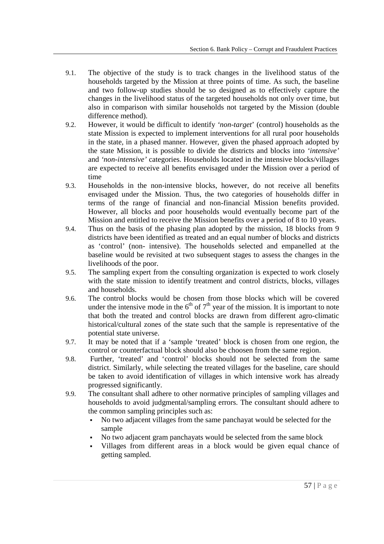- 9.1. The objective of the study is to track changes in the livelihood status of the households targeted by the Mission at three points of time. As such, the baseline and two follow-up studies should be so designed as to effectively capture the changes in the livelihood status of the targeted households not only over time, but also in comparison with similar households not targeted by the Mission (double difference method).
- 9.2. However, it would be difficult to identify *'non-target*' (control) households as the state Mission is expected to implement interventions for all rural poor households in the state, in a phased manner. However, given the phased approach adopted by the state Mission, it is possible to divide the districts and blocks into *'intensive'*  and *'non-intensive'* categories. Households located in the intensive blocks/villages are expected to receive all benefits envisaged under the Mission over a period of time
- 9.3. Households in the non-intensive blocks, however, do not receive all benefits envisaged under the Mission. Thus, the two categories of households differ in terms of the range of financial and non-financial Mission benefits provided. However, all blocks and poor households would eventually become part of the Mission and entitled to receive the Mission benefits over a period of 8 to 10 years.
- 9.4. Thus on the basis of the phasing plan adopted by the mission, 18 blocks from 9 districts have been identified as treated and an equal number of blocks and districts as 'control' (non- intensive). The households selected and empanelled at the baseline would be revisited at two subsequent stages to assess the changes in the livelihoods of the poor.
- 9.5. The sampling expert from the consulting organization is expected to work closely with the state mission to identify treatment and control districts, blocks, villages and households.
- 9.6. The control blocks would be chosen from those blocks which will be covered under the intensive mode in the  $6<sup>th</sup>$  of  $7<sup>th</sup>$  year of the mission. It is important to note that both the treated and control blocks are drawn from different agro-climatic historical/cultural zones of the state such that the sample is representative of the potential state universe.
- 9.7. It may be noted that if a 'sample 'treated' block is chosen from one region, the control or counterfactual block should also be choosen from the same region.
- 9.8. Further, 'treated' and 'control' blocks should not be selected from the same district. Similarly, while selecting the treated villages for the baseline, care should be taken to avoid identification of villages in which intensive work has already progressed significantly.
- progressed significantly.<br>9.9. The consultant shall adhere to other normative principles of sampling villages and households to avoid judgmental/sampling errors. The consultant should adhere to the common sampling principles such as:
	- • No two adjacent villages from the same panchayat would be selected for the sample
	- No two adjacent gram panchayats would be selected from the same block
	- • Villages from different areas in a block would be given equal chance of getting sampled.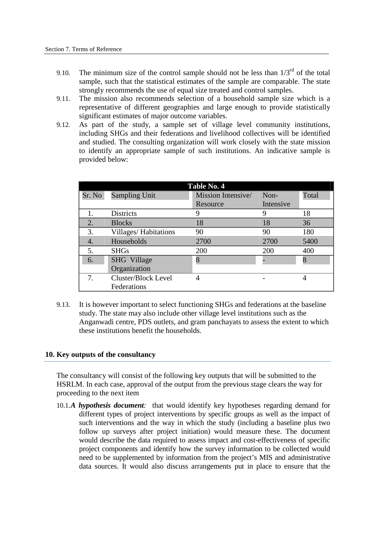- 9.10. The minimum size of the control sample should not be less than  $1/3^{rd}$  of the total sample, such that the statistical estimates of the sample are comparable. The state strongly recommends the use of equal size treated and control samples.
- 9.11. The mission also recommends selection of a household sample size which is a representative of different geographies and large enough to provide statistically significant estimates of major outcome variables.
- 9.12. As part of the study, a sample set of village level community institutions, including SHGs and their federations and livelihood collectives will be identified and studied. The consulting organization will work closely with the state mission to identify an appropriate sample of such institutions. An indicative sample is provided below:

| Table No. 4      |                             |                    |           |       |  |  |
|------------------|-----------------------------|--------------------|-----------|-------|--|--|
| Sr. No           | <b>Sampling Unit</b>        | Mission Intensive/ | $Non-$    | Total |  |  |
|                  |                             | Resource           | Intensive |       |  |  |
|                  | <b>Districts</b>            | 9                  | 9         | 18    |  |  |
| 2.               | <b>Blocks</b>               | 18                 | 18        | 36    |  |  |
| 3.               | <b>Villages/Habitations</b> | 90                 | 90        | 180   |  |  |
| $\overline{4}$ . | Households                  | 2700               | 2700      | 5400  |  |  |
| 5.               | <b>SHGs</b>                 | 200                | 200       | 400   |  |  |
| 6.               | SHG Village                 | 8                  |           | 8     |  |  |
|                  | Organization                |                    |           |       |  |  |
| 7.               | Cluster/Block Level         |                    |           | 4     |  |  |
|                  | Federations                 |                    |           |       |  |  |

 9.13. It is however important to select functioning SHGs and federations at the baseline study. The state may also include other village level institutions such as the Anganwadi centre, PDS outlets, and gram panchayats to assess the extent to which these institutions benefit the households.

#### **10. Key outputs of the consultancy**

 The consultancy will consist of the following key outputs that will be submitted to the HSRLM. In each case, approval of the output from the previous stage clears the way for proceeding to the next item

10.1.*A hypothesis document*: that would identify key hypotheses regarding demand for different types of project interventions by specific groups as well as the impact of such interventions and the way in which the study (including a baseline plus two follow up surveys after project initiation) would measure these. The document would describe the data required to assess impact and cost-effectiveness of specific project components and identify how the survey information to be collected would need to be supplemented by information from the project's MIS and administrative data sources. It would also discuss arrangements put in place to ensure that the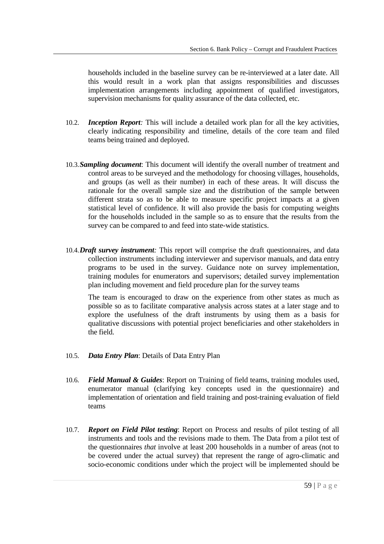households included in the baseline survey can be re-interviewed at a later date. All this would result in a work plan that assigns responsibilities and discusses implementation arrangements including appointment of qualified investigators, supervision mechanisms for quality assurance of the data collected, etc.

- 10.2. *Inception Report:* This will include a detailed work plan for all the key activities, clearly indicating responsibility and timeline, details of the core team and filed teams being trained and deployed.
- 10.3.*Sampling document*: This document will identify the overall number of treatment and control areas to be surveyed and the methodology for choosing villages, households, and groups (as well as their number) in each of these areas. It will discuss the rationale for the overall sample size and the distribution of the sample between different strata so as to be able to measure specific project impacts at a given statistical level of confidence. It will also provide the basis for computing weights for the households included in the sample so as to ensure that the results from the survey can be compared to and feed into state-wide statistics.
- 10.4.*Draft survey instrument*: This report will comprise the draft questionnaires, and data collection instruments including interviewer and supervisor manuals, and data entry programs to be used in the survey. Guidance note on survey implementation, training modules for enumerators and supervisors; detailed survey implementation plan including movement and field procedure plan for the survey teams

 The team is encouraged to draw on the experience from other states as much as possible so as to facilitate comparative analysis across states at a later stage and to explore the usefulness of the draft instruments by using them as a basis for qualitative discussions with potential project beneficiaries and other stakeholders in the field.

- 10.5. *Data Entry Plan*: Details of Data Entry Plan
- 10.6. Field Manual & Guides: Report on Training of field teams, training modules used, enumerator manual (clarifying key concepts used in the questionnaire) and implementation of orientation and field training and post-training evaluation of field teams
- 10.7. **Report on Field Pilot testing**: Report on Process and results of pilot testing of all instruments and tools and the revisions made to them. The Data from a pilot test of the questionnaires *that* involve at least 200 households in a number of areas (not to be covered under the actual survey) that represent the range of agro-climatic and socio-economic conditions under which the project will be implemented should be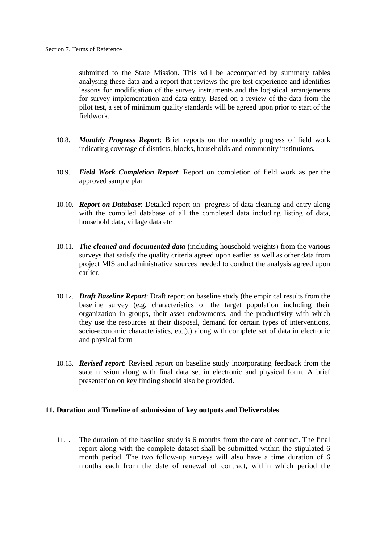submitted to the State Mission. This will be accompanied by summary tables analysing these data and a report that reviews the pre-test experience and identifies lessons for modification of the survey instruments and the logistical arrangements for survey implementation and data entry. Based on a review of the data from the pilot test, a set of minimum quality standards will be agreed upon prior to start of the fieldwork.

- fieldwork. 10.8. *Monthly Progress Report*: Brief reports on the monthly progress of field work indicating coverage of districts, blocks, households and community institutions.
- 10.9. Field Work Completion Report: Report on completion of field work as per the approved sample plan
- 10.10. **Report on Database**: Detailed report on progress of data cleaning and entry along with the compiled database of all the completed data including listing of data, household data, village data etc
- 10.11. *The cleaned and documented data* (including household weights) from the various surveys that satisfy the quality criteria agreed upon earlier as well as other data from project MIS and administrative sources needed to conduct the analysis agreed upon earlier
- earlier.<br>
10.12. *Draft Baseline Report*: Draft report on baseline study (the empirical results from the baseline survey (e.g. characteristics of the target population including their organization in groups, their asset endowments, and the productivity with which they use the resources at their disposal, demand for certain types of interventions, socio-economic characteristics, etc.).) along with complete set of data in electronic and physical form
- 10.13. *Revised report*: Revised report on baseline study incorporating feedback from the state mission along with final data set in electronic and physical form. A brief presentation on key finding should also be provided.

#### **11. Duration and Timeline of submission of key outputs and Deliverables**

 11.1. The duration of the baseline study is 6 months from the date of contract. The final report along with the complete dataset shall be submitted within the stipulated 6 month period. The two follow-up surveys will also have a time duration of 6 months each from the date of renewal of contract, within which period the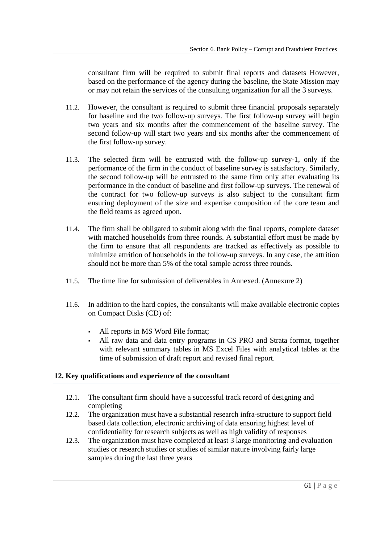consultant firm will be required to submit final reports and datasets However, based on the performance of the agency during the baseline, the State Mission may or may not retain the services of the consulting organization for all the 3 surveys.

- 11.2. However, the consultant is required to submit three financial proposals separately for baseline and the two follow-up surveys. The first follow-up survey will begin two years and six months after the commencement of the baseline survey. The second follow-up will start two years and six months after the commencement of the first follow-up survey.
- 11.3. The selected firm will be entrusted with the follow-up survey-1, only if the performance of the firm in the conduct of baseline survey is satisfactory. Similarly, the second follow-up will be entrusted to the same firm only after evaluating its performance in the conduct of baseline and first follow-up surveys. The renewal of the contract for two follow-up surveys is also subject to the consultant firm ensuring deployment of the size and expertise composition of the core team and the field teams as agreed upon.
- 11.4. The firm shall be obligated to submit along with the final reports, complete dataset with matched households from three rounds. A substantial effort must be made by the firm to ensure that all respondents are tracked as effectively as possible to minimize attrition of households in the follow-up surveys. In any case, the attrition should not be more than 5% of the total sample across three rounds.
- 11.5. The time line for submission of deliverables in Annexed. (Annexure 2)
- 11.6. In addition to the hard copies, the consultants will make available electronic copies on Compact Disks (CD) of:
	- All reports in MS Word File format;
	- • All raw data and data entry programs in CS PRO and Strata format, together with relevant summary tables in MS Excel Files with analytical tables at the time of submission of draft report and revised final report.

## **12. Key qualifications and experience of the consultant**

- 12.1. The consultant firm should have a successful track record of designing and completing
- 12.2. The organization must have a substantial research infra-structure to support field based data collection, electronic archiving of data ensuring highest level of confidentiality for research subjects as well as high validity of responses
- 12.3. The organization must have completed at least 3 large monitoring and evaluation studies or research studies or studies of similar nature involving fairly large samples during the last three years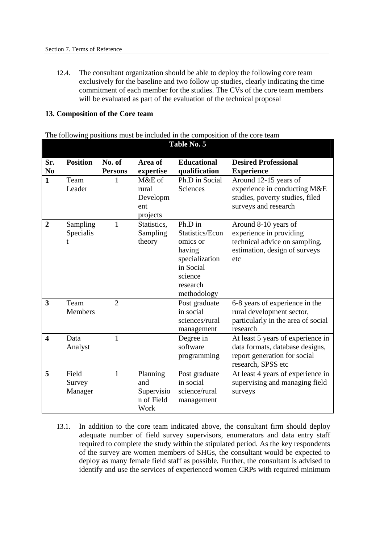12.4. The consultant organization should be able to deploy the following core team exclusively for the baseline and two follow up studies, clearly indicating the time commitment of each member for the studies. The CVs of the core team members will be evaluated as part of the evaluation of the technical proposal

|                         |                 |                |                          | The following positions must be included in the composition of the core team<br>Table No. 5 |                                                         |
|-------------------------|-----------------|----------------|--------------------------|---------------------------------------------------------------------------------------------|---------------------------------------------------------|
|                         |                 |                |                          |                                                                                             |                                                         |
| Sr.                     | <b>Position</b> | No. of         | Area of                  | <b>Educational</b>                                                                          | <b>Desired Professional</b>                             |
| N <sub>0</sub>          |                 | <b>Persons</b> | expertise                | qualification                                                                               | <b>Experience</b>                                       |
| $\mathbf{1}$            | Team            |                | M&E of                   | Ph.D in Social                                                                              | Around 12-15 years of                                   |
|                         | Leader          |                | rural                    | Sciences                                                                                    | experience in conducting M&E                            |
|                         |                 |                | Developm<br>ent          |                                                                                             | studies, poverty studies, filed<br>surveys and research |
|                         |                 |                | projects                 |                                                                                             |                                                         |
| $\overline{2}$          | Sampling        | 1              | Statistics,              | Ph.D in                                                                                     | Around 8-10 years of                                    |
|                         | Specialis       |                | Sampling                 | Statistics/Econ                                                                             | experience in providing                                 |
|                         |                 |                | theory                   | omics or                                                                                    | technical advice on sampling,                           |
|                         |                 |                |                          | having                                                                                      | estimation, design of surveys                           |
|                         |                 |                |                          | specialization<br>in Social                                                                 | etc                                                     |
|                         |                 |                |                          | science                                                                                     |                                                         |
|                         |                 |                |                          | research                                                                                    |                                                         |
|                         |                 |                |                          | methodology                                                                                 |                                                         |
| 3                       | Team            | $\overline{2}$ |                          | Post graduate                                                                               | 6-8 years of experience in the                          |
|                         | <b>Members</b>  |                |                          | in social                                                                                   | rural development sector,                               |
|                         |                 |                |                          | sciences/rural                                                                              | particularly in the area of social<br>research          |
| $\overline{\mathbf{4}}$ | Data            | $\mathbf{1}$   |                          | management<br>Degree in                                                                     | At least 5 years of experience in                       |
|                         | Analyst         |                |                          | software                                                                                    | data formats, database designs,                         |
|                         |                 |                |                          | programming                                                                                 | report generation for social                            |
|                         |                 |                |                          |                                                                                             | research, SPSS etc                                      |
| 5                       | Field           | 1              | Planning                 | Post graduate                                                                               | At least 4 years of experience in                       |
|                         | Survey          |                | and                      | in social                                                                                   | supervising and managing field                          |
|                         | Manager         |                | Supervisio<br>n of Field | science/rural<br>management                                                                 | surveys                                                 |
|                         |                 |                | Work                     |                                                                                             |                                                         |

## **13. Composition of the Core team**

The following positions must be included in the composition of the core team

 13.1. In addition to the core team indicated above, the consultant firm should deploy adequate number of field survey supervisors, enumerators and data entry staff required to complete the study within the stipulated period. As the key respondents of the survey are women members of SHGs, the consultant would be expected to deploy as many female field staff as possible. Further, the consultant is advised to identify and use the services of experienced women CRPs with required minimum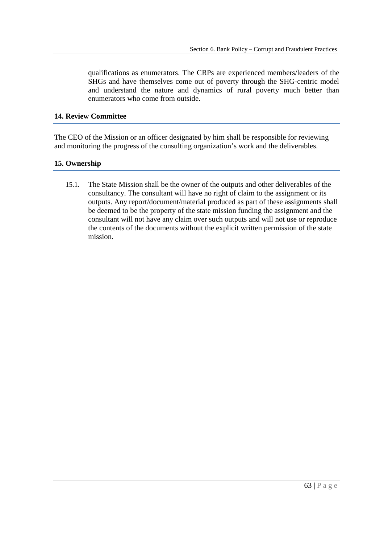qualifications as enumerators. The CRPs are experienced members/leaders of the SHGs and have themselves come out of poverty through the SHG-centric model and understand the nature and dynamics of rural poverty much better than enumerators who come from outside.

### **14. Review Committee**

 The CEO of the Mission or an officer designated by him shall be responsible for reviewing and monitoring the progress of the consulting organization's work and the deliverables.

## **15. Ownership**

 15.1. The State Mission shall be the owner of the outputs and other deliverables of the consultancy. The consultant will have no right of claim to the assignment or its outputs. Any report/document/material produced as part of these assignments shall be deemed to be the property of the state mission funding the assignment and the consultant will not have any claim over such outputs and will not use or reproduce the contents of the documents without the explicit written permission of the state mission. mission.<br>63 | P a g e<br>63 | P a g e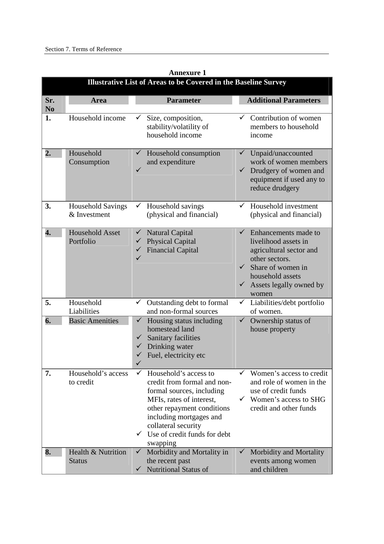|                       | <b>Illustrative List of Areas to be Covered in the Baseline Survey</b> |                                                                                                                                                                                                                                                        |                                                                                                                                                                                                             |  |  |  |
|-----------------------|------------------------------------------------------------------------|--------------------------------------------------------------------------------------------------------------------------------------------------------------------------------------------------------------------------------------------------------|-------------------------------------------------------------------------------------------------------------------------------------------------------------------------------------------------------------|--|--|--|
| Sr.<br>N <sub>0</sub> | <b>Area</b>                                                            | <b>Parameter</b>                                                                                                                                                                                                                                       | <b>Additional Parameters</b>                                                                                                                                                                                |  |  |  |
| 1.                    | Household income                                                       | Size, composition,<br>stability/volatility of<br>household income                                                                                                                                                                                      | Contribution of women<br>members to household<br>income                                                                                                                                                     |  |  |  |
| $\overline{2}$ .      | Household<br>Consumption                                               | Household consumption<br>and expenditure                                                                                                                                                                                                               | Unpaid/unaccounted<br>work of women members<br>$\checkmark$<br>Drudgery of women and<br>equipment if used any to<br>reduce drudgery                                                                         |  |  |  |
| 3.                    | <b>Household Savings</b><br>& Investment                               | Household savings<br>(physical and financial)                                                                                                                                                                                                          | $\checkmark$ Household investment<br>(physical and financial)                                                                                                                                               |  |  |  |
| 4.                    | <b>Household Asset</b><br>Portfolio                                    | <b>Natural Capital</b><br>$\checkmark$<br><b>Physical Capital</b><br><b>Financial Capital</b>                                                                                                                                                          | $\checkmark$<br>Enhancements made to<br>livelihood assets in<br>agricultural sector and<br>other sectors.<br>$\checkmark$<br>Share of women in<br>household assets<br>Assets legally owned by<br>✓<br>women |  |  |  |
| 5.                    | Household<br>Liabilities                                               | Outstanding debt to formal<br>$\checkmark$<br>and non-formal sources                                                                                                                                                                                   | Liabilities/debt portfolio<br>of women.                                                                                                                                                                     |  |  |  |
| 6.                    | <b>Basic Amenities</b>                                                 | Housing status including<br>$\checkmark$<br>homestead land<br>Sanitary facilities<br>$\checkmark$<br>Drinking water<br>Fuel, electricity etc<br>✓                                                                                                      | Ownership status of<br>$\checkmark$<br>house property                                                                                                                                                       |  |  |  |
| 7.                    | Household's access<br>to credit                                        | Household's access to<br>credit from formal and non-<br>formal sources, including<br>MFIs, rates of interest,<br>other repayment conditions<br>including mortgages and<br>collateral security<br>$\checkmark$ Use of credit funds for debt<br>swapping | Women's access to credit<br>and role of women in the<br>use of credit funds<br>Women's access to SHG<br>✓<br>credit and other funds                                                                         |  |  |  |
| 8.                    | Health & Nutrition<br><b>Status</b>                                    | Morbidity and Mortality in<br>$\checkmark$<br>the recent past<br><b>Nutritional Status of</b><br>$\checkmark$                                                                                                                                          | Morbidity and Mortality<br>events among women<br>and children                                                                                                                                               |  |  |  |

 **Annexure 1**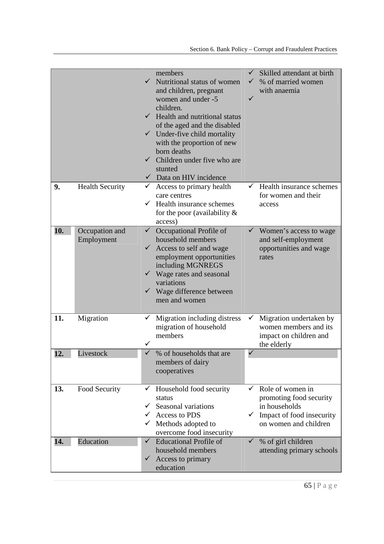|     |                              | members<br>$\checkmark$ Nutritional status of women<br>and children, pregnant<br>women and under -5<br>children.<br>$\checkmark$ Health and nutritional status<br>of the aged and the disabled<br>$\checkmark$ Under-five child mortality<br>with the proportion of new<br>born deaths<br>$\checkmark$ Children under five who are<br>stunted<br>$\checkmark$ Data on HIV incidence | Skilled attendant at birth<br>% of married women<br>with anaemia                                                   |  |
|-----|------------------------------|-------------------------------------------------------------------------------------------------------------------------------------------------------------------------------------------------------------------------------------------------------------------------------------------------------------------------------------------------------------------------------------|--------------------------------------------------------------------------------------------------------------------|--|
| 9.  | <b>Health Security</b>       | $\checkmark$ Access to primary health<br>care centres<br>Health insurance schemes<br>for the poor (availability $\&$<br>access)                                                                                                                                                                                                                                                     | $\checkmark$ Health insurance schemes<br>for women and their<br>access                                             |  |
| 10. | Occupation and<br>Employment | Occupational Profile of<br>$\checkmark$<br>household members<br>$\checkmark$ Access to self and wage<br>employment opportunities<br>including MGNREGS<br>$\checkmark$ Wage rates and seasonal<br>variations<br>$\checkmark$ Wage difference between<br>men and women                                                                                                                | Women's access to wage<br>and self-employment<br>opportunities and wage<br>rates                                   |  |
| 11. | Migration                    | Migration including distress<br>migration of household<br>members<br>✓                                                                                                                                                                                                                                                                                                              | Migration undertaken by<br>women members and its<br>impact on children and<br>the elderly                          |  |
| 12. | Livestock                    | % of households that are<br>✓<br>members of dairy<br>cooperatives                                                                                                                                                                                                                                                                                                                   | $\checkmark$                                                                                                       |  |
| 13. | Food Security                | Household food security<br>✓<br>status<br>Seasonal variations<br>$\checkmark$<br>Access to PDS<br>Methods adopted to<br>overcome food insecurity                                                                                                                                                                                                                                    | Role of women in<br>promoting food security<br>in households<br>Impact of food insecurity<br>on women and children |  |
| 14. | Education                    | <b>Educational Profile of</b><br>$\checkmark$<br>household members<br>Access to primary<br>$\checkmark$<br>education                                                                                                                                                                                                                                                                | % of girl children<br>✓<br>attending primary schools                                                               |  |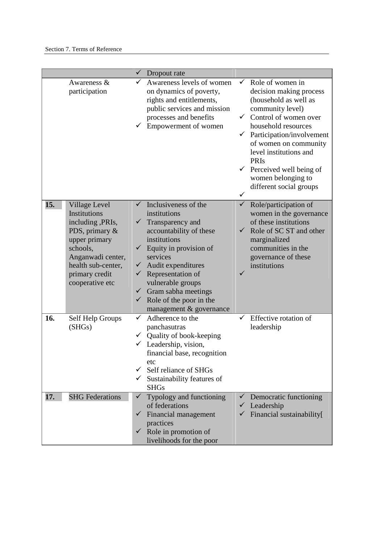|     |                                                                                                                                                                                         | ✓            | Dropout rate                                                                                                                                                                                                                                                                                                                                                         |                                                   |                                                                                                                                                                                                                                                                                                                                  |
|-----|-----------------------------------------------------------------------------------------------------------------------------------------------------------------------------------------|--------------|----------------------------------------------------------------------------------------------------------------------------------------------------------------------------------------------------------------------------------------------------------------------------------------------------------------------------------------------------------------------|---------------------------------------------------|----------------------------------------------------------------------------------------------------------------------------------------------------------------------------------------------------------------------------------------------------------------------------------------------------------------------------------|
|     | Awareness &<br>participation                                                                                                                                                            | ✓            | Awareness levels of women<br>on dynamics of poverty,<br>rights and entitlements,<br>public services and mission<br>processes and benefits<br>Empowerment of women                                                                                                                                                                                                    | $\checkmark$<br>$\checkmark$<br>$\checkmark$<br>✓ | Role of women in<br>decision making process<br>(household as well as<br>community level)<br>Control of women over<br>household resources<br>Participation/involvement<br>of women on community<br>level institutions and<br><b>PRIs</b><br>$\checkmark$ Perceived well being of<br>women belonging to<br>different social groups |
| 15. | <b>Village Level</b><br>Institutions<br>including ,PRIs,<br>PDS, primary &<br>upper primary<br>schools,<br>Anganwadi center,<br>health sub-center,<br>primary credit<br>cooperative etc | ✓            | Inclusiveness of the<br>institutions<br>$\checkmark$ Transparency and<br>accountability of these<br>institutions<br>$\checkmark$ Equity in provision of<br>services<br>$\checkmark$ Audit expenditures<br>$\checkmark$ Representation of<br>vulnerable groups<br>$\checkmark$ Gram sabha meetings<br>$\checkmark$ Role of the poor in the<br>management & governance | $\checkmark$<br>$\checkmark$                      | Role/participation of<br>women in the governance<br>of these institutions<br>Role of SC ST and other<br>marginalized<br>communities in the<br>governance of these<br>institutions                                                                                                                                                |
| 16. | Self Help Groups<br>(SHGs)                                                                                                                                                              | ✓            | Adherence to the<br>panchasutras<br>$\checkmark$ Quality of book-keeping<br>$\checkmark$ Leadership, vision,<br>financial base, recognition<br>etc<br>Self reliance of SHGs<br>Sustainability features of<br><b>SHGs</b>                                                                                                                                             |                                                   | Effective rotation of<br>leadership                                                                                                                                                                                                                                                                                              |
| 17. | <b>SHG Federations</b>                                                                                                                                                                  | $\checkmark$ | Typology and functioning<br>of federations<br>Financial management<br>practices<br>$\checkmark$ Role in promotion of<br>livelihoods for the poor                                                                                                                                                                                                                     |                                                   | $\checkmark$ Democratic functioning<br>$\checkmark$ Leadership<br>Financial sustainability[                                                                                                                                                                                                                                      |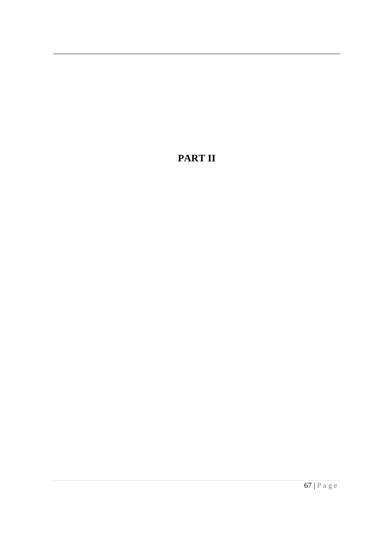## **PART II**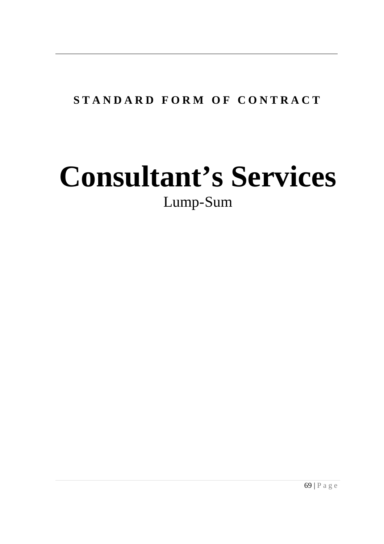# **S T A N D A R D F O R M O F C O N T R A C T**

# **Consultant's Services**  Lump-Sum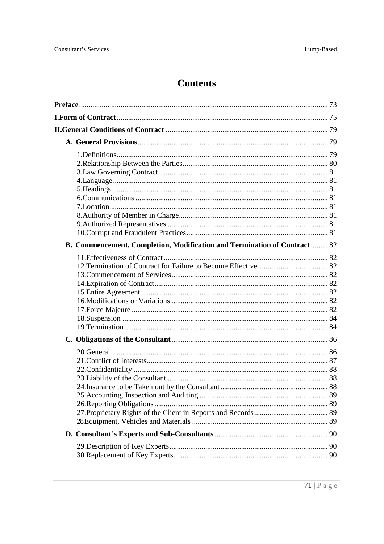# **Contents**

| B. Commencement, Completion, Modification and Termination of Contract 82 |  |
|--------------------------------------------------------------------------|--|
|                                                                          |  |
|                                                                          |  |
|                                                                          |  |
|                                                                          |  |
|                                                                          |  |
|                                                                          |  |
|                                                                          |  |
|                                                                          |  |
|                                                                          |  |
|                                                                          |  |
|                                                                          |  |
|                                                                          |  |
|                                                                          |  |
|                                                                          |  |
|                                                                          |  |
|                                                                          |  |
|                                                                          |  |
|                                                                          |  |
|                                                                          |  |
|                                                                          |  |
|                                                                          |  |
|                                                                          |  |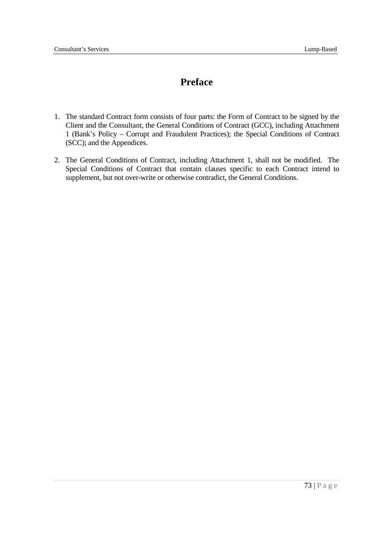## **Preface**

- 1. The standard Contract form consists of four parts: the Form of Contract to be signed by the Client and the Consultant, the General Conditions of Contract (GCC), including Attachment 1 (Bank's Policy – Corrupt and Fraudulent Practices); the Special Conditions of Contract (SCC); and the Appendices.
- 2. The General Conditions of Contract, including Attachment 1, shall not be modified. The Special Conditions of Contract that contain clauses specific to each Contract intend to supplement, but not over-write or otherwise contradict, the General Conditions.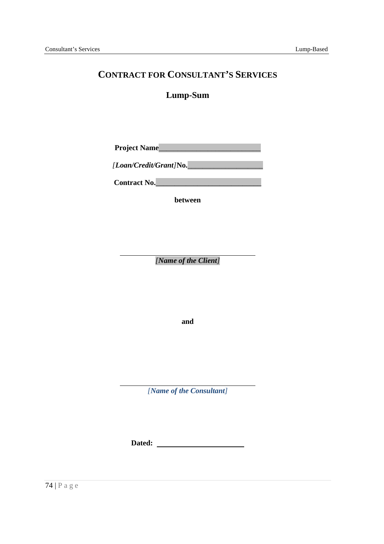### **CONTRACT FOR CONSULTANT'S SERVICES**

#### **Lump-Sum**

**Project Name**\_\_\_\_\_\_\_\_\_\_\_\_\_\_\_\_\_\_\_\_\_\_\_\_\_\_\_

*[Loan/Credit/Grant]***No.**\_\_\_\_\_\_\_\_\_\_\_\_\_\_\_\_\_\_\_\_

**Contract No.**\_\_\_\_\_\_\_\_\_\_\_\_\_\_\_\_\_\_\_\_\_\_\_\_\_\_\_\_

**between** 

 *[Name of the Client]* 

**and** 

 *[Name of the Consultant]* 

 **Dated:**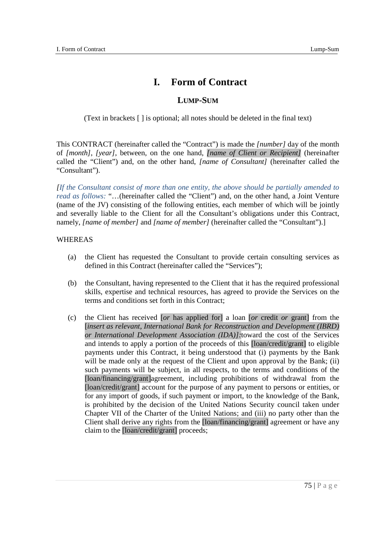## **I. Form of Contract**

#### **LUMP-SUM**

(Text in brackets [ ] is optional; all notes should be deleted in the final text)

 This CONTRACT (hereinafter called the "Contract") is made the *[number]* day of the month of *[month]*, *[year]*, between, on the one hand, *[name of Client or Recipient]* (hereinafter called the "Client") and, on the other hand, *[name of Consultant]* (hereinafter called the "Consultant").

 *[If the Consultant consist of more than one entity, the above should be partially amended to read as follows:* "...(hereinafter called the "Client") and, on the other hand, a Joint Venture (name of the JV) consisting of the following entities, each member of which will be jointly and severally liable to the Client for all the Consultant's obligations under this Contract,  namely, *[name of member]* and *[name of member]* (hereinafter called the "Consultant").]

#### WHEREAS

- $(a)$  defined in this Contract (hereinafter called the "Services"); (a) the Client has requested the Consultant to provide certain consulting services as
- $(b)$  skills, expertise and technical resources, has agreed to provide the Services on the terms and conditions set forth in this Contract; (b) the Consultant, having represented to the Client that it has the required professional
- $(c)$ [insert as relevant, International Bank for Reconstruction and Development (IBRD)  *or International Development Association (IDA)]:*toward the cost of the Services and intends to apply a portion of the proceeds of this [loan/credit/grant] to eligible payments under this Contract, it being understood that (i) payments by the Bank will be made only at the request of the Client and upon approval by the Bank; (ii) such payments will be subject, in all respects, to the terms and conditions of the [loan/financing/grant]agreement, including prohibitions of withdrawal from the [loan/credit/grant] account for the purpose of any payment to persons or entities, or for any import of goods, if such payment or import, to the knowledge of the Bank, is prohibited by the decision of the United Nations Security council taken under Chapter VII of the Charter of the United Nations; and (iii) no party other than the Client shall derive any rights from the [loan/financing/grant] agreement or have any claim to the [loan/credit/grant] proceeds; (c) the Client has received [*or* has applied for] a loan [*or* credit *or* grant] from the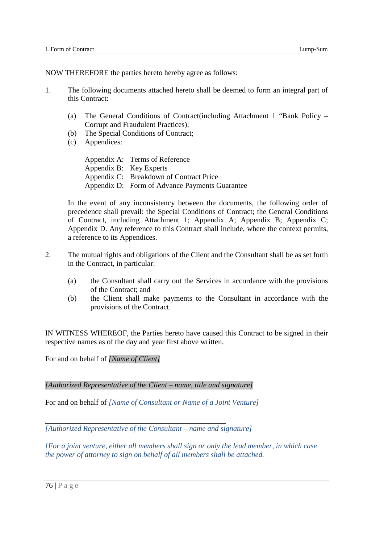NOW THEREFORE the parties hereto hereby agree as follows:

- $\mathbf{1}$ . this Contract: The following documents attached hereto shall be deemed to form an integral part of
	- $(a)$  Corrupt and Fraudulent Practices); The General Conditions of Contract(including Attachment 1 "Bank Policy –
	- $(b)$ The Special Conditions of Contract;
	- Appendices:

 (c) Appendices: Appendix A: Terms of Reference Appendix B: Key Experts Appendix C: Breakdown of Contract Price Appendix D: Form of Advance Payments Guarantee

 In the event of any inconsistency between the documents, the following order of precedence shall prevail: the Special Conditions of Contract; the General Conditions of Contract, including Attachment 1; Appendix A; Appendix B; Appendix C; Appendix D. Any reference to this Contract shall include, where the context permits, a reference to its Appendices.

- $\overline{2}$ . in the Contract, in particular: 2. The mutual rights and obligations of the Client and the Consultant shall be as set forth
	- $(a)$  of the Contract; and (a) the Consultant shall carry out the Services in accordance with the provisions
	- $(b)$  provisions of the Contract. the Client shall make payments to the Consultant in accordance with the

 IN WITNESS WHEREOF, the Parties hereto have caused this Contract to be signed in their respective names as of the day and year first above written.

For and on behalf of *[Name of Client]* 

 *[Authorized Representative of the Client – name, title and signature]* 

For and on behalf of *[Name of Consultant or Name of a Joint Venture]* 

 *[Authorized Representative of the Consultant – name and signature]* 

 *[For a joint venture, either all members shall sign or only the lead member, in which case the power of attorney to sign on behalf of all members shall be attached.*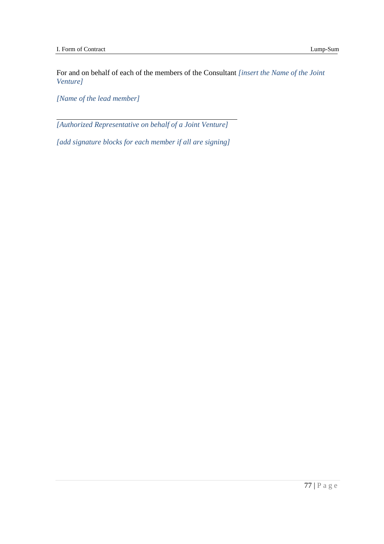For and on behalf of each of the members of the Consultant *[insert the Name of the Joint Venture]* 

 *[Name of the lead member]* 

 *[Authorized Representative on behalf of a Joint Venture]* 

 *[add signature blocks for each member if all are signing]*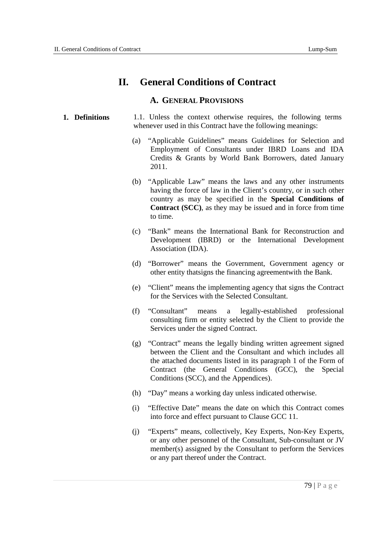## **II. General Conditions of Contract**

#### **A. GENERAL PROVISIONS**

#### **1. Definitions** 1.1. Unless the context otherwise requires, the following terms whenever used in this Contract have the following meanings:

- (a) "Applicable Guidelines" means Guidelines for Selection and Employment of Consultants under IBRD Loans and IDA Credits & Grants by World Bank Borrowers, dated January 2011.
- (b) "Applicable Law" means the laws and any other instruments having the force of law in the Client's country, or in such other country as may be specified in the **Special Conditions of Contract (SCC)**, as they may be issued and in force from time to time.
- (c) "Bank" means the International Bank for Reconstruction and Development (IBRD) or the International Development Association (IDA).
- (d) "Borrower" means the Government, Government agency or other entity thatsigns the financing agreementwith the Bank.
- (e) "Client" means the implementing agency that signs the Contract for the Services with the Selected Consultant.
- "Consultant" consulting firm or entity selected by the Client to provide the Services under the signed Contract. (f) "Consultant" means a legally-established professional
- (g) "Contract" means the legally binding written agreement signed between the Client and the Consultant and which includes all the attached documents listed in its paragraph 1 of the Form of Contract (the General Conditions (GCC), the Special Conditions (SCC), and the Appendices).
- (h) "Day" means a working day unless indicated otherwise.
- (i) "Effective Date" means the date on which this Contract comes into force and effect pursuant to Clause GCC 11.
- (j) "Experts" means, collectively, Key Experts, Non-Key Experts, or any other personnel of the Consultant, Sub-consultant or JV member(s) assigned by the Consultant to perform the Services or any part thereof under the Contract.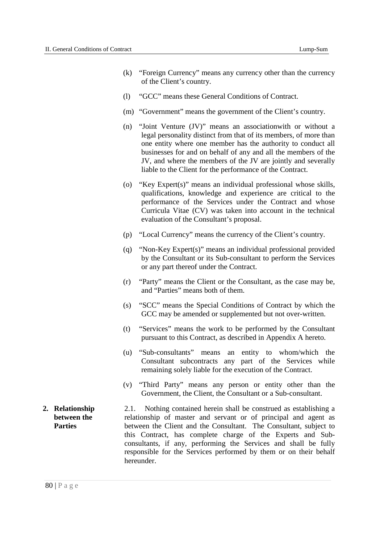- (k) "Foreign Currency" means any currency other than the currency of the Client's country.
- (l) "GCC" means these General Conditions of Contract.
- (m) "Government" means the government of the Client's country.
- (n) "Joint Venture (JV)" means an associationwith or without a legal personality distinct from that of its members, of more than one entity where one member has the authority to conduct all businesses for and on behalf of any and all the members of the JV, and where the members of the JV are jointly and severally liable to the Client for the performance of the Contract.
- (o) "Key Expert(s)" means an individual professional whose skills, qualifications, knowledge and experience are critical to the performance of the Services under the Contract and whose Curricula Vitae (CV) was taken into account in the technical evaluation of the Consultant's proposal.
- (p) "Local Currency" means the currency of the Client's country.
- (q) "Non-Key Expert(s)" means an individual professional provided by the Consultant or its Sub-consultant to perform the Services or any part thereof under the Contract.
- (r) "Party" means the Client or the Consultant, as the case may be, and "Parties" means both of them.
- (s) "SCC" means the Special Conditions of Contract by which the GCC may be amended or supplemented but not over-written.
- (t) "Services" means the work to be performed by the Consultant pursuant to this Contract, as described in Appendix A hereto.
- (u) "Sub-consultants" means an entity to whom/which the Consultant subcontracts any part of the Services while remaining solely liable for the execution of the Contract.
- (v) "Third Party" means any person or entity other than the Government, the Client, the Consultant or a Sub-consultant.
- **between** the **2. Relationship** 2.1. Nothing contained herein shall be construed as establishing a **between the relationship** of master and servant or of principal and agent as **Parties between the Client and the Consultant.** The Consultant, subject to this Contract, has complete charge of the Experts and Sub- consultants, if any, performing the Services and shall be fully responsible for the Services performed by them or on their behalf hereunder.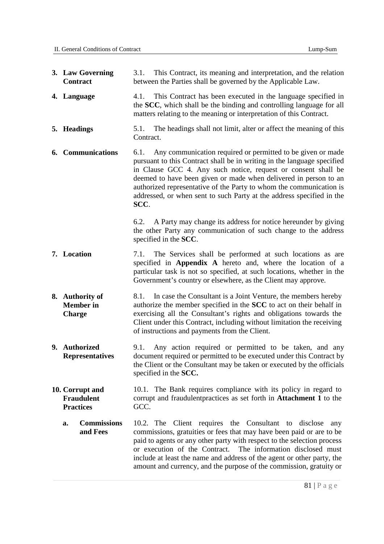| 3. Law Governing<br>Contract                             | 3.1. This Contract, its meaning and interpretation, and the relation<br>between the Parties shall be governed by the Applicable Law.                                                                                                                                                                                                                                                                                                        |
|----------------------------------------------------------|---------------------------------------------------------------------------------------------------------------------------------------------------------------------------------------------------------------------------------------------------------------------------------------------------------------------------------------------------------------------------------------------------------------------------------------------|
| 4. Language                                              | 4.1. This Contract has been executed in the language specified in<br>the SCC, which shall be the binding and controlling language for all<br>matters relating to the meaning or interpretation of this Contract.                                                                                                                                                                                                                            |
| 5. Headings                                              | The headings shall not limit, alter or affect the meaning of this<br>5.1.<br>Contract.                                                                                                                                                                                                                                                                                                                                                      |
| <b>6.</b> Communications                                 | Any communication required or permitted to be given or made<br>6.1.<br>pursuant to this Contract shall be in writing in the language specified<br>in Clause GCC 4. Any such notice, request or consent shall be<br>deemed to have been given or made when delivered in person to an<br>authorized representative of the Party to whom the communication is<br>addressed, or when sent to such Party at the address specified in the<br>SCC. |
|                                                          | 6.2. A Party may change its address for notice hereunder by giving<br>the other Party any communication of such change to the address<br>specified in the SCC.                                                                                                                                                                                                                                                                              |
| 7. Location                                              | The Services shall be performed at such locations as are<br>7.1.<br>specified in Appendix A hereto and, where the location of a<br>particular task is not so specified, at such locations, whether in the<br>Government's country or elsewhere, as the Client may approve.                                                                                                                                                                  |
| 8. Authority of<br><b>Member</b> in<br><b>Charge</b>     | In case the Consultant is a Joint Venture, the members hereby<br>8.1.<br>authorize the member specified in the SCC to act on their behalf in<br>exercising all the Consultant's rights and obligations towards the<br>Client under this Contract, including without limitation the receiving<br>of instructions and payments from the Client.                                                                                               |
| 9. Authorized<br><b>Representatives</b>                  | Any action required or permitted to be taken, and any<br>9.1.<br>document required or permitted to be executed under this Contract by<br>the Client or the Consultant may be taken or executed by the officials<br>specified in the SCC.                                                                                                                                                                                                    |
| 10. Corrupt and<br><b>Fraudulent</b><br><b>Practices</b> | 10.1. The Bank requires compliance with its policy in regard to<br>corrupt and fraudulent practices as set forth in Attachment 1 to the<br>GCC.                                                                                                                                                                                                                                                                                             |
| <b>Commissions</b><br>a.<br>and Fees                     | 10.2. The Client requires the Consultant to disclose<br>any<br>commissions, gratuities or fees that may have been paid or are to be<br>paid to agents or any other party with respect to the selection process<br>or execution of the Contract. The information disclosed must<br>include at least the name and address of the agent or other party, the<br>amount and currency, and the purpose of the commission, gratuity or             |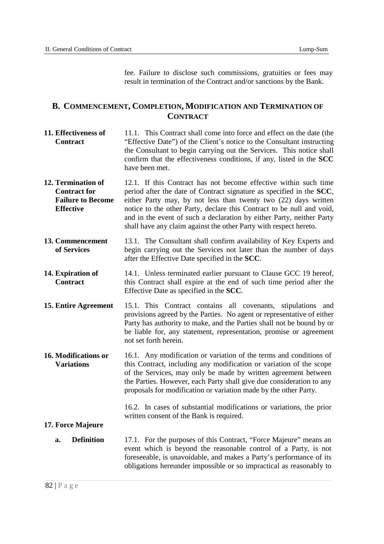fee. Failure to disclose such commissions, gratuities or fees may result in termination of the Contract and/or sanctions by the Bank.

#### **B. COMMENCEMENT, COMPLETION, MODIFICATION AND TERMINATION OF CONTRACT**

- **11. Effectiveness of**  "Effective Date") of the Client's notice to the Consultant instructing the Consultant to begin carrying out the Services. This notice shall confirm that the effectiveness conditions, if any, listed in the **SCC**  have been met. **Contract**  11.1. This Contract shall come into force and effect on the date (the
- **12. Termination of Contract for Failure to Become**  12.1. If this Contract has not become effective within such time period after the date of Contract signature as specified in the **SCC**, either Party may, by not less than twenty two (22) days written notice to the other Party, declare this Contract to be null and void, and in the event of such a declaration by either Party, neither Party shall have any claim against the other Party with respect hereto. **Effective**
- **of Services**  13.1. The Consultant shall confirm availability of Key Experts and begin carrying out the Services not later than the number of days after the Effective Date specified in the **SCC**. **13. Commencement**
- **14. Expiration of**  this Contract shall expire at the end of such time period after the Effective Date as specified in the **SCC**. **Contract**  14.1. Unless terminated earlier pursuant to Clause GCC 19 hereof,
- **15. Entire Agreement**  provisions agreed by the Parties. No agent or representative of either Party has authority to make, and the Parties shall not be bound by or be liable for, any statement, representation, promise or agreement not set forth herein. 15.1. This Contract contains all covenants, stipulations and
- **16. Modifications or**  this Contract, including any modification or variation of the scope of the Services, may only be made by written agreement between the Parties. However, each Party shall give due consideration to any proposals for modification or variation made by the other Party. **Variations**  16.1. Any modification or variation of the terms and conditions of

 16.2. In cases of substantial modifications or variations, the prior written consent of the Bank is required.

#### **17. Force Majeure**

 **a. Definition** 17.1. For the purposes of this Contract, "Force Majeure" means an event which is beyond the reasonable control of a Party, is not foreseeable, is unavoidable, and makes a Party's performance of its obligations hereunder impossible or so impractical as reasonably to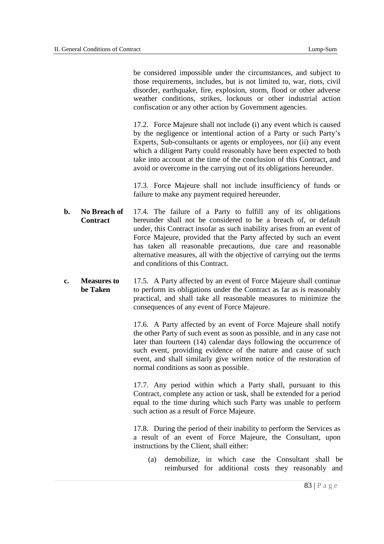be considered impossible under the circumstances, and subject to those requirements, includes, but is not limited to, war, riots, civil disorder, earthquake, fire, explosion, storm, flood or other adverse weather conditions, strikes, lockouts or other industrial action confiscation or any other action by Government agencies.

 17.2. Force Majeure shall not include (i) any event which is caused by the negligence or intentional action of a Party or such Party's Experts, Sub-consultants or agents or employees, nor (ii) any event which a diligent Party could reasonably have been expected to both take into account at the time of the conclusion of this Contract, and avoid or overcome in the carrying out of its obligations hereunder.

 17.3. Force Majeure shall not include insufficiency of funds or failure to make any payment required hereunder.

- $\mathbf{h}$ . hereunder shall not be considered to be a breach of, or default under, this Contract insofar as such inability arises from an event of Force Majeure, provided that the Party affected by such an event has taken all reasonable precautions, due care and reasonable alternative measures, all with the objective of carrying out the terms and conditions of this Contract. **b. No Breach of Contract**  17.4. The failure of a Party to fulfill any of its obligations
- **c. Measures to be Taken**  17.5. A Party affected by an event of Force Majeure shall continue to perform its obligations under the Contract as far as is reasonably practical, and shall take all reasonable measures to minimize the consequences of any event of Force Majeure.

 17.6. A Party affected by an event of Force Majeure shall notify the other Party of such event as soon as possible, and in any case not later than fourteen (14) calendar days following the occurrence of such event, providing evidence of the nature and cause of such event, and shall similarly give written notice of the restoration of normal conditions as soon as possible.

 17.7. Any period within which a Party shall, pursuant to this Contract, complete any action or task, shall be extended for a period equal to the time during which such Party was unable to perform such action as a result of Force Majeure.

 17.8. During the period of their inability to perform the Services as a result of an event of Force Majeure, the Consultant, upon instructions by the Client, shall either:

 (a) demobilize, in which case the Consultant shall be reimbursed for additional costs they reasonably and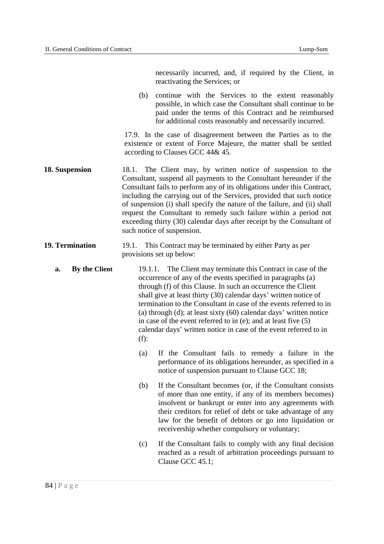|                        | necessarily incurred, and, if required by the Client, in<br>reactivating the Services; or                                                                                                                                                                                                                                                                                                                                                                                                                                                                             |
|------------------------|-----------------------------------------------------------------------------------------------------------------------------------------------------------------------------------------------------------------------------------------------------------------------------------------------------------------------------------------------------------------------------------------------------------------------------------------------------------------------------------------------------------------------------------------------------------------------|
|                        | continue with the Services to the extent reasonably<br>(b)<br>possible, in which case the Consultant shall continue to be<br>paid under the terms of this Contract and be reimbursed<br>for additional costs reasonably and necessarily incurred.                                                                                                                                                                                                                                                                                                                     |
|                        | 17.9. In the case of disagreement between the Parties as to the<br>existence or extent of Force Majeure, the matter shall be settled<br>according to Clauses GCC 44& 45.                                                                                                                                                                                                                                                                                                                                                                                              |
| 18. Suspension         | 18.1. The Client may, by written notice of suspension to the<br>Consultant, suspend all payments to the Consultant hereunder if the<br>Consultant fails to perform any of its obligations under this Contract,<br>including the carrying out of the Services, provided that such notice<br>of suspension (i) shall specify the nature of the failure, and (ii) shall<br>request the Consultant to remedy such failure within a period not<br>exceeding thirty (30) calendar days after receipt by the Consultant of<br>such notice of suspension.                     |
| <b>19. Termination</b> | 19.1. This Contract may be terminated by either Party as per<br>provisions set up below:                                                                                                                                                                                                                                                                                                                                                                                                                                                                              |
| By the Client<br>a.    | The Client may terminate this Contract in case of the<br>19.1.1.<br>occurrence of any of the events specified in paragraphs (a)<br>through (f) of this Clause. In such an occurrence the Client<br>shall give at least thirty (30) calendar days' written notice of<br>termination to the Consultant in case of the events referred to in<br>(a) through (d); at least sixty $(60)$ calendar days' written notice<br>in case of the event referred to in (e); and at least five $(5)$<br>calendar days' written notice in case of the event referred to in<br>$(f)$ : |
|                        | If the Consultant fails to remedy a failure in the<br>(a)<br>performance of its obligations hereunder, as specified in a<br>notice of suspension pursuant to Clause GCC 18;                                                                                                                                                                                                                                                                                                                                                                                           |
|                        | If the Consultant becomes (or, if the Consultant consists<br>(b)<br>of more than one entity, if any of its members becomes)<br>insolvent or bankrupt or enter into any agreements with<br>their creditors for relief of debt or take advantage of any<br>law for the benefit of debtors or go into liquidation or<br>receivership whether compulsory or voluntary;                                                                                                                                                                                                    |
|                        | If the Consultant fails to comply with any final decision<br>(c)<br>reached as a result of arbitration proceedings pursuant to<br>Clause GCC 45.1;                                                                                                                                                                                                                                                                                                                                                                                                                    |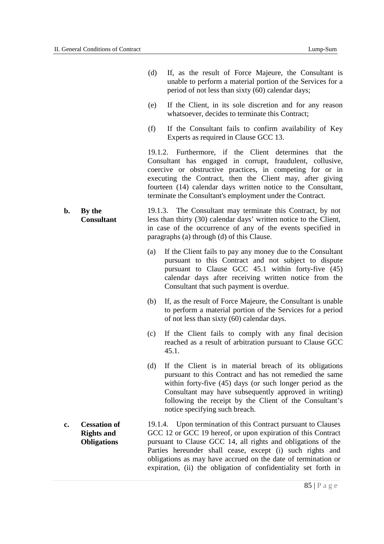|                |                                                                | (d) | If, as the result of Force Majeure, the Consultant is<br>unable to perform a material portion of the Services for a<br>period of not less than sixty (60) calendar days;                                                                                                                                                                                                                       |
|----------------|----------------------------------------------------------------|-----|------------------------------------------------------------------------------------------------------------------------------------------------------------------------------------------------------------------------------------------------------------------------------------------------------------------------------------------------------------------------------------------------|
|                |                                                                | (e) | If the Client, in its sole discretion and for any reason<br>whatsoever, decides to terminate this Contract;                                                                                                                                                                                                                                                                                    |
|                |                                                                | (f) | If the Consultant fails to confirm availability of Key<br>Experts as required in Clause GCC 13.                                                                                                                                                                                                                                                                                                |
|                |                                                                |     | 19.1.2. Furthermore, if the Client determines that the<br>Consultant has engaged in corrupt, fraudulent, collusive,<br>coercive or obstructive practices, in competing for or in<br>executing the Contract, then the Client may, after giving<br>fourteen (14) calendar days written notice to the Consultant,<br>terminate the Consultant's employment under the Contract.                    |
| $\mathbf{b}$ . | By the<br><b>Consultant</b>                                    |     | 19.1.3. The Consultant may terminate this Contract, by not<br>less than thirty (30) calendar days' written notice to the Client,<br>in case of the occurrence of any of the events specified in<br>paragraphs (a) through (d) of this Clause.                                                                                                                                                  |
|                |                                                                | (a) | If the Client fails to pay any money due to the Consultant<br>pursuant to this Contract and not subject to dispute<br>pursuant to Clause GCC 45.1 within forty-five (45)<br>calendar days after receiving written notice from the<br>Consultant that such payment is overdue.                                                                                                                  |
|                |                                                                | (b) | If, as the result of Force Majeure, the Consultant is unable<br>to perform a material portion of the Services for a period<br>of not less than sixty (60) calendar days.                                                                                                                                                                                                                       |
|                |                                                                | (c) | If the Client fails to comply with any final decision<br>reached as a result of arbitration pursuant to Clause GCC<br>45.1.                                                                                                                                                                                                                                                                    |
|                |                                                                | (d) | If the Client is in material breach of its obligations<br>pursuant to this Contract and has not remedied the same<br>within forty-five (45) days (or such longer period as the<br>Consultant may have subsequently approved in writing)<br>following the receipt by the Client of the Consultant's<br>notice specifying such breach.                                                           |
| c.             | <b>Cessation of</b><br><b>Rights and</b><br><b>Obligations</b> |     | 19.1.4. Upon termination of this Contract pursuant to Clauses<br>GCC 12 or GCC 19 hereof, or upon expiration of this Contract<br>pursuant to Clause GCC 14, all rights and obligations of the<br>Parties hereunder shall cease, except (i) such rights and<br>obligations as may have accrued on the date of termination or<br>expiration, (ii) the obligation of confidentiality set forth in |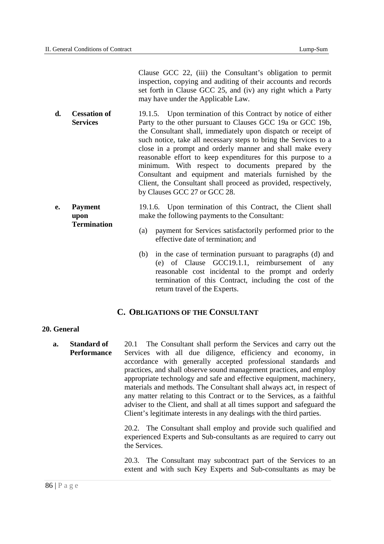Clause GCC 22, (iii) the Consultant's obligation to permit inspection, copying and auditing of their accounts and records set forth in Clause GCC 25, and (iv) any right which a Party may have under the Applicable Law.

- **d. Cessation of**  Party to the other pursuant to Clauses GCC 19a or GCC 19b, the Consultant shall, immediately upon dispatch or receipt of such notice, take all necessary steps to bring the Services to a close in a prompt and orderly manner and shall make every reasonable effort to keep expenditures for this purpose to a minimum. With respect to documents prepared by the Consultant and equipment and materials furnished by the Client, the Consultant shall proceed as provided, respectively, by Clauses GCC 27 or GCC 28. **Services**  19.1.5. Upon termination of this Contract by notice of either
- 19.1.6. Upon termination of this Contract, the Client shall make the following payments to the Consultant: **e. Payment upon Termination** 
	- (a) payment for Services satisfactorily performed prior to the effective date of termination; and
	- (b) in the case of termination pursuant to paragraphs (d) and (e) of Clause GCC19.1.1, reimbursement of any reasonable cost incidental to the prompt and orderly termination of this Contract, including the cost of the return travel of the Experts.

#### **C. OBLIGATIONS OF THE CONSULTANT**

#### **20. General**

 **a. Standard of**  Services with all due diligence, efficiency and economy, in accordance with generally accepted professional standards and practices, and shall observe sound management practices, and employ appropriate technology and safe and effective equipment, machinery, materials and methods. The Consultant shall always act, in respect of any matter relating to this Contract or to the Services, as a faithful adviser to the Client, and shall at all times support and safeguard the Client's legitimate interests in any dealings with the third parties. **Performance**  20.1 The Consultant shall perform the Services and carry out the

> 20.2. The Consultant shall employ and provide such qualified and experienced Experts and Sub-consultants as are required to carry out the Services.

> 20.3. The Consultant may subcontract part of the Services to an extent and with such Key Experts and Sub-consultants as may be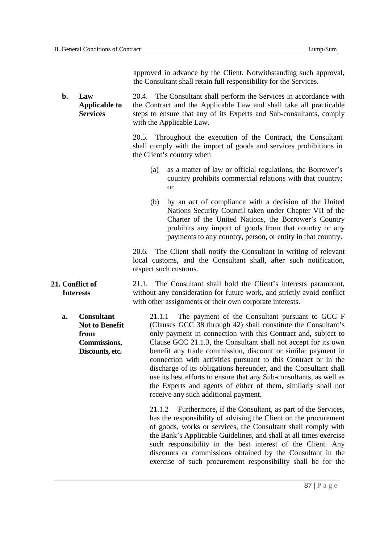approved in advance by the Client. Notwithstanding such approval, the Consultant shall retain full responsibility for the Services.

**b**.  **Applicable to**  20.4. The Consultant shall perform the Services in accordance with the Contract and the Applicable Law and shall take all practicable steps to ensure that any of its Experts and Sub-consultants, comply with the Applicable Law. **b. Law Services** 

> 20.5. Throughout the execution of the Contract, the Consultant shall comply with the import of goods and services prohibitions in the Client's country when

- $(a)$  country prohibits commercial relations with that country;  $\alpha$ <sup>r</sup> as a matter of law or official regulations, the Borrower's
- $(b)$  Nations Security Council taken under Chapter VII of the Charter of the United Nations, the Borrower's Country prohibits any import of goods from that country or any payments to any country, person, or entity in that country. by an act of compliance with a decision of the United

 20.6. The Client shall notify the Consultant in writing of relevant local customs, and the Consultant shall, after such notification, respect such customs.

 without any consideration for future work, and strictly avoid conflict with other assignments or their own corporate interests. 21.1. The Consultant shall hold the Client's interests paramount,

 **Not to Benefit Discounts, etc.**  21.1.1 (Clauses GCC 38 through 42) shall constitute the Consultant's only payment in connection with this Contract and, subject to Clause GCC 21.1.3, the Consultant shall not accept for its own benefit any trade commission, discount or similar payment in connection with activities pursuant to this Contract or in the discharge of its obligations hereunder, and the Consultant shall use its best efforts to ensure that any Sub-consultants, as well as the Experts and agents of either of them, similarly shall not receive any such additional payment. **a. Consultant from Commissions,**  The payment of the Consultant pursuant to GCC F

> 21.1.2 Furthermore, if the Consultant, as part of the Services, has the responsibility of advising the Client on the procurement of goods, works or services, the Consultant shall comply with the Bank's Applicable Guidelines, and shall at all times exercise such responsibility in the best interest of the Client. Any discounts or commissions obtained by the Consultant in the exercise of such procurement responsibility shall be for the

#### **21. Conflict of Interests**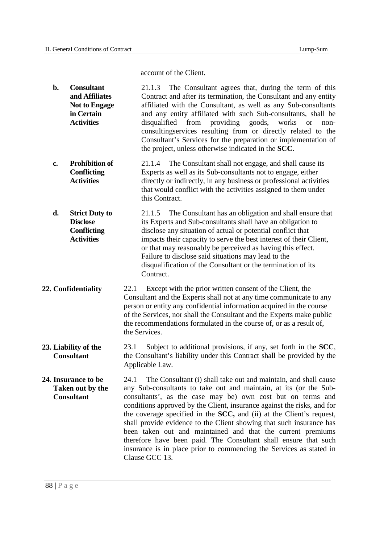account of the Client.

- and Affiliates **Not to Engage** in Certain **b.** Consultant 21.1.3 The Consultant agrees that, during the term of this **and Affiliates Contract and after its termination, the Consultant and any entity** Not to Engage affiliated with the Consultant, as well as any Sub-consultants **in Certain and any entity affiliated with such Sub-consultants**, shall be **Activities** disqualified from providing goods, works or non- consultingservices resulting from or directly related to the Consultant's Services for the preparation or implementation of the project, unless otherwise indicated in the **SCC**.
- **Prohibition of Conflicting** Experts as well as its Sub-consultants not to engage, either Activities directly or indirectly, in any business or professional activities that would conflict with the activities assigned to them under this Contract. **c. Prohibition of** 21.1.4 The Consultant shall not engage, and shall cause its
- **Disclose** its Experts and Sub-consultants shall have an obligation to **Conflicting** disclose any situation of actual or potential conflict that **Activities** impacts their capacity to serve the best interest of their Client, or that may reasonably be perceived as having this effect. Failure to disclose said situations may lead to the disqualification of the Consultant or the termination of its **Strict Duty to** 21.1.5 The Consultant has an obligation and shall ensure that Contract.
- 22.1 Consultant and the Experts shall not at any time communicate to any person or entity any confidential information acquired in the course of the Services, nor shall the Consultant and the Experts make public the recommendations formulated in the course of, or as a result of, the Services. **22. Confidentiality** 22.1 Except with the prior written consent of the Client, the
- 23. Liability of the **Consultant the Consultant's liability under this Contract shall be provided by the**  Applicable Law. 23.1 Subject to additional provisions, if any, set forth in the **SCC**,
- 24. Insurance to be **Taken out by the 24. Insurance to be** 24.1 The Consultant (i) shall take out and maintain, and shall cause **Taken out by the** any Sub-consultants to take out and maintain, at its (or the Sub-**Consultant** consultants', as the case may be) own cost but on terms and conditions approved by the Client, insurance against the risks, and for the coverage specified in the **SCC,** and (ii) at the Client's request, shall provide evidence to the Client showing that such insurance has been taken out and maintained and that the current premiums therefore have been paid. The Consultant shall ensure that such insurance is in place prior to commencing the Services as stated in Clause GCC 13.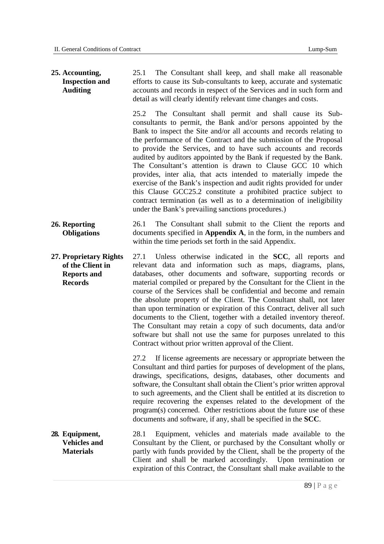#### **Inspection and**   $25.1$  efforts to cause its Sub-consultants to keep, accurate and systematic accounts and records in respect of the Services and in such form and detail as will clearly identify relevant time changes and costs. 25.2 consultants to permit, the Bank and/or persons appointed by the Bank to inspect the Site and/or all accounts and records relating to the performance of the Contract and the submission of the Proposal to provide the Services, and to have such accounts and records audited by auditors appointed by the Bank if requested by the Bank. The Consultant's attention is drawn to Clause GCC 10 which provides, inter alia, that acts intended to materially impede the exercise of the Bank's inspection and audit rights provided for under this Clause GCC25.2 constitute a prohibited practice subject to contract termination (as well as to a determination of ineligibility under the Bank's prevailing sanctions procedures.) 26.1 The Consultant shall submit to the Client the reports and documents specified in **Appendix A**, in the form, in the numbers and within the time periods set forth in the said Appendix.  **27. Proprietary Rights of the Client in Reports and**  27.1 relevant data and information such as maps, diagrams, plans, databases, other documents and software, supporting records or material compiled or prepared by the Consultant for the Client in the course of the Services shall be confidential and become and remain the absolute property of the Client. The Consultant shall, not later than upon termination or expiration of this Contract, deliver all such documents to the Client, together with a detailed inventory thereof. The Consultant may retain a copy of such documents, data and/or software but shall not use the same for purposes unrelated to this Contract without prior written approval of the Client. 27.2 If license agreements are necessary or appropriate between the Consultant and third parties for purposes of development of the plans, drawings, specifications, designs, databases, other documents and software, the Consultant shall obtain the Client's prior written approval to such agreements, and the Client shall be entitled at its discretion to require recovering the expenses related to the development of the program(s) concerned. Other restrictions about the future use of these documents and software, if any, shall be specified in the **SCC**.  **Vehicles and**  28.1 Equipment, vehicles and materials made available to the Consultant by the Client, or purchased by the Consultant wholly or partly with funds provided by the Client, shall be the property of the Client and shall be marked accordingly. Upon termination or expiration of this Contract, the Consultant shall make available to the **25. Accounting, Auditing 26. Reporting Obligations Records 28. Equipment, Materials**  The Consultant shall keep, and shall make all reasonable The Consultant shall permit and shall cause its Sub-Unless otherwise indicated in the **SCC**, all reports and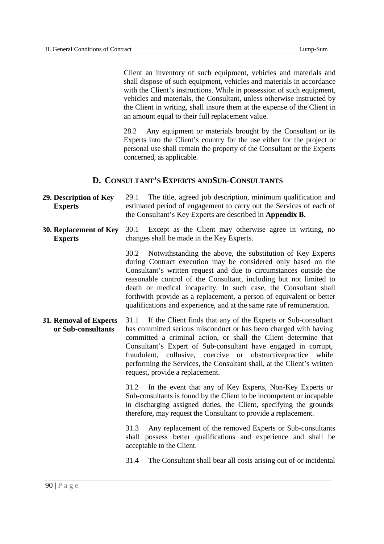Client an inventory of such equipment, vehicles and materials and shall dispose of such equipment, vehicles and materials in accordance with the Client's instructions. While in possession of such equipment, vehicles and materials, the Consultant, unless otherwise instructed by the Client in writing, shall insure them at the expense of the Client in an amount equal to their full replacement value.

 28.2 Any equipment or materials brought by the Consultant or its Experts into the Client's country for the use either for the project or personal use shall remain the property of the Consultant or the Experts concerned, as applicable.

#### **D. CONSULTANT'S EXPERTS ANDSUB-CONSULTANTS**

- **29. Description of Key**  estimated period of engagement to carry out the Services of each of the Consultant's Key Experts are described in **Appendix B. Experts**  29.1 The title, agreed job description, minimum qualification and
- **30. Replacement of Key**  changes shall be made in the Key Experts. **Experts**  30.1 Except as the Client may otherwise agree in writing, no

 30.2 Notwithstanding the above, the substitution of Key Experts during Contract execution may be considered only based on the Consultant's written request and due to circumstances outside the reasonable control of the Consultant, including but not limited to death or medical incapacity. In such case, the Consultant shall forthwith provide as a replacement, a person of equivalent or better qualifications and experience, and at the same rate of remuneration.

 **31. Removal of Experts**  has committed serious misconduct or has been charged with having committed a criminal action, or shall the Client determine that Consultant's Expert of Sub-consultant have engaged in corrupt, fraudulent, collusive, coercive or obstructivepractice while performing the Services, the Consultant shall, at the Client's written request, provide a replacement. **or Sub-consultants**  31.1 If the Client finds that any of the Experts or Sub-consultant

> 31.2 Sub-consultants is found by the Client to be incompetent or incapable in discharging assigned duties, the Client, specifying the grounds therefore, may request the Consultant to provide a replacement. In the event that any of Key Experts, Non-Key Experts or

31.3 shall possess better qualifications and experience and shall be acceptable to the Client. Any replacement of the removed Experts or Sub-consultants

31.4 The Consultant shall bear all costs arising out of or incidental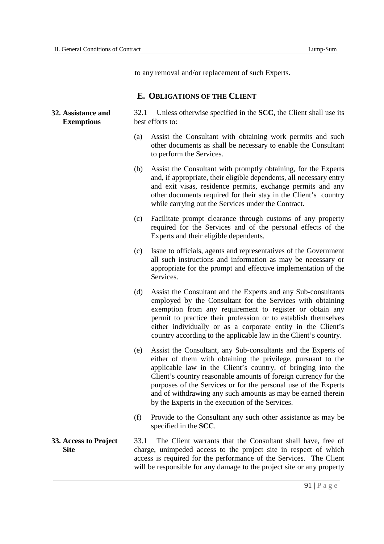to any removal and/or replacement of such Experts.

#### **E. OBLIGATIONS OF THE CLIENT**

#### 32. Assistance and **Exemptions** best efforts to: **32.1** Unless otherwise specified in the **SCC**, the Client shall use its

- (a) Assist the Consultant with obtaining work permits and such other documents as shall be necessary to enable the Consultant to perform the Services.
- (b) and, if appropriate, their eligible dependents, all necessary entry and exit visas, residence permits, exchange permits and any other documents required for their stay in the Client's country while carrying out the Services under the Contract. Assist the Consultant with promptly obtaining, for the Experts
- (c) Facilitate prompt clearance through customs of any property required for the Services and of the personal effects of the Experts and their eligible dependents.
- (c) Issue to officials, agents and representatives of the Government all such instructions and information as may be necessary or appropriate for the prompt and effective implementation of the Services.
- $(d)$  employed by the Consultant for the Services with obtaining exemption from any requirement to register or obtain any permit to practice their profession or to establish themselves either individually or as a corporate entity in the Client's country according to the applicable law in the Client's country. Assist the Consultant and the Experts and any Sub-consultants
- (e) Assist the Consultant, any Sub-consultants and the Experts of either of them with obtaining the privilege, pursuant to the applicable law in the Client's country, of bringing into the Client's country reasonable amounts of foreign currency for the purposes of the Services or for the personal use of the Experts and of withdrawing any such amounts as may be earned therein by the Experts in the execution of the Services.
- (f) Provide to the Consultant any such other assistance as may be specified in the **SCC**.
- **33. Access to Project Site charge, unimpeded access to the project site in respect of which**  access is required for the performance of the Services. The Client will be responsible for any damage to the project site or any property 33.1 The Client warrants that the Consultant shall have, free of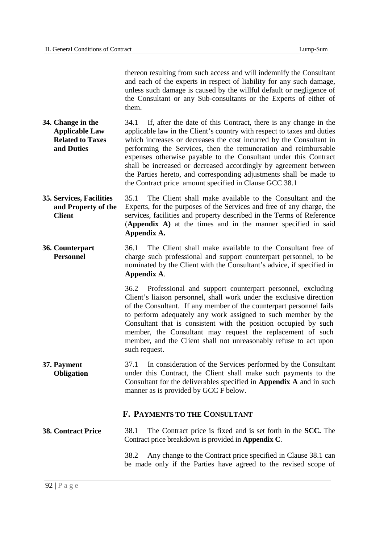thereon resulting from such access and will indemnify the Consultant and each of the experts in respect of liability for any such damage, unless such damage is caused by the willful default or negligence of the Consultant or any Sub-consultants or the Experts of either of them.

- **34. Change in the Applicable Law Related to Taxes and Duties**  34.1 If, after the date of this Contract, there is any change in the applicable law in the Client's country with respect to taxes and duties which increases or decreases the cost incurred by the Consultant in performing the Services, then the remuneration and reimbursable expenses otherwise payable to the Consultant under this Contract shall be increased or decreased accordingly by agreement between the Parties hereto, and corresponding adjustments shall be made to the Contract price amount specified in Clause GCC 38.1
- **35. Services, Facilities and Property of the**  35.1 The Client shall make available to the Consultant and the Experts, for the purposes of the Services and free of any charge, the services, facilities and property described in the Terms of Reference (**Appendix A)** at the times and in the manner specified in said **Client Appendix A.**
- 36.1 The Client shall make available to the Consultant free of charge such professional and support counterpart personnel, to be nominated by the Client with the Consultant's advice, if specified in **36. Counterpart Personnel Appendix A**.

 36.2 Professional and support counterpart personnel, excluding Client's liaison personnel, shall work under the exclusive direction of the Consultant. If any member of the counterpart personnel fails to perform adequately any work assigned to such member by the Consultant that is consistent with the position occupied by such member, the Consultant may request the replacement of such member, and the Client shall not unreasonably refuse to act upon such request.

 37.1 In consideration of the Services performed by the Consultant under this Contract, the Client shall make such payments to the Consultant for the deliverables specified in **Appendix A** and in such manner as is provided by GCC F below. **37. Payment Obligation** 

#### **F. PAYMENTS TO THE CONSULTANT**

 **38. Contract Price**  Contract price breakdown is provided in **Appendix C**. 38.1 The Contract price is fixed and is set forth in the **SCC.** The

> 38.2 Any change to the Contract price specified in Clause 38.1 can be made only if the Parties have agreed to the revised scope of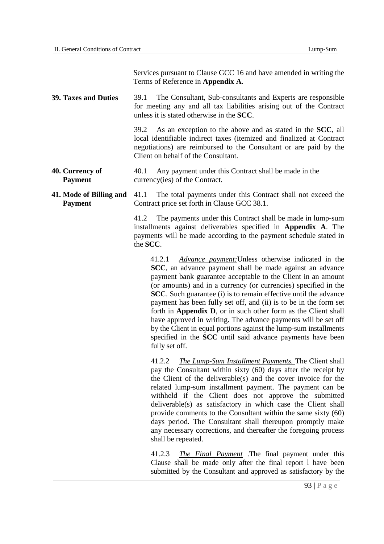Services pursuant to Clause GCC 16 and have amended in writing the Terms of Reference in **Appendix A**.

**39. Taxes and Duties**  for meeting any and all tax liabilities arising out of the Contract unless it is stated otherwise in the **SCC**. **39.1** The Consultant, Sub-consultants and Experts are responsible

> 39.2 local identifiable indirect taxes (itemized and finalized at Contract negotiations) are reimbursed to the Consultant or are paid by the Client on behalf of the Consultant. As an exception to the above and as stated in the **SCC**, all

**40. Currency of Payment currency(ies)** of the Contract. 40.1 Any payment under this Contract shall be made in the

#### **41.** Mode of Billing and **Payment Contract price set forth in Clause GCC 38.1.** 41.1 The total payments under this Contract shall not exceed the

41.2 installments against deliverables specified in **Appendix A**. The payments will be made according to the payment schedule stated in the **SCC**. The payments under this Contract shall be made in lump-sum

 41.2.1 *Advance payment:*Unless otherwise indicated in the **SCC**, an advance payment shall be made against an advance payment bank guarantee acceptable to the Client in an amount (or amounts) and in a currency (or currencies) specified in the **SCC**. Such guarantee (i) is to remain effective until the advance payment has been fully set off, and (ii) is to be in the form set forth in **Appendix D**, or in such other form as the Client shall have approved in writing. The advance payments will be set off by the Client in equal portions against the lump-sum installments specified in the **SCC** until said advance payments have been fully set off.

 pay the Consultant within sixty (60) days after the receipt by the Client of the deliverable(s) and the cover invoice for the related lump-sum installment payment. The payment can be withheld if the Client does not approve the submitted deliverable(s) as satisfactory in which case the Client shall provide comments to the Consultant within the same sixty (60) days period. The Consultant shall thereupon promptly make any necessary corrections, and thereafter the foregoing process shall be repeated. 41.2.2 *The Lump-Sum Installment Payments.* The Client shall

 Clause shall be made only after the final report l have been submitted by the Consultant and approved as satisfactory by the 41.2.3 *The Final Payment* .The final payment under this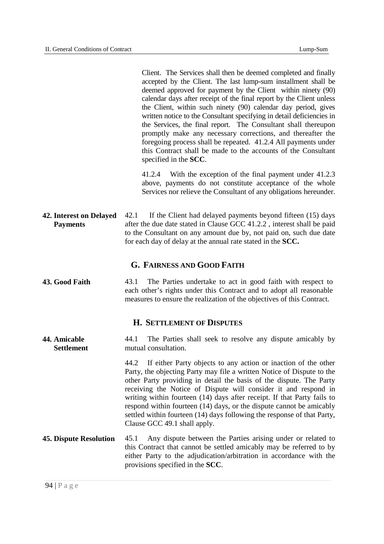Client. The Services shall then be deemed completed and finally accepted by the Client. The last lump-sum installment shall be deemed approved for payment by the Client within ninety (90) calendar days after receipt of the final report by the Client unless the Client, within such ninety (90) calendar day period, gives written notice to the Consultant specifying in detail deficiencies in the Services, the final report. The Consultant shall thereupon promptly make any necessary corrections, and thereafter the foregoing process shall be repeated. 41.2.4 All payments under this Contract shall be made to the accounts of the Consultant specified in the **SCC**.

 above, payments do not constitute acceptance of the whole Services nor relieve the Consultant of any obligations hereunder. 41.2.4 With the exception of the final payment under 41.2.3

**42.** Interest on Delayed **Payments** after the due date stated in Clause GCC 41.2.2, interest shall be paid to the Consultant on any amount due by, not paid on, such due date for each day of delay at the annual rate stated in the **SCC.**  42.1 If the Client had delayed payments beyond fifteen (15) days

#### **G. FAIRNESS AND GOOD FAITH**

43. Good Faith each other's rights under this Contract and to adopt all reasonable measures to ensure the realization of the objectives of this Contract. 43.1 The Parties undertake to act in good faith with respect to

#### **H. SETTLEMENT OF DISPUTES**

 $44.1$ mutual consultation. **Settlement** mutual consultation.<br>44.2 If either Party objects to any action or inaction of the other **44. Amicable** 44.1 The Parties shall seek to resolve any dispute amicably by

 Party, the objecting Party may file a written Notice of Dispute to the other Party providing in detail the basis of the dispute. The Party receiving the Notice of Dispute will consider it and respond in writing within fourteen (14) days after receipt. If that Party fails to respond within fourteen (14) days, or the dispute cannot be amicably settled within fourteen (14) days following the response of that Party, Clause GCC 49.1 shall apply.

**45. Dispute Resolution**  this Contract that cannot be settled amicably may be referred to by either Party to the adjudication/arbitration in accordance with the provisions specified in the **SCC**. 45.1 Any dispute between the Parties arising under or related to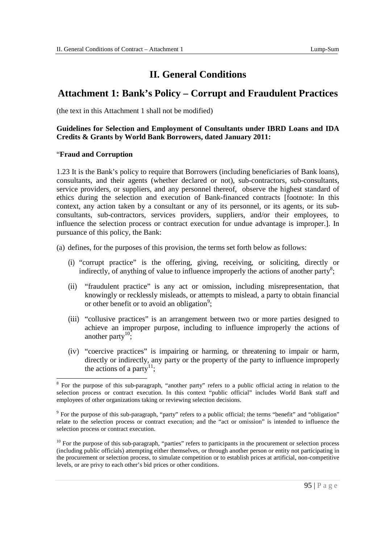## **II. General Conditions**

## **Attachment 1: Bank's Policy – Corrupt and Fraudulent Practices**

(the text in this Attachment 1 shall not be modified)

#### **Guidelines for Selection and Employment of Consultants under IBRD Loans and IDA Credits & Grants by World Bank Borrowers, dated January 2011:**

#### "**Fraud and Corruption**

 1.23 It is the Bank's policy to require that Borrowers (including beneficiaries of Bank loans), consultants, and their agents (whether declared or not), sub-contractors, sub-consultants, service providers, or suppliers, and any personnel thereof, observe the highest standard of ethics during the selection and execution of Bank-financed contracts [footnote: In this context, any action taken by a consultant or any of its personnel, or its agents, or its sub- consultants, sub-contractors, services providers, suppliers, and/or their employees, to influence the selection process or contract execution for undue advantage is improper.]. In pursuance of this policy, the Bank:

(a) defines, for the purposes of this provision, the terms set forth below as follows:

- (i) "corrupt practice" is the offering, giving, receiving, or soliciting, directly or indirectly, of anything of value to influence improperly the actions of another party<sup>8</sup>;
- (ii) "fraudulent practice" is any act or omission, including misrepresentation, that knowingly or recklessly misleads, or attempts to mislead, a party to obtain financial or other benefit or to avoid an obligation<sup>9</sup>;
- (iii) "collusive practices" is an arrangement between two or more parties designed to achieve an improper purpose, including to influence improperly the actions of another party<sup>10</sup>;
- (iv) "coercive practices" is impairing or harming, or threatening to impair or harm, directly or indirectly, any party or the property of the party to influence improperly the actions of a party<sup>11</sup>;

<sup>-</sup> $8$  For the purpose of this sub-paragraph, "another party" refers to a public official acting in relation to the selection process or contract execution. In this context "public official" includes World Bank staff and employees of other organizations taking or reviewing selection decisions.

 $9$  For the purpose of this sub-paragraph, "party" refers to a public official; the terms "benefit" and "obligation" relate to the selection process or contract execution; and the "act or omission" is intended to influence the selection process or contract execution.

 $10$  For the purpose of this sub-paragraph, "parties" refers to participants in the procurement or selection process (including public officials) attempting either themselves, or through another person or entity not participating in the procurement or selection process, to simulate competition or to establish prices at artificial, non-competitive levels, or are privy to each other's bid prices or other conditions.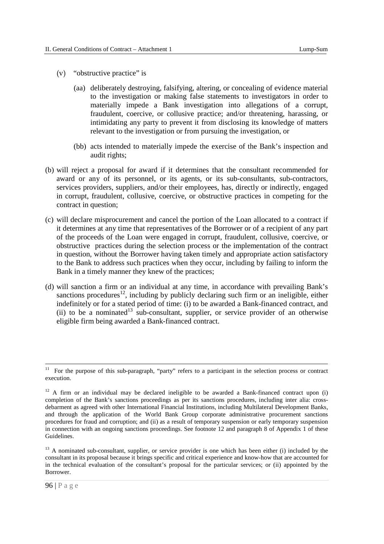- (v) "obstructive practice" is
	- (aa) deliberately destroying, falsifying, altering, or concealing of evidence material to the investigation or making false statements to investigators in order to materially impede a Bank investigation into allegations of a corrupt, fraudulent, coercive, or collusive practice; and/or threatening, harassing, or intimidating any party to prevent it from disclosing its knowledge of matters relevant to the investigation or from pursuing the investigation, or
	- (bb) acts intended to materially impede the exercise of the Bank's inspection and audit rights;
- (b) will reject a proposal for award if it determines that the consultant recommended for award or any of its personnel, or its agents, or its sub-consultants, sub-contractors, services providers, suppliers, and/or their employees, has, directly or indirectly, engaged in corrupt, fraudulent, collusive, coercive, or obstructive practices in competing for the contract in question;
- (c) will declare misprocurement and cancel the portion of the Loan allocated to a contract if it determines at any time that representatives of the Borrower or of a recipient of any part of the proceeds of the Loan were engaged in corrupt, fraudulent, collusive, coercive, or obstructive practices during the selection process or the implementation of the contract in question, without the Borrower having taken timely and appropriate action satisfactory to the Bank to address such practices when they occur, including by failing to inform the Bank in a timely manner they knew of the practices;
- (d) will sanction a firm or an individual at any time, in accordance with prevailing Bank's sanctions procedures<sup>12</sup>, including by publicly declaring such firm or an ineligible, either indefinitely or for a stated period of time: (i) to be awarded a Bank-financed contract, and (ii) to be a nominated<sup>13</sup> sub-consultant, supplier, or service provider of an otherwise eligible firm being awarded a Bank-financed contract.

-

 $11$  For the purpose of this sub-paragraph, "party" refers to a participant in the selection process or contract execution.

 $12$  A firm or an individual may be declared ineligible to be awarded a Bank-financed contract upon (i) completion of the Bank's sanctions proceedings as per its sanctions procedures, including inter alia: cross- debarment as agreed with other International Financial Institutions, including Multilateral Development Banks, and through the application of the World Bank Group corporate administrative procurement sanctions procedures for fraud and corruption; and (ii) as a result of temporary suspension or early temporary suspension in connection with an ongoing sanctions proceedings. See footnote 12 and paragraph 8 of Appendix 1 of these Guidelines.

<sup>&</sup>lt;sup>13</sup> A nominated sub-consultant, supplier, or service provider is one which has been either (i) included by the consultant in its proposal because it brings specific and critical experience and know-how that are accounted for in the technical evaluation of the consultant's proposal for the particular services; or (ii) appointed by the Borrower.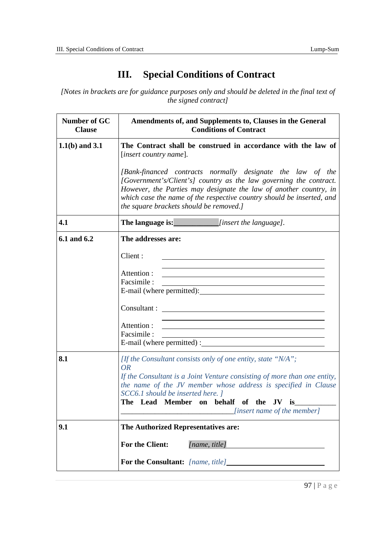## **III. Special Conditions of Contract**

 *[Notes in brackets are for guidance purposes only and should be deleted in the final text of the signed contract]* 

| Number of GC<br><b>Clause</b> | Amendments of, and Supplements to, Clauses in the General<br><b>Conditions of Contract</b>                                                                                                                                                                                                                                            |
|-------------------------------|---------------------------------------------------------------------------------------------------------------------------------------------------------------------------------------------------------------------------------------------------------------------------------------------------------------------------------------|
| $1.1(b)$ and $3.1$            | The Contract shall be construed in accordance with the law of<br>[insert country name].                                                                                                                                                                                                                                               |
|                               | [Bank-financed contracts normally designate the law of the<br>[Government's/Client's] country as the law governing the contract.<br>However, the Parties may designate the law of another country, in<br>which case the name of the respective country should be inserted, and<br>the square brackets should be removed.]             |
| 4.1                           | The language is: <i>[insert the language]</i> .                                                                                                                                                                                                                                                                                       |
| 6.1 and 6.2                   | The addresses are:                                                                                                                                                                                                                                                                                                                    |
|                               | Client:                                                                                                                                                                                                                                                                                                                               |
|                               | the control of the control of the control of the control of the control of the control of the control of the control of the control of the control of the control of the control of the control of the control of the control<br>Attention :<br>Facsimile:                                                                            |
|                               |                                                                                                                                                                                                                                                                                                                                       |
|                               | Attention :<br>Facsimile:<br>E-mail (where permitted) :                                                                                                                                                                                                                                                                               |
| 8.1                           | [If the Consultant consists only of one entity, state "N/A";<br><i>OR</i><br>If the Consultant is a Joint Venture consisting of more than one entity,<br>the name of the JV member whose address is specified in Clause<br>SCC6.1 should be inserted here. 1<br>The Lead Member on behalf of the JV is<br>[insert name of the member] |
| 9.1                           | The Authorized Representatives are:                                                                                                                                                                                                                                                                                                   |
|                               | <b>For the Client:</b><br>[name, title]                                                                                                                                                                                                                                                                                               |
|                               | For the Consultant: [name, title]                                                                                                                                                                                                                                                                                                     |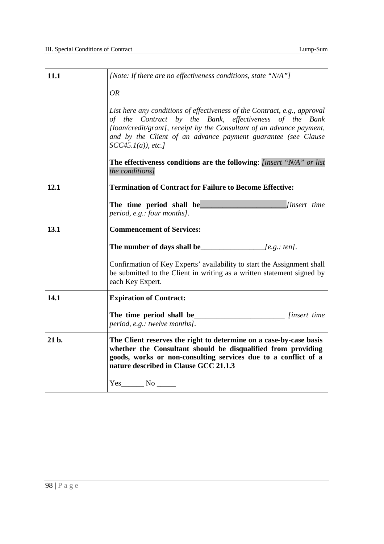| 11.1  | [Note: If there are no effectiveness conditions, state "N/A"]                                                                                                                                                                                                                                         |
|-------|-------------------------------------------------------------------------------------------------------------------------------------------------------------------------------------------------------------------------------------------------------------------------------------------------------|
|       | <b>OR</b>                                                                                                                                                                                                                                                                                             |
|       | List here any conditions of effectiveness of the Contract, e.g., approval<br>of the Contract by the Bank, effectiveness of the Bank<br>[loan/credit/grant], receipt by the Consultant of an advance payment,<br>and by the Client of an advance payment guarantee (see Clause<br>$SCC45.1(a)$ , etc.] |
|       | <b>The effectiveness conditions are the following:</b> [insert "N/A" or list<br>the conditions]                                                                                                                                                                                                       |
| 12.1  | <b>Termination of Contract for Failure to Become Effective:</b>                                                                                                                                                                                                                                       |
|       | The time period shall be<br><i>linsert time</i><br>period, e.g.: four months].                                                                                                                                                                                                                        |
| 13.1  | <b>Commencement of Services:</b>                                                                                                                                                                                                                                                                      |
|       | The number of days shall be $[$ e.g.: ten].                                                                                                                                                                                                                                                           |
|       | Confirmation of Key Experts' availability to start the Assignment shall<br>be submitted to the Client in writing as a written statement signed by<br>each Key Expert.                                                                                                                                 |
| 14.1  | <b>Expiration of Contract:</b>                                                                                                                                                                                                                                                                        |
|       | <i>linsert time</i><br>period, e.g.: twelve months].                                                                                                                                                                                                                                                  |
| 21 b. | The Client reserves the right to determine on a case-by-case basis<br>whether the Consultant should be disqualified from providing<br>goods, works or non-consulting services due to a conflict of a<br>nature described in Clause GCC 21.1.3                                                         |
|       | $Yes$ No $\qquad$                                                                                                                                                                                                                                                                                     |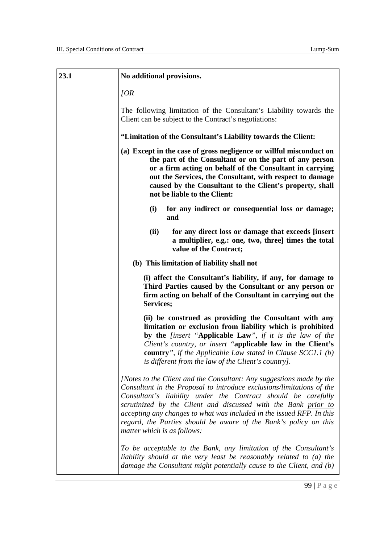| 23.1 | No additional provisions.                                                                                                                                                                                                                                                                                                                                                                                                                                    |
|------|--------------------------------------------------------------------------------------------------------------------------------------------------------------------------------------------------------------------------------------------------------------------------------------------------------------------------------------------------------------------------------------------------------------------------------------------------------------|
|      | [OR]                                                                                                                                                                                                                                                                                                                                                                                                                                                         |
|      | The following limitation of the Consultant's Liability towards the<br>Client can be subject to the Contract's negotiations:                                                                                                                                                                                                                                                                                                                                  |
|      | "Limitation of the Consultant's Liability towards the Client:                                                                                                                                                                                                                                                                                                                                                                                                |
|      | (a) Except in the case of gross negligence or willful misconduct on<br>the part of the Consultant or on the part of any person<br>or a firm acting on behalf of the Consultant in carrying<br>out the Services, the Consultant, with respect to damage<br>caused by the Consultant to the Client's property, shall<br>not be liable to the Client:                                                                                                           |
|      | (i)<br>for any indirect or consequential loss or damage;<br>and                                                                                                                                                                                                                                                                                                                                                                                              |
|      | (ii)<br>for any direct loss or damage that exceeds [insert<br>a multiplier, e.g.: one, two, three] times the total<br>value of the Contract;                                                                                                                                                                                                                                                                                                                 |
|      | (b) This limitation of liability shall not                                                                                                                                                                                                                                                                                                                                                                                                                   |
|      | (i) affect the Consultant's liability, if any, for damage to<br>Third Parties caused by the Consultant or any person or<br>firm acting on behalf of the Consultant in carrying out the<br>Services;                                                                                                                                                                                                                                                          |
|      | (ii) be construed as providing the Consultant with any<br>limitation or exclusion from liability which is prohibited<br>by the <i>[insert</i> "Applicable Law", if it is the law of the<br>Client's country, or insert "applicable law in the Client's<br><b>country</b> ", if the Applicable Law stated in Clause $SCC1.1$ (b)<br>is different from the law of the Client's country].                                                                       |
|      | [Notes to the Client and the Consultant: Any suggestions made by the<br>Consultant in the Proposal to introduce exclusions/limitations of the<br>Consultant's liability under the Contract should be carefully<br>scrutinized by the Client and discussed with the Bank prior to<br>accepting any changes to what was included in the issued RFP. In this<br>regard, the Parties should be aware of the Bank's policy on this<br>matter which is as follows: |
|      | To be acceptable to the Bank, any limitation of the Consultant's<br>liability should at the very least be reasonably related to (a) the<br>damage the Consultant might potentially cause to the Client, and (b)                                                                                                                                                                                                                                              |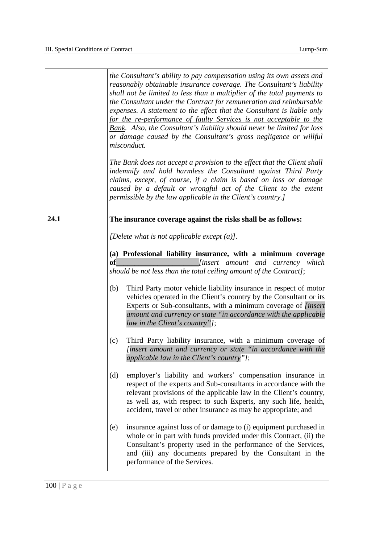|      | the Consultant's ability to pay compensation using its own assets and<br>reasonably obtainable insurance coverage. The Consultant's liability<br>shall not be limited to less than a multiplier of the total payments to<br>the Consultant under the Contract for remuneration and reimbursable<br>expenses. A statement to the effect that the Consultant is liable only<br>for the re-performance of faulty Services is not acceptable to the<br>Bank. Also, the Consultant's liability should never be limited for loss<br>or damage caused by the Consultant's gross negligence or willful<br>misconduct.<br>The Bank does not accept a provision to the effect that the Client shall |
|------|-------------------------------------------------------------------------------------------------------------------------------------------------------------------------------------------------------------------------------------------------------------------------------------------------------------------------------------------------------------------------------------------------------------------------------------------------------------------------------------------------------------------------------------------------------------------------------------------------------------------------------------------------------------------------------------------|
|      | indemnify and hold harmless the Consultant against Third Party<br>claims, except, of course, if a claim is based on loss or damage<br>caused by a default or wrongful act of the Client to the extent<br>permissible by the law applicable in the Client's country.]                                                                                                                                                                                                                                                                                                                                                                                                                      |
| 24.1 | The insurance coverage against the risks shall be as follows:                                                                                                                                                                                                                                                                                                                                                                                                                                                                                                                                                                                                                             |
|      | [Delete what is not applicable except $(a)$ ].                                                                                                                                                                                                                                                                                                                                                                                                                                                                                                                                                                                                                                            |
|      | (a) Professional liability insurance, with a minimum coverage<br>of<br>[insert amount and currency which<br>should be not less than the total ceiling amount of the Contract];                                                                                                                                                                                                                                                                                                                                                                                                                                                                                                            |
|      | Third Party motor vehicle liability insurance in respect of motor<br>(b)<br>vehicles operated in the Client's country by the Consultant or its<br>Experts or Sub-consultants, with a minimum coverage of <i>[insert</i> ]<br>amount and currency or state "in accordance with the applicable<br>law in the Client's country"];                                                                                                                                                                                                                                                                                                                                                            |
|      | Third Party liability insurance, with a minimum coverage of<br>(c)<br>[insert amount and currency or state "in accordance with the<br>applicable law in the Client's country"];                                                                                                                                                                                                                                                                                                                                                                                                                                                                                                           |
|      | (d)<br>employer's liability and workers' compensation insurance in<br>respect of the experts and Sub-consultants in accordance with the<br>relevant provisions of the applicable law in the Client's country,<br>as well as, with respect to such Experts, any such life, health,<br>accident, travel or other insurance as may be appropriate; and                                                                                                                                                                                                                                                                                                                                       |
|      | insurance against loss of or damage to (i) equipment purchased in<br>(e)<br>whole or in part with funds provided under this Contract, (ii) the<br>Consultant's property used in the performance of the Services,<br>and (iii) any documents prepared by the Consultant in the<br>performance of the Services.                                                                                                                                                                                                                                                                                                                                                                             |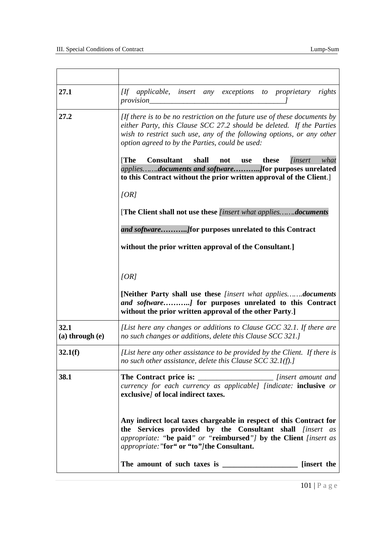| 27.1                        | [If applicable, insert any exceptions to proprietary<br>rights<br>provision_                                                                                                                                                                                                  |
|-----------------------------|-------------------------------------------------------------------------------------------------------------------------------------------------------------------------------------------------------------------------------------------------------------------------------|
| 27.2                        | [If there is to be no restriction on the future use of these documents by<br>either Party, this Clause SCC 27.2 should be deleted. If the Parties<br>wish to restrict such use, any of the following options, or any other<br>option agreed to by the Parties, could be used: |
|                             | [The]<br><b>Consultant</b><br>shall<br>these<br><i>linsert</i><br>what<br>not<br>use<br>to this Contract without the prior written approval of the Client.                                                                                                                    |
|                             | [OR]                                                                                                                                                                                                                                                                          |
|                             | [The Client shall not use these <i>[insert what appliesdocuments</i> ]                                                                                                                                                                                                        |
|                             |                                                                                                                                                                                                                                                                               |
|                             | without the prior written approval of the Consultant.]                                                                                                                                                                                                                        |
|                             |                                                                                                                                                                                                                                                                               |
|                             | [OR]<br>[Neither Party shall use these [insert what appliesdocuments<br>and software] for purposes unrelated to this Contract<br>without the prior written approval of the other Party.]                                                                                      |
| 32.1<br>$(a)$ through $(e)$ | [List here any changes or additions to Clause GCC 32.1. If there are<br>no such changes or additions, delete this Clause SCC 321.]                                                                                                                                            |
| 32.1(f)                     | [List here any other assistance to be provided by the Client. If there is<br>no such other assistance, delete this Clause SCC 32.1(f).]                                                                                                                                       |
| 38.1                        | The Contract price is:<br><i>insert amount and insert amount and</i><br>currency for each currency as applicable] [indicate: inclusive or<br>exclusive/ of local indirect taxes.                                                                                              |
|                             | Any indirect local taxes chargeable in respect of this Contract for<br>the Services provided by the Consultant shall <i>[insert as</i><br>appropriate: "be paid" or "reimbursed"] by the Client [insert as<br>appropriate: "for" or "to"/the Consultant.                      |
|                             | [insert the                                                                                                                                                                                                                                                                   |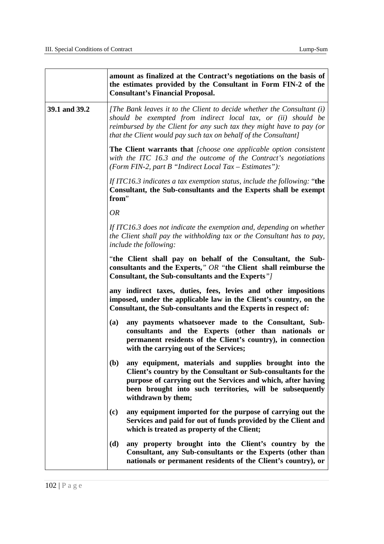|               | amount as finalized at the Contract's negotiations on the basis of<br>the estimates provided by the Consultant in Form FIN-2 of the<br><b>Consultant's Financial Proposal.</b>                                                                                                     |  |  |  |
|---------------|------------------------------------------------------------------------------------------------------------------------------------------------------------------------------------------------------------------------------------------------------------------------------------|--|--|--|
| 39.1 and 39.2 | [The Bank leaves it to the Client to decide whether the Consultant (i)<br>should be exempted from indirect local tax, or (ii) should be<br>reimbursed by the Client for any such tax they might have to pay (or<br>that the Client would pay such tax on behalf of the Consultant] |  |  |  |
|               | <b>The Client warrants that</b> [choose one applicable option consistent]<br>with the ITC 16.3 and the outcome of the Contract's negotiations<br>(Form FIN-2, part B "Indirect Local Tax – Estimates"):                                                                            |  |  |  |
|               | If ITC16.3 indicates a tax exemption status, include the following: "the<br>Consultant, the Sub-consultants and the Experts shall be exempt<br>from"                                                                                                                               |  |  |  |
|               | <b>OR</b>                                                                                                                                                                                                                                                                          |  |  |  |
|               | If ITC16.3 does not indicate the exemption and, depending on whether<br>the Client shall pay the withholding tax or the Consultant has to pay,<br><i>include the following:</i>                                                                                                    |  |  |  |
|               | "the Client shall pay on behalf of the Consultant, the Sub-<br>consultants and the Experts," OR "the Client shall reimburse the<br>Consultant, the Sub-consultants and the Experts"                                                                                                |  |  |  |
|               | any indirect taxes, duties, fees, levies and other impositions<br>imposed, under the applicable law in the Client's country, on the<br>Consultant, the Sub-consultants and the Experts in respect of:                                                                              |  |  |  |
|               | any payments whatsoever made to the Consultant, Sub-<br>(a)<br>consultants and the Experts (other than nationals or<br>permanent residents of the Client's country), in connection<br>with the carrying out of the Services;                                                       |  |  |  |
|               | (b)<br>any equipment, materials and supplies brought into the<br>Client's country by the Consultant or Sub-consultants for the<br>purpose of carrying out the Services and which, after having<br>been brought into such territories, will be subsequently<br>withdrawn by them;   |  |  |  |
|               | any equipment imported for the purpose of carrying out the<br>(c)<br>Services and paid for out of funds provided by the Client and<br>which is treated as property of the Client;                                                                                                  |  |  |  |
|               | (d)<br>any property brought into the Client's country by the<br>Consultant, any Sub-consultants or the Experts (other than<br>nationals or permanent residents of the Client's country), or                                                                                        |  |  |  |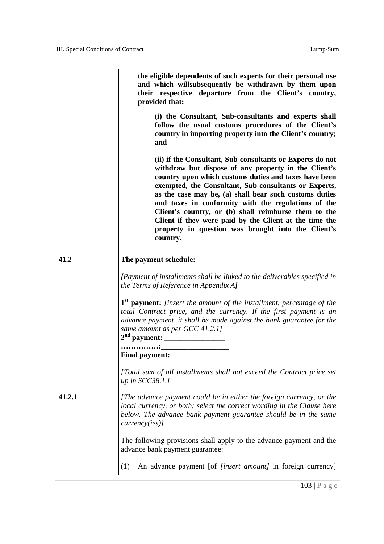|        | the eligible dependents of such experts for their personal use<br>and which willsubsequently be withdrawn by them upon<br>their respective departure from the Client's country,<br>provided that:                                                                                                                                                                                                                                                                                                                                        |  |  |  |  |  |  |
|--------|------------------------------------------------------------------------------------------------------------------------------------------------------------------------------------------------------------------------------------------------------------------------------------------------------------------------------------------------------------------------------------------------------------------------------------------------------------------------------------------------------------------------------------------|--|--|--|--|--|--|
|        | (i) the Consultant, Sub-consultants and experts shall<br>follow the usual customs procedures of the Client's<br>country in importing property into the Client's country;<br>and                                                                                                                                                                                                                                                                                                                                                          |  |  |  |  |  |  |
|        | (ii) if the Consultant, Sub-consultants or Experts do not<br>withdraw but dispose of any property in the Client's<br>country upon which customs duties and taxes have been<br>exempted, the Consultant, Sub-consultants or Experts,<br>as the case may be, (a) shall bear such customs duties<br>and taxes in conformity with the regulations of the<br>Client's country, or (b) shall reimburse them to the<br>Client if they were paid by the Client at the time the<br>property in question was brought into the Client's<br>country. |  |  |  |  |  |  |
| 41.2   | The payment schedule:                                                                                                                                                                                                                                                                                                                                                                                                                                                                                                                    |  |  |  |  |  |  |
|        | [Payment of installments shall be linked to the deliverables specified in<br>the Terms of Reference in Appendix AJ                                                                                                                                                                                                                                                                                                                                                                                                                       |  |  |  |  |  |  |
|        | 1 <sup>st</sup> payment: [insert the amount of the installment, percentage of the<br>total Contract price, and the currency. If the first payment is an<br>advance payment, it shall be made against the bank guarantee for the<br>same amount as per GCC 41.2.1]<br>the control of the control of the control of<br><b>Final payment:</b>                                                                                                                                                                                               |  |  |  |  |  |  |
|        | [Total sum of all installments shall not exceed the Contract price set<br>up in $SCC38.1$ .]                                                                                                                                                                                                                                                                                                                                                                                                                                             |  |  |  |  |  |  |
| 41.2.1 | [The advance payment could be in either the foreign currency, or the<br>local currency, or both; select the correct wording in the Clause here<br>below. The advance bank payment guarantee should be in the same<br>curve <sub>0</sub> (ies)                                                                                                                                                                                                                                                                                            |  |  |  |  |  |  |
|        | The following provisions shall apply to the advance payment and the<br>advance bank payment guarantee:                                                                                                                                                                                                                                                                                                                                                                                                                                   |  |  |  |  |  |  |
|        | An advance payment [of <i>[insert amount]</i> in foreign currency]<br>(1)                                                                                                                                                                                                                                                                                                                                                                                                                                                                |  |  |  |  |  |  |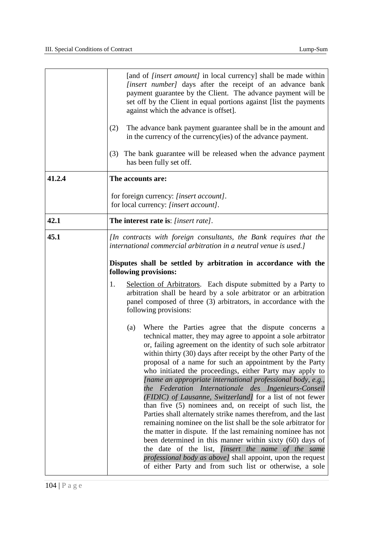|        | [and of <i>[insert amount]</i> in local currency] shall be made within<br>[insert number] days after the receipt of an advance bank<br>payment guarantee by the Client. The advance payment will be<br>set off by the Client in equal portions against [list the payments]<br>against which the advance is offset].<br>(2)<br>The advance bank payment guarantee shall be in the amount and<br>in the currency of the currency (ies) of the advance payment.<br>The bank guarantee will be released when the advance payment<br>(3)<br>has been fully set off.                                                                                                                                                                                                                                                                                                                                                                                                                                                                                                                                |  |  |  |  |  |
|--------|-----------------------------------------------------------------------------------------------------------------------------------------------------------------------------------------------------------------------------------------------------------------------------------------------------------------------------------------------------------------------------------------------------------------------------------------------------------------------------------------------------------------------------------------------------------------------------------------------------------------------------------------------------------------------------------------------------------------------------------------------------------------------------------------------------------------------------------------------------------------------------------------------------------------------------------------------------------------------------------------------------------------------------------------------------------------------------------------------|--|--|--|--|--|
| 41.2.4 | The accounts are:                                                                                                                                                                                                                                                                                                                                                                                                                                                                                                                                                                                                                                                                                                                                                                                                                                                                                                                                                                                                                                                                             |  |  |  |  |  |
|        | for foreign currency: [insert account].<br>for local currency: [insert account].                                                                                                                                                                                                                                                                                                                                                                                                                                                                                                                                                                                                                                                                                                                                                                                                                                                                                                                                                                                                              |  |  |  |  |  |
| 42.1   | The interest rate is: [insert rate].                                                                                                                                                                                                                                                                                                                                                                                                                                                                                                                                                                                                                                                                                                                                                                                                                                                                                                                                                                                                                                                          |  |  |  |  |  |
| 45.1   | [In contracts with foreign consultants, the Bank requires that the<br>international commercial arbitration in a neutral venue is used.]                                                                                                                                                                                                                                                                                                                                                                                                                                                                                                                                                                                                                                                                                                                                                                                                                                                                                                                                                       |  |  |  |  |  |
|        | Disputes shall be settled by arbitration in accordance with the<br>following provisions:                                                                                                                                                                                                                                                                                                                                                                                                                                                                                                                                                                                                                                                                                                                                                                                                                                                                                                                                                                                                      |  |  |  |  |  |
|        | Selection of Arbitrators. Each dispute submitted by a Party to<br>1.<br>arbitration shall be heard by a sole arbitrator or an arbitration<br>panel composed of three (3) arbitrators, in accordance with the<br>following provisions:                                                                                                                                                                                                                                                                                                                                                                                                                                                                                                                                                                                                                                                                                                                                                                                                                                                         |  |  |  |  |  |
|        | Where the Parties agree that the dispute concerns a<br>(a)<br>technical matter, they may agree to appoint a sole arbitrator<br>or, failing agreement on the identity of such sole arbitrator<br>within thirty (30) days after receipt by the other Party of the<br>proposal of a name for such an appointment by the Party<br>who initiated the proceedings, either Party may apply to<br>[name an appropriate international professional body, e.g.,<br>the Federation Internationale des Ingenieurs-Conseil<br>(FIDIC) of Lausanne, Switzerland] for a list of not fewer<br>than five (5) nominees and, on receipt of such list, the<br>Parties shall alternately strike names therefrom, and the last<br>remaining nominee on the list shall be the sole arbitrator for<br>the matter in dispute. If the last remaining nominee has not<br>been determined in this manner within sixty (60) days of<br>the date of the list, <i>[insert the name of the same</i><br>professional body as above] shall appoint, upon the request<br>of either Party and from such list or otherwise, a sole |  |  |  |  |  |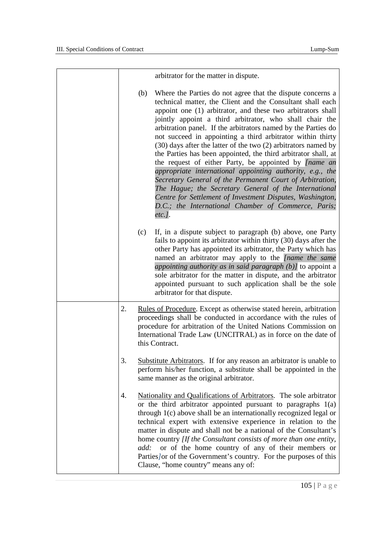|     | arbitrator for the matter in dispute.                                                                                                                                                                                                                                                                                                                                                                                                                                                                                                                                                                                                                                                                                                                                                                                                                                                                    |
|-----|----------------------------------------------------------------------------------------------------------------------------------------------------------------------------------------------------------------------------------------------------------------------------------------------------------------------------------------------------------------------------------------------------------------------------------------------------------------------------------------------------------------------------------------------------------------------------------------------------------------------------------------------------------------------------------------------------------------------------------------------------------------------------------------------------------------------------------------------------------------------------------------------------------|
|     | Where the Parties do not agree that the dispute concerns a<br>(b)<br>technical matter, the Client and the Consultant shall each<br>appoint one (1) arbitrator, and these two arbitrators shall<br>jointly appoint a third arbitrator, who shall chair the<br>arbitration panel. If the arbitrators named by the Parties do<br>not succeed in appointing a third arbitrator within thirty<br>(30) days after the latter of the two (2) arbitrators named by<br>the Parties has been appointed, the third arbitrator shall, at<br>the request of either Party, be appointed by [name an<br>appropriate international appointing authority, e.g., the<br>Secretary General of the Permanent Court of Arbitration,<br>The Hague; the Secretary General of the International<br>Centre for Settlement of Investment Disputes, Washington,<br>D.C.; the International Chamber of Commerce, Paris;<br>$etc.$ ]. |
| (c) | If, in a dispute subject to paragraph (b) above, one Party<br>fails to appoint its arbitrator within thirty (30) days after the<br>other Party has appointed its arbitrator, the Party which has<br>named an arbitrator may apply to the [name the same<br>appointing authority as in said paragraph (b)] to appoint a<br>sole arbitrator for the matter in dispute, and the arbitrator<br>appointed pursuant to such application shall be the sole<br>arbitrator for that dispute.                                                                                                                                                                                                                                                                                                                                                                                                                      |
| 2.  | <u>Rules of Procedure</u> . Except as otherwise stated herein, arbitration<br>proceedings shall be conducted in accordance with the rules of<br>procedure for arbitration of the United Nations Commission on<br>International Trade Law (UNCITRAL) as in force on the date of<br>this Contract.                                                                                                                                                                                                                                                                                                                                                                                                                                                                                                                                                                                                         |
| 3.  | <b>Substitute Arbitrators.</b> If for any reason an arbitrator is unable to<br>perform his/her function, a substitute shall be appointed in the<br>same manner as the original arbitrator.                                                                                                                                                                                                                                                                                                                                                                                                                                                                                                                                                                                                                                                                                                               |
| 4.  | Nationality and Qualifications of Arbitrators. The sole arbitrator<br>or the third arbitrator appointed pursuant to paragraphs $1(a)$<br>through 1(c) above shall be an internationally recognized legal or<br>technical expert with extensive experience in relation to the<br>matter in dispute and shall not be a national of the Consultant's<br>home country [If the Consultant consists of more than one entity,<br>or of the home country of any of their members or<br>add:<br>Parties or of the Government's country. For the purposes of this<br>Clause, "home country" means any of:                                                                                                                                                                                                                                                                                                          |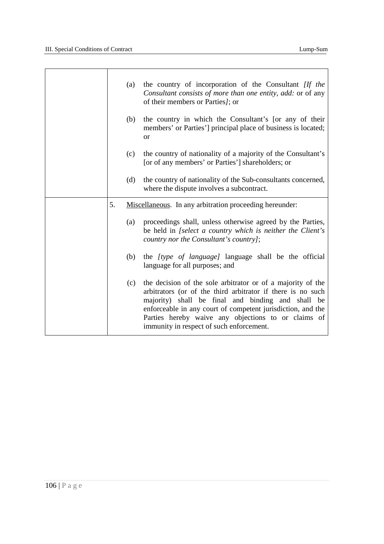r

|    | (a) | the country of incorporation of the Consultant <i>[If the</i><br>Consultant consists of more than one entity, add: or of any<br>of their members or Parties/; or                                                                                                                                                                                  |
|----|-----|---------------------------------------------------------------------------------------------------------------------------------------------------------------------------------------------------------------------------------------------------------------------------------------------------------------------------------------------------|
|    | (b) | the country in which the Consultant's [or any of their<br>members' or Parties'] principal place of business is located;<br><b>or</b>                                                                                                                                                                                                              |
|    | (c) | the country of nationality of a majority of the Consultant's<br>[or of any members' or Parties'] shareholders; or                                                                                                                                                                                                                                 |
|    | (d) | the country of nationality of the Sub-consultants concerned,<br>where the dispute involves a subcontract.                                                                                                                                                                                                                                         |
| 5. |     | Miscellaneous. In any arbitration proceeding hereunder:                                                                                                                                                                                                                                                                                           |
|    | (a) | proceedings shall, unless otherwise agreed by the Parties,<br>be held in [select a country which is neither the Client's<br>country nor the Consultant's country];                                                                                                                                                                                |
|    | (b) | the <i>[type of language]</i> language shall be the official<br>language for all purposes; and                                                                                                                                                                                                                                                    |
|    | (c) | the decision of the sole arbitrator or of a majority of the<br>arbitrators (or of the third arbitrator if there is no such<br>majority) shall be final and binding and shall be<br>enforceable in any court of competent jurisdiction, and the<br>Parties hereby waive any objections to or claims of<br>immunity in respect of such enforcement. |
|    |     |                                                                                                                                                                                                                                                                                                                                                   |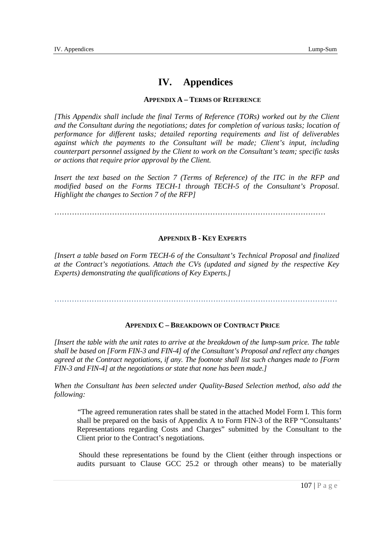# **IV. Appendices**

## **APPENDIX A – TERMS OF REFERENCE**

 *[This Appendix shall include the final Terms of Reference (TORs) worked out by the Client and the Consultant during the negotiations; dates for completion of various tasks; location of performance for different tasks; detailed reporting requirements and list of deliverables against which the payments to the Consultant will be made; Client's input, including counterpart personnel assigned by the Client to work on the Consultant's team; specific tasks or actions that require prior approval by the Client.* 

 *Insert the text based on the Section 7 (Terms of Reference) of the ITC in the RFP and modified based on the Forms TECH-1 through TECH-5 of the Consultant's Proposal. Highlight the changes to Section 7 of the RFP]* 

………………………………………………………………………………………………

## **APPENDIX B - KEY EXPERTS**

 *[Insert a table based on Form TECH-6 of the Consultant's Technical Proposal and finalized at the Contract's negotiations. Attach the CVs (updated and signed by the respective Key Experts) demonstrating the qualifications of Key Experts.]* 

……………………………………………………………………………………………………

# **APPENDIX C – BREAKDOWN OF CONTRACT PRICE**

 *[Insert the table with the unit rates to arrive at the breakdown of the lump-sum price. The table shall be based on [Form FIN-3 and FIN-4] of the Consultant's Proposal and reflect any changes agreed at the Contract negotiations, if any. The footnote shall list such changes made to [Form FIN-3 and FIN-4] at the negotiations or state that none has been made.]* 

When the Consultant has been selected under Quality-Based Selection method, also add the *following:* 

 *"*The agreed remuneration rates shall be stated in the attached Model Form I. This form shall be prepared on the basis of Appendix A to Form FIN-3 of the RFP "Consultants' Representations regarding Costs and Charges" submitted by the Consultant to the Client prior to the Contract's negotiations.

 Should these representations be found by the Client (either through inspections or audits pursuant to Clause GCC 25.2 or through other means) to be materially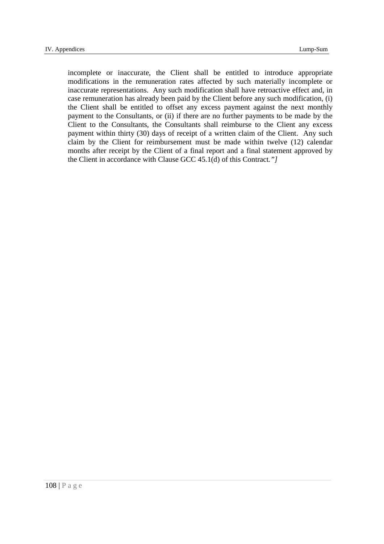incomplete or inaccurate, the Client shall be entitled to introduce appropriate modifications in the remuneration rates affected by such materially incomplete or inaccurate representations. Any such modification shall have retroactive effect and, in case remuneration has already been paid by the Client before any such modification, (i) the Client shall be entitled to offset any excess payment against the next monthly payment to the Consultants, or (ii) if there are no further payments to be made by the Client to the Consultants, the Consultants shall reimburse to the Client any excess payment within thirty (30) days of receipt of a written claim of the Client. Any such claim by the Client for reimbursement must be made within twelve (12) calendar months after receipt by the Client of a final report and a final statement approved by the Client in accordance with Clause GCC 45.1(d) of this Contract*."]*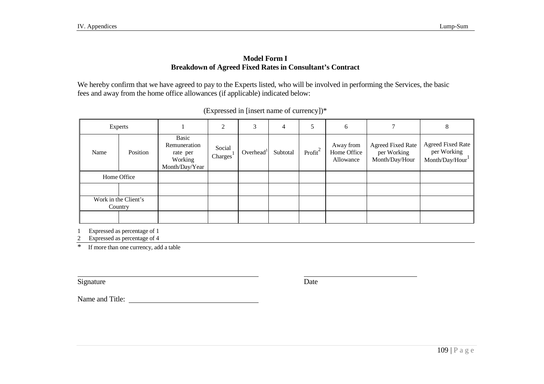## **Model Form I Breakdown of Agreed Fixed Rates in Consultant's Contract**

We hereby confirm that we have agreed to pay to the Experts listed, who will be involved in performing the Services, the basic fees and away from the home office allowances (if applicable) indicated below:

|      | Experts                         |                                                                | ◠                              | 3            | 4        | 5          | 6                                     |                                                           | 8                                                         |
|------|---------------------------------|----------------------------------------------------------------|--------------------------------|--------------|----------|------------|---------------------------------------|-----------------------------------------------------------|-----------------------------------------------------------|
| Name | Position                        | Basic<br>Remuneration<br>rate per<br>Working<br>Month/Day/Year | Social<br>Charges <sup>1</sup> | Overhead $1$ | Subtotal | Profit $2$ | Away from<br>Home Office<br>Allowance | <b>Agreed Fixed Rate</b><br>per Working<br>Month/Day/Hour | <b>Agreed Fixed Rate</b><br>per Working<br>Month/Day/Hour |
|      | Home Office                     |                                                                |                                |              |          |            |                                       |                                                           |                                                           |
|      |                                 |                                                                |                                |              |          |            |                                       |                                                           |                                                           |
|      | Work in the Client's<br>Country |                                                                |                                |              |          |            |                                       |                                                           |                                                           |
|      |                                 |                                                                |                                |              |          |            |                                       |                                                           |                                                           |

(Expressed in [insert name of currency])\*

1 Expressed as percentage of 1

2 Expressed as percentage of 4

\* If more than one currency, add a table

Signature Date

Name and Title: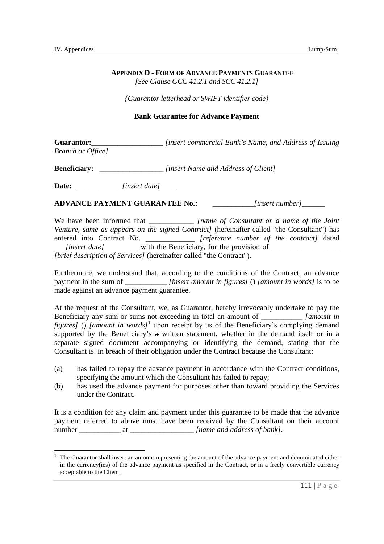l

## **APPENDIX D - FORM OF ADVANCE PAYMENTS GUARANTEE**   *[See Clause GCC 41.2.1 and SCC 41.2.1]*

 *{Guarantor letterhead or SWIFT identifier code}* 

## **Bank Guarantee for Advance Payment**

**Guarantor:\_\_\_\_\_\_\_\_\_\_\_\_\_\_\_\_\_\_\_\_\_** *[insert commercial Bank's Name, and Address of Issuing Branch or Office]* 

**Beneficiary:** \_\_\_\_\_\_\_\_\_\_\_\_\_\_\_\_\_\_\_\_*[insert Name and Address of Client]* 

**Date:** \_\_\_\_\_\_\_\_\_\_\_\_*[insert date]*\_\_\_\_

**ADVANCE PAYMENT GUARANTEE No.:** \_\_\_\_\_\_\_\_\_\_\_*[insert number]*\_\_\_\_\_\_

We have been informed that \_\_\_\_\_\_\_\_\_\_\_\_\_\_\_*[name of Consultant or a name of the Joint* Venture, same as appears on the signed Contract] (hereinafter called "the Consultant") has entered into Contract No. \_\_\_\_\_\_\_\_\_\_\_\_\_ *[reference number of the contract]* dated \_\_\_*[insert date]*\_\_\_\_\_\_\_\_\_ with the Beneficiary, for the provision of \_\_\_\_\_\_\_\_\_\_\_\_\_\_\_\_\_\_  *[brief description of Services]* (hereinafter called "the Contract").

 Furthermore, we understand that, according to the conditions of the Contract, an advance payment in the sum of \_\_\_\_\_\_\_\_\_\_\_ *[insert amount in figures]* () *[amount in words]* is to be made against an advance payment guarantee.

 At the request of the Consultant, we, as Guarantor, hereby irrevocably undertake to pay the Beneficiary any sum or sums not exceeding in total an amount of \_\_\_\_\_\_\_\_\_\_\_ *[amount in figures]* () *[amount in words]*<sup>1</sup> upon receipt by us of the Beneficiary's complying demand supported by the Beneficiary's a written statement, whether in the demand itself or in a separate signed document accompanying or identifying the demand, stating that the Consultant is in breach of their obligation under the Contract because the Consultant:

- $(a)$  specifying the amount which the Consultant has failed to repay; has failed to repay the advance payment in accordance with the Contract conditions,
- $(b)$  under the Contract. has used the advance payment for purposes other than toward providing the Services

 It is a condition for any claim and payment under this guarantee to be made that the advance payment referred to above must have been received by the Consultant on their account number \_\_\_\_\_\_\_\_\_\_\_ at \_\_\_\_\_\_\_\_\_\_\_\_\_\_\_\_\_ *[name and address of bank]*.

 in the currency(ies) of the advance payment as specified in the Contract, or in a freely convertible currency acceptable to the Client. 1 The Guarantor shall insert an amount representing the amount of the advance payment and denominated either